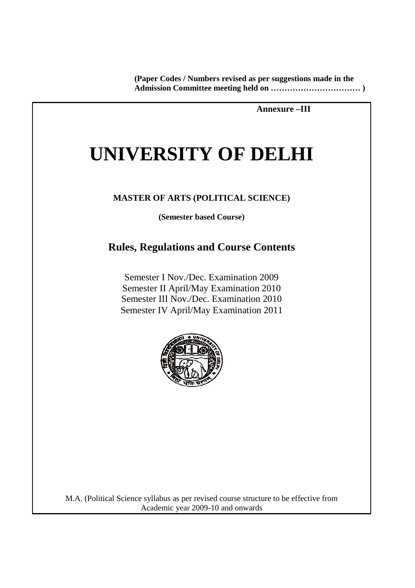**(Paper Codes / Numbers revised as per suggestions made in the Admission Committee meeting held on …………………………… )** 

 **Annexure –III** 

# **UNIVERSITY OF DELHI**

## **MASTER OF ARTS (POLITICAL SCIENCE)**

**(Semester based Course)** 

## **Rules, Regulations and Course Contents**

Semester I Nov./Dec. Examination 2009 Semester II April/May Examination 2010 Semester III Nov./Dec. Examination 2010 Semester IV April/May Examination 2011



M.A. (Political Science syllabus as per revised course structure to be effective from Academic year 2009-10 and onwards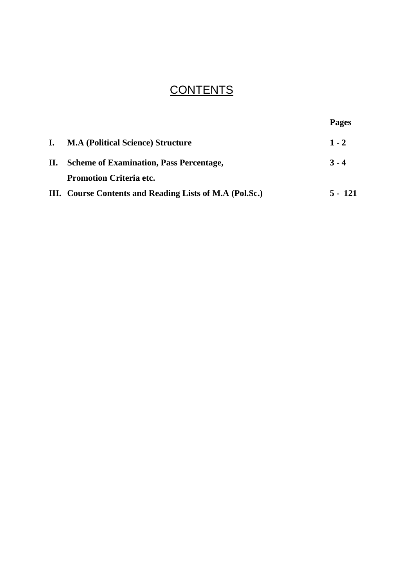## **CONTENTS**

|    |                                                         | <b>Pages</b> |
|----|---------------------------------------------------------|--------------|
|    | <b>M.A (Political Science) Structure</b>                | $1 - 2$      |
| П. | <b>Scheme of Examination, Pass Percentage,</b>          | $3 - 4$      |
|    | <b>Promotion Criteria etc.</b>                          |              |
|    | III. Course Contents and Reading Lists of M.A (Pol.Sc.) | 5 - 121      |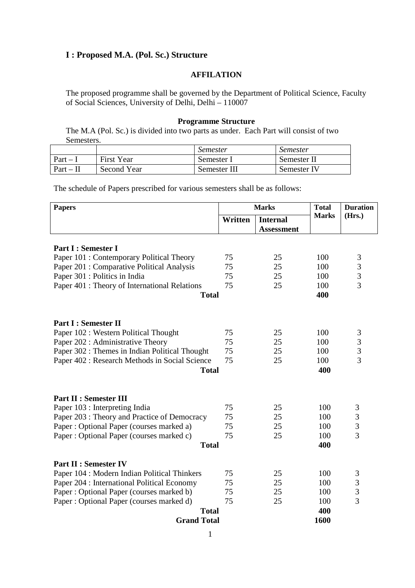## **I : Proposed M.A. (Pol. Sc.) Structure**

## **AFFILATION**

The proposed programme shall be governed by the Department of Political Science, Faculty of Social Sciences, University of Delhi, Delhi – 110007

#### **Programme Structure**

The M.A (Pol. Sc.) is divided into two parts as under. Each Part will consist of two Semesters.

|           |             | <i>Semester</i> | <i>Semester</i> |
|-----------|-------------|-----------------|-----------------|
| $Part -$  | First Year  | Semester I      | Semester II     |
| $Part-II$ | Second Year | Semester III    | Semester IV     |

The schedule of Papers prescribed for various semesters shall be as follows:

| <b>Papers</b>                                  | <b>Marks</b> |                   | <b>Total</b> | <b>Duration</b> |
|------------------------------------------------|--------------|-------------------|--------------|-----------------|
|                                                | Written      | <b>Internal</b>   | <b>Marks</b> | (Hrs.)          |
|                                                |              | <b>Assessment</b> |              |                 |
|                                                |              |                   |              |                 |
| Part I : Semester I                            |              |                   |              |                 |
| Paper 101 : Contemporary Political Theory      | 75           | 25                | 100          | $\mathfrak{Z}$  |
| Paper 201 : Comparative Political Analysis     | 75           | 25                | 100          | 3               |
| Paper 301 : Politics in India                  | 75           | 25                | 100          | $\overline{3}$  |
| Paper 401 : Theory of International Relations  | 75           | 25                | 100          | $\overline{3}$  |
| <b>Total</b>                                   |              |                   | 400          |                 |
|                                                |              |                   |              |                 |
| <b>Part I: Semester II</b>                     |              |                   |              |                 |
| Paper 102 : Western Political Thought          | 75           | 25                | 100          | $\mathfrak{Z}$  |
| Paper 202 : Administrative Theory              | 75           | 25                | 100          | 3               |
| Paper 302 : Themes in Indian Political Thought | 75           | 25                | 100          | 3               |
| Paper 402 : Research Methods in Social Science | 75           | 25                | 100          | $\overline{3}$  |
| <b>Total</b>                                   |              |                   | 400          |                 |
|                                                |              |                   |              |                 |
| <b>Part II : Semester III</b>                  |              |                   |              |                 |
| Paper 103 : Interpreting India                 | 75           | 25                | 100          | 3               |
| Paper 203 : Theory and Practice of Democracy   | 75           | 25                | 100          | 3               |
| Paper: Optional Paper (courses marked a)       | 75           | 25                | 100          | 3               |
| Paper: Optional Paper (courses marked c)       | 75           | 25                | 100          | $\overline{3}$  |
| <b>Total</b>                                   |              |                   | 400          |                 |
|                                                |              |                   |              |                 |
| <b>Part II : Semester IV</b>                   |              |                   |              |                 |
| Paper 104 : Modern Indian Political Thinkers   | 75           | 25                | 100          | 3               |
| Paper 204 : International Political Economy    | 75           | 25                | 100          | 3               |
| Paper: Optional Paper (courses marked b)       | 75           | 25                | 100          | 3               |
| Paper: Optional Paper (courses marked d)       | 75           | 25                | 100          | 3               |
| <b>Total</b>                                   |              |                   | 400          |                 |
| <b>Grand Total</b>                             |              |                   | 1600         |                 |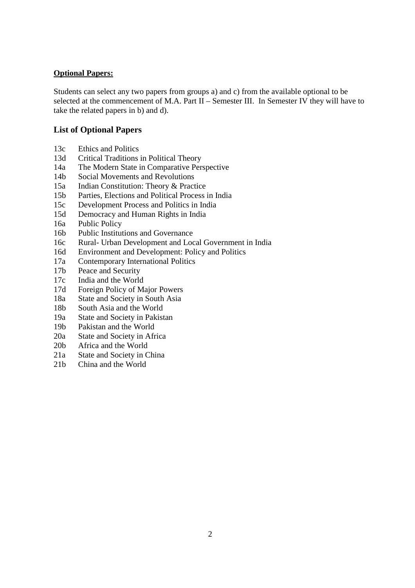## **Optional Papers:**

Students can select any two papers from groups a) and c) from the available optional to be selected at the commencement of M.A. Part II – Semester III. In Semester IV they will have to take the related papers in b) and d).

## **List of Optional Papers**

- 13c Ethics and Politics
- 13d Critical Traditions in Political Theory
- 14a The Modern State in Comparative Perspective
- 14b Social Movements and Revolutions
- 15a Indian Constitution: Theory & Practice
- 15b Parties, Elections and Political Process in India
- 15c Development Process and Politics in India
- 15d Democracy and Human Rights in India
- 16a Public Policy
- 16b Public Institutions and Governance
- 16c Rural- Urban Development and Local Government in India
- 16d Environment and Development: Policy and Politics
- 17a Contemporary International Politics
- 17b Peace and Security
- 17c India and the World
- 17d Foreign Policy of Major Powers
- 18a State and Society in South Asia
- 18b South Asia and the World
- 19a State and Society in Pakistan
- 19b Pakistan and the World
- 20a State and Society in Africa
- 20b Africa and the World
- 21a State and Society in China
- 21b China and the World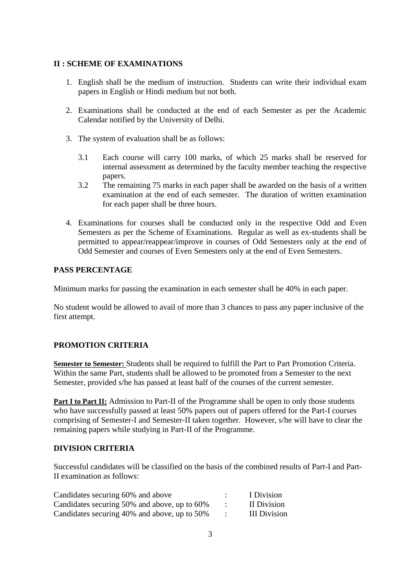## **II : SCHEME OF EXAMINATIONS**

- 1. English shall be the medium of instruction. Students can write their individual exam papers in English or Hindi medium but not both.
- 2. Examinations shall be conducted at the end of each Semester as per the Academic Calendar notified by the University of Delhi.
- 3. The system of evaluation shall be as follows:
	- 3.1 Each course will carry 100 marks, of which 25 marks shall be reserved for internal assessment as determined by the faculty member teaching the respective papers.
	- 3.2 The remaining 75 marks in each paper shall be awarded on the basis of a written examination at the end of each semester. The duration of written examination for each paper shall be three hours.
- 4. Examinations for courses shall be conducted only in the respective Odd and Even Semesters as per the Scheme of Examinations. Regular as well as ex-students shall be permitted to appear/reappear/improve in courses of Odd Semesters only at the end of Odd Semester and courses of Even Semesters only at the end of Even Semesters.

## **PASS PERCENTAGE**

Minimum marks for passing the examination in each semester shall be 40% in each paper.

No student would be allowed to avail of more than 3 chances to pass any paper inclusive of the first attempt.

## **PROMOTION CRITERIA**

**Semester to Semester:** Students shall be required to fulfill the Part to Part Promotion Criteria. Within the same Part, students shall be allowed to be promoted from a Semester to the next Semester, provided s/he has passed at least half of the courses of the current semester.

**Part I to Part II:** Admission to Part-II of the Programme shall be open to only those students who have successfully passed at least 50% papers out of papers offered for the Part-I courses comprising of Semester-I and Semester-II taken together. However, s/he will have to clear the remaining papers while studying in Part-II of the Programme.

## **DIVISION CRITERIA**

Successful candidates will be classified on the basis of the combined results of Part-I and Part-II examination as follows:

| Candidates securing 60% and above            | I Division   |
|----------------------------------------------|--------------|
| Candidates securing 50% and above, up to 60% | II Division  |
| Candidates securing 40% and above, up to 50% | III Division |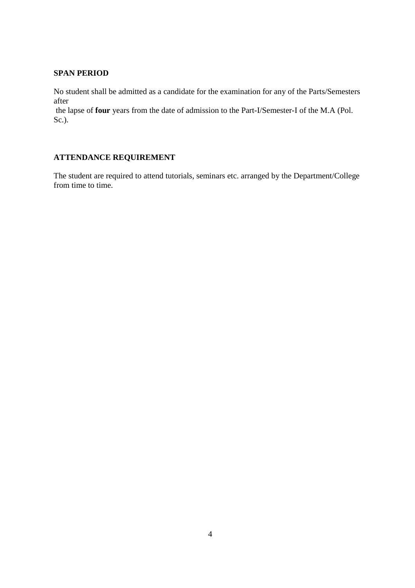## **SPAN PERIOD**

No student shall be admitted as a candidate for the examination for any of the Parts/Semesters after

 the lapse of **four** years from the date of admission to the Part-I/Semester-I of the M.A (Pol. Sc.).

## **ATTENDANCE REQUIREMENT**

The student are required to attend tutorials, seminars etc. arranged by the Department/College from time to time.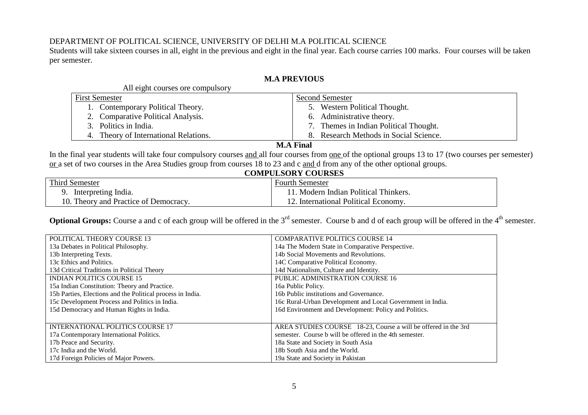## DEPARTMENT OF POLITICAL SCIENCE, UNIVERSITY OF DELHI M.A POLITICAL SCIENCE

 Students will take sixteen courses in all, eight in the previous and eight in the final year. Each course carries 100 marks. Four courses will be taken per semester.

## **M.A PREVIOUS**

| <b>Second Semester</b>                 |  |
|----------------------------------------|--|
| 5. Western Political Thought.          |  |
| 6. Administrative theory.              |  |
| 7. Themes in Indian Political Thought. |  |
| 8. Research Methods in Social Science. |  |
|                                        |  |

## **M.A Final**

In the final year students will take four compulsory courses and all four courses from one of the optional groups 13 to 17 (two courses per semester) or a set of two courses in the Area Studies group from courses 18 to 23 and c and d from any of the other optional groups.

## **COMPULSORY COURSES**

| <b>Third Semester</b>                 | Fourth Semester                   |  |
|---------------------------------------|-----------------------------------|--|
| Interpreting India.                   | Modern Indian Political Thinkers. |  |
| 10. Theory and Practice of Democracy. | International Political Economy.  |  |

**Optional Groups:** Course a and c of each group will be offered in the 3<sup>rd</sup> semester. Course b and d of each group will be offered in the 4<sup>th</sup> semester.

| POLITICAL THEORY COURSE 13                                 | <b>COMPARATIVE POLITICS COURSE 14</b>                          |
|------------------------------------------------------------|----------------------------------------------------------------|
| 13a Debates in Political Philosophy.                       | 14a The Modern State in Comparative Perspective.               |
| 13b Interpreting Texts.                                    | 14b Social Movements and Revolutions.                          |
| 13c Ethics and Politics.                                   | 14C Comparative Political Economy.                             |
| 13d Critical Traditions in Political Theory                | 14d Nationalism, Culture and Identity.                         |
| <b>INDIAN POLITICS COURSE 15</b>                           | PUBLIC ADMINISTRATION COURSE 16                                |
| 15a Indian Constitution: Theory and Practice.              | 16a Public Policy.                                             |
| 15b Parties, Elections and the Political process in India. | 16b Public institutions and Governance.                        |
| 15c Development Process and Politics in India.             | 16c Rural-Urban Development and Local Government in India.     |
| 15d Democracy and Human Rights in India.                   | 16d Environment and Development: Policy and Politics.          |
|                                                            |                                                                |
| <b>INTERNATIONAL POLITICS COURSE 17</b>                    | AREA STUDIES COURSE 18-23, Course a will be offered in the 3rd |
| 17a Contemporary International Politics.                   | semester. Course b will be offered in the 4th semester.        |
| 17b Peace and Security.                                    | 18a State and Society in South Asia                            |
| 17c India and the World.                                   | 18b South Asia and the World.                                  |
| 17d Foreign Policies of Major Powers.                      | 19a State and Society in Pakistan                              |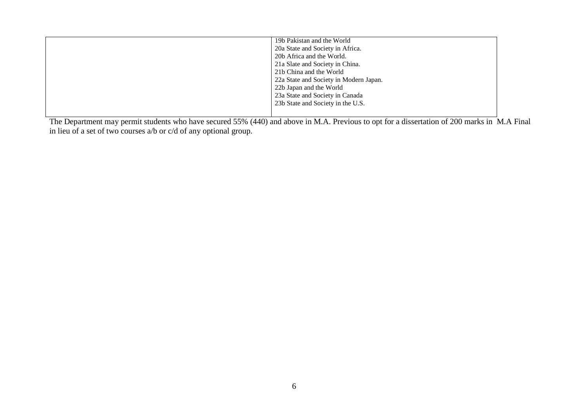| 19b Pakistan and the World             |
|----------------------------------------|
| 20a State and Society in Africa.       |
| 20b Africa and the World.              |
| 21a Slate and Society in China.        |
| 21b China and the World                |
| 22a State and Society in Modern Japan. |
| 22b Japan and the World                |
| 23a State and Society in Canada        |
| 23b State and Society in the U.S.      |
|                                        |
|                                        |

The Department may permit students who have secured 55% (440) and above in M.A. Previous to opt for a dissertation of 200 marks in M.A Final in lieu of a set of two courses a/b or c/d of any optional group.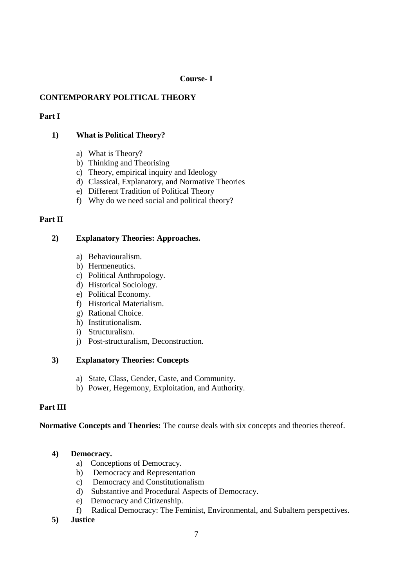## **Course- I**

## **CONTEMPORARY POLITICAL THEORY**

## **Part I**

## **1) What is Political Theory?**

- a) What is Theory?
- b) Thinking and Theorising
- c) Theory, empirical inquiry and Ideology
- d) Classical, Explanatory, and Normative Theories
- e) Different Tradition of Political Theory
- f) Why do we need social and political theory?

## **Part II**

## **2) Explanatory Theories: Approaches.**

- a) Behaviouralism.
- b) Hermeneutics.
- c) Political Anthropology.
- d) Historical Sociology.
- e) Political Economy.
- f) Historical Materialism.
- g) Rational Choice.
- h) Institutionalism.
- i) Structuralism.
- j) Post-structuralism, Deconstruction.

## **3) Explanatory Theories: Concepts**

- a) State, Class, Gender, Caste, and Community.
- b) Power, Hegemony, Exploitation, and Authority.

## **Part III**

## **Normative Concepts and Theories:** The course deals with six concepts and theories thereof.

## **4) Democracy.**

- a) Conceptions of Democracy.
- b) Democracy and Representation
- c) Democracy and Constitutionalism
- d) Substantive and Procedural Aspects of Democracy.
- e) Democracy and Citizenship.
- f) Radical Democracy: The Feminist, Environmental, and Subaltern perspectives.
- **5) Justice**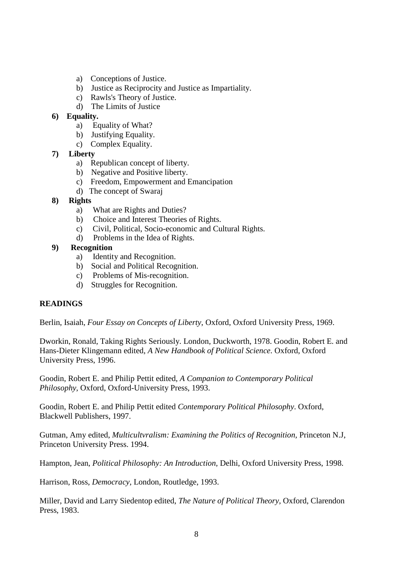- a) Conceptions of Justice.
- b) Justice as Reciprocity and Justice as Impartiality.
- c) Rawls's Theory of Justice.
- d) The Limits of Justice

## **6) Equality.**

- a) Equality of What?
- b) Justifying Equality.
- c) Complex Equality.
- **7) Liberty** 
	- a) Republican concept of liberty.
	- b) Negative and Positive liberty.
	- c) Freedom, Empowerment and Emancipation
	- d) The concept of Swaraj

## **8) Rights**

- a) What are Rights and Duties?
- b) Choice and Interest Theories of Rights.
- c) Civil, Political, Socio-economic and Cultural Rights.
- d) Problems in the Idea of Rights.

## **9) Recognition**

- a) Identity and Recognition.
- b) Social and Political Recognition.
- c) Problems of Mis-recognition.
- d) Struggles for Recognition.

## **READINGS**

Berlin, Isaiah, *Four Essay on Concepts of Liberty*, Oxford, Oxford University Press, 1969.

Dworkin, Ronald, Taking Rights Seriously. London, Duckworth, 1978. Goodin, Robert E. and Hans-Dieter Klingemann edited, *A New Handbook of Political Science*. Oxford, Oxford University Press, 1996.

Goodin, Robert E. and Philip Pettit edited, *A Companion to Contemporary Political Philosophy,* Oxford, Oxford-University Press, 1993.

Goodin, Robert E. and Philip Pettit edited *Contemporary Political Philosophy*. Oxford, Blackwell Publishers, 1997.

Gutman, Amy edited, *Multicultvralism: Examining the Politics of Recognition,* Princeton N.J, Princeton University Press. 1994.

Hampton, Jean, *Political Philosophy: An Introduction,* Delhi, Oxford University Press, 1998.

Harrison, Ross, *Democracy,* London, Routledge, 1993.

Miller, David and Larry Siedentop edited, *The Nature of Political Theory,* Oxford, Clarendon Press, 1983.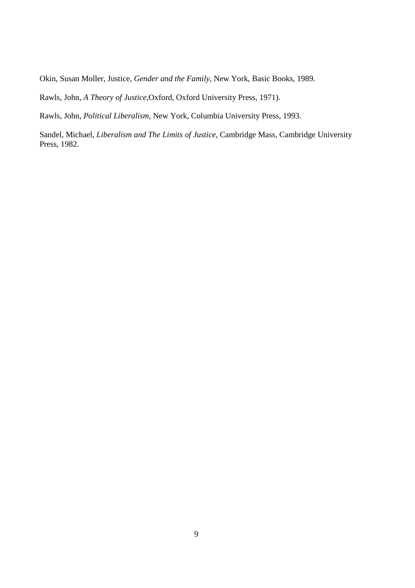Okin, Susan Moller, Justice, *Gender and the Family,* New York, Basic Books, 1989.

Rawls, John, *A Theory of Justice,*Oxford, Oxford University Press, 1971).

Rawls, John, *Political Liberalism,* New York, Columbia University Press, 1993.

Sandel, Michael, *Liberalism and The Limits of Justice,* Cambridge Mass, Cambridge University Press, 1982.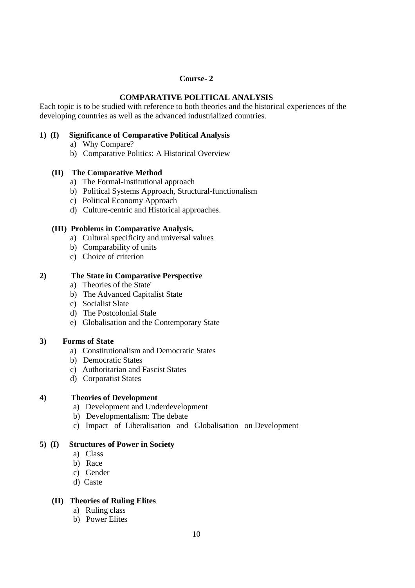## **Course- 2**

## **COMPARATIVE POLITICAL ANALYSIS**

Each topic is to be studied with reference to both theories and the historical experiences of the developing countries as well as the advanced industrialized countries.

## **1) (I) Significance of Comparative Political Analysis**

- a) Why Compare?
- b) Comparative Politics: A Historical Overview

## **(II) The Comparative Method**

- a) The Formal-Institutional approach
- b) Political Systems Approach, Structural-functionalism
- c) Political Economy Approach
- d) Culture-centric and Historical approaches.

## **(III) Problems in Comparative Analysis.**

- a) Cultural specificity and universal values
- b) Comparability of units
- c) Choice of criterion

## **2) The State in Comparative Perspective**

- a) Theories of the State'
- b) The Advanced Capitalist State
- c) Socialist Slate
- d) The Postcolonial Stale
- e) Globalisation and the Contemporary State

## **3) Forms of State**

- a) Constitutionalism and Democratic States
- b) Democratic States
- c) Authoritarian and Fascist States
- d) Corporatist States

## **4) Theories of Development**

- a) Development and Underdevelopment
- b) Developmentalism: The debate
- c) Impact of Liberalisation and Globalisation on Development

## **5) (I) Structures of Power in Society**

- a) Class
- b) Race
- c) Gender
- d) Caste

## **(II) Theories of Ruling Elites**

- a) Ruling class
- b) Power Elites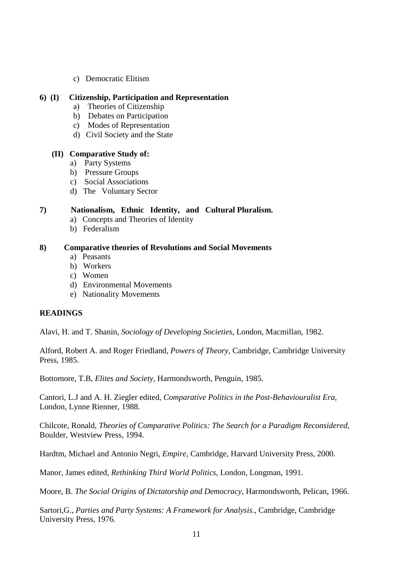c) Democratic Elitism

## **6) (I) Citizenship, Participation and Representation**

- a) Theories of Citizenship
- b) Debates on Participation
- c) Modes of Representation
- d) Civil Society and the State

#### **(II) Comparative Study of:**

- a) Party Systems
- b) Pressure Groups
- c) Social Associations
- d) The Voluntary Sector

## **7) Nationalism, Ethnic Identity, and Cultural Pluralism.**

- a) Concepts and Theories of Identity
- b) Federalism

## **8) Comparative theories of Revolutions and Social Movements**

- a) Peasants
- b) Workers
- c) Women
- d) Environmental Movements
- e) Nationality Movements

## **READINGS**

Alavi, H. and T. Shanin, *Sociology of Developing Societies,* London, Macmillan, 1982.

Alford, Robert A. and Roger Friedland, *Powers of Theory,* Cambridge, Cambridge University Press, 1985.

Bottomore, T.B, *Elites and Society,* Harmondsworth, Penguin, 1985.

Cantori, L.J and A. H. Ziegler edited, *Comparative Politics in the Post-Behaviouralist Era,* London, Lynne Rienner, 1988.

Chilcote, Ronald, *Theories of Comparative Politics: The Search for a Paradigm Reconsidered,* Boulder, Westview Press, 1994.

Hardtm, Michael and Antonio Negri, *Empire,* Cambridge, Harvard University Press, 2000.

Manor, James edited, *Rethinking Third World Politics,* London, Longman, 1991.

Moore, B. *The Social Origins of Dictatorship and Democracy,* Harmondsworth, Pelican, 1966.

Sartori,G., *Parties and Party Systems: A Framework for Analysis.*, Cambridge, Cambridge University Press, 1976.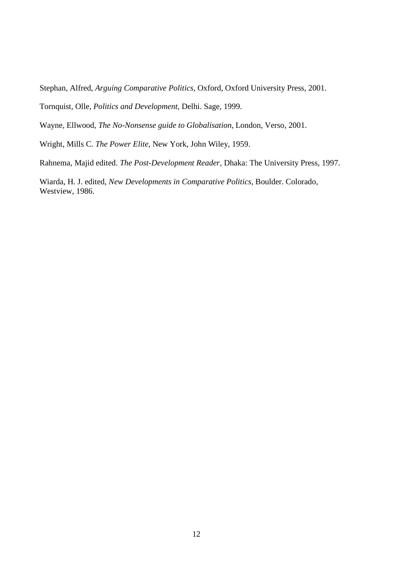Stephan, Alfred, *Arguing Comparative Politics,* Oxford, Oxford University Press, 2001.

Tornquist, Olle, *Politics and Development,* Delhi. Sage, 1999.

Wayne, Ellwood, *The No-Nonsense guide to Globalisation,* London, Verso, 2001.

Wright, Mills C. *The Power Elite,* New York, John Wiley, 1959.

Rahnema, Majid edited. *The Post-Development Reader,* Dhaka: The University Press, 1997.

Wiarda, H. J. edited, *New Developments in Comparative Politics,* Boulder. Colorado, Westview, 1986.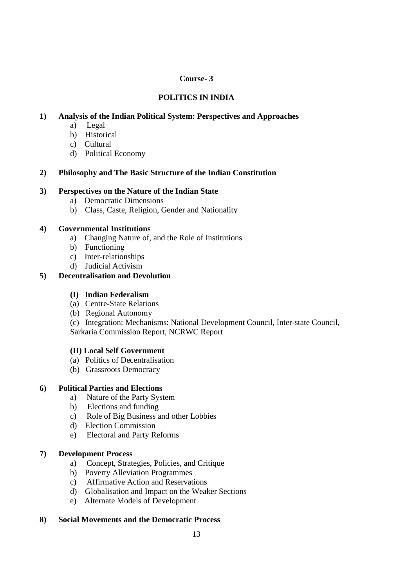## **Course- 3**

## **POLITICS IN INDIA**

## **1) Analysis of the Indian Political System: Perspectives and Approaches**

- a) Legal
- b) Historical
- c) Cultural
- d) Political Economy

## **2) Philosophy and The Basic Structure of the Indian Constitution**

#### **3) Perspectives on the Nature of the Indian State**

- a) Democratic Dimensions
- b) Class, Caste, Religion, Gender and Nationality

#### **4) Governmental Institutions**

- a) Changing Nature of, and the Role of Institutions
- b) Functioning
- c) Inter-relationships
- d) Judicial Activism

## **5) Decentralisation and Devolution**

## **(I) Indian Federalism**

- (a) Centre-State Relations
- (b) Regional Autonomy

(c) Integration: Mechanisms: National Development Council, Inter-state Council, Sarkaria Commission Report, NCRWC Report

## **(II) Local Self Government**

- (a) Politics of Decentralisation
- (b) Grassroots Democracy

## **6) Political Parties and Elections**

- a) Nature of the Party System
- b) Elections and funding
- c) Role of Big Business and other Lobbies
- d) Election Commission
- e) Electoral and Party Reforms

#### **7) Development Process**

- a) Concept, Strategies, Policies, and Critique
- b) Poverty Alleviation Programmes
- c) Affirmative Action and Reservations
- d) Globalisation and Impact on the Weaker Sections
- e) Alternate Models of Development

## **8) Social Movements and the Democratic Process**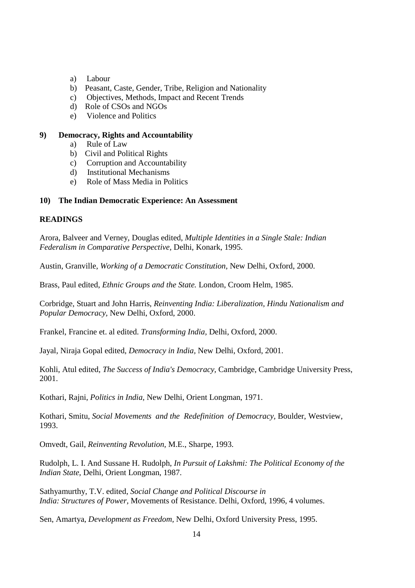- a) Labour
- b) Peasant, Caste, Gender, Tribe, Religion and Nationality
- c) Objectives, Methods, Impact and Recent Trends
- d) Role of CSOs and NGOs
- e) Violence and Politics

#### **9) Democracy, Rights and Accountability**

- a) Rule of Law
- b) Civil and Political Rights
- c) Corruption and Accountability
- d) Institutional Mechanisms
- e) Role of Mass Media in Politics

#### **10) The Indian Democratic Experience: An Assessment**

#### **READINGS**

Arora, Balveer and Verney, Douglas edited, *Multiple Identities in a Single Stale: Indian Federalism in Comparative Perspective,* Delhi, Konark, 1995.

Austin, Granville, *Working of a Democratic Constitution,* New Delhi, Oxford, 2000.

Brass, Paul edited, *Ethnic Groups and the State.* London, Croom Helm, 1985.

Corbridge, Stuart and John Harris, *Reinventing India: Liberalization, Hindu Nationalism and Popular Democracy,* New Delhi, Oxford, 2000.

Frankel, Francine et. al edited. *Transforming India,* Delhi, Oxford, 2000.

Jayal, Niraja Gopal edited, *Democracy in India,* New Delhi, Oxford, 2001.

Kohli, Atul edited, *The Success of India's Democracy,* Cambridge, Cambridge University Press, 2001.

Kothari, Rajni, *Politics in India,* New Delhi, Orient Longman, 1971.

Kothari, Smitu, *Social Movements and the Redefinition of Democracy,* Boulder, Westview, 1993.

Omvedt, Gail, *Reinventing Revolution,* M.E., Sharpe, 1993.

Rudolph, L. I. And Sussane H. Rudolph, *In Pursuit of Lakshmi: The Political Economy of the Indian State,* Delhi, Orient Longman, 1987.

Sathyamurthy, T.V. edited, *Social Change and Political Discourse in India: Structures of Power,* Movements of Resistance. Delhi, Oxford, 1996, 4 volumes.

Sen, Amartya, *Development as Freedom,* New Delhi, Oxford University Press, 1995.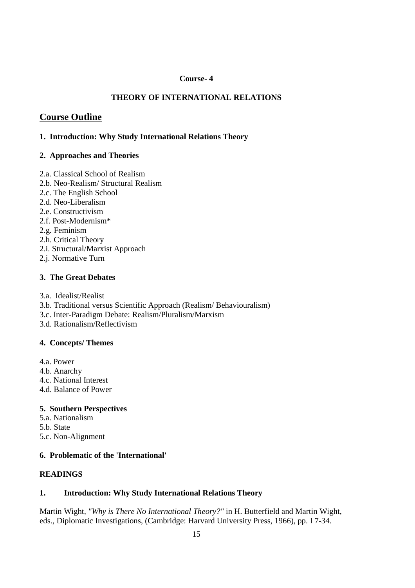#### **Course- 4**

## **THEORY OF INTERNATIONAL RELATIONS**

## **Course Outline**

## **1. Introduction: Why Study International Relations Theory**

## **2. Approaches and Theories**

- 2.a. Classical School of Realism
- 2.b. Neo-Realism/ Structural Realism
- 2.c. The English School
- 2.d. Neo-Liberalism
- 2.e. Constructivism
- 2.f. Post-Modernism\*
- 2.g. Feminism
- 2.h. Critical Theory
- 2.i. Structural/Marxist Approach
- 2.j. Normative Turn

## **3. The Great Debates**

- 3.a. Idealist/Realist
- 3.b. Traditional versus Scientific Approach (Realism/ Behaviouralism)
- 3.c. Inter-Paradigm Debate: Realism/Pluralism/Marxism
- 3.d. Rationalism/Reflectivism

## **4. Concepts/ Themes**

- 4.a. Power
- 4.b. Anarchy
- 4.c. National Interest
- 4.d. Balance of Power

## **5. Southern Perspectives**

- 5.a. Nationalism
- 5.b. State
- 5.c. Non-Alignment

## **6. Problematic of the 'International'**

## **READINGS**

## **1. Introduction: Why Study International Relations Theory**

Martin Wight, *"Why is There No International Theory?"* in H. Butterfield and Martin Wight, eds., Diplomatic Investigations, (Cambridge: Harvard University Press, 1966), pp. I 7-34.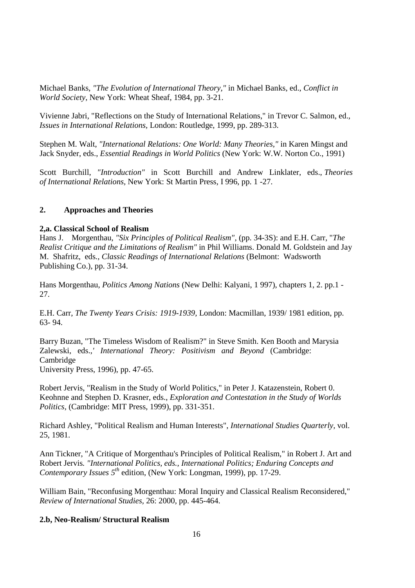Michael Banks, *"The Evolution of International Theory,"* in Michael Banks, ed., *Conflict in World Society,* New York: Wheat Sheaf, 1984, pp. 3-21.

Vivienne Jabri, "Reflections on the Study of International Relations," in Trevor C. Salmon, ed., *Issues in International Relations,* London: Routledge, 1999, pp. 289-313.

Stephen M. Walt, *"International Relations: One World: Many Theories,"* in Karen Mingst and Jack Snyder, eds., *Essential Readings in World Politics* (New York: W.W. Norton Co., 1991)

Scott Burchill, *"Introduction"* in Scott Burchill and Andrew Linklater, eds., *Theories of International Relations,* New York: St Martin Press, I 996, pp. 1 -27.

#### **2. Approaches and Theories**

#### **2,a. Classical School of Realism**

Hans J. Morgenthau, *"Six Principles of Political Realism",* (pp. 34-3S): and E.H. Carr, "*The Realist Critique and the Limitations of Realism"* in Phil Williams. Donald M. Goldstein and Jay M. Shafritz, eds*., Classic Readings of International Relations* (Belmont: Wadsworth Publishing Co.), pp. 31-34.

Hans Morgenthau, *Politics Among Nations* (New Delhi: Kalyani, 1 997), chapters 1, 2. pp.1 - 27.

E.H. Carr, *The Twenty Years Crisis: 1919-1939,* London: Macmillan, 1939/ 1981 edition, pp. 63- 94.

Barry Buzan, "The Timeless Wisdom of Realism?" in Steve Smith. Ken Booth and Marysia Zalewski, eds.,*' International Theory: Positivism and Beyond* (Cambridge: Cambridge University Press, 1996), pp. 47-65.

Robert Jervis, "Realism in the Study of World Politics," in Peter J. Katazenstein, Robert 0. Keohnne and Stephen D. Krasner, eds., *Exploration and Contestation in the Study of Worlds Politics,* (Cambridge: MIT Press, 1999), pp. 331-351.

Richard Ashley, "Political Realism and Human Interests", *International Studies Quarterly,* vol. 25, 1981.

Ann Tickner, "A Critique of Morgenthau's Principles of Political Realism," in Robert J. Art and Robert Jervis*. "International Politics, eds., International Politics; Enduring Concepts and Contemporary Issues 5th* edition, (New York: Longman, 1999), pp. 17-29.

William Bain, "Reconfusing Morgenthau: Moral Inquiry and Classical Realism Reconsidered," *Review of International Studies,* 26: 2000, pp. 445-464.

#### **2.b, Neo-Realism/ Structural Realism**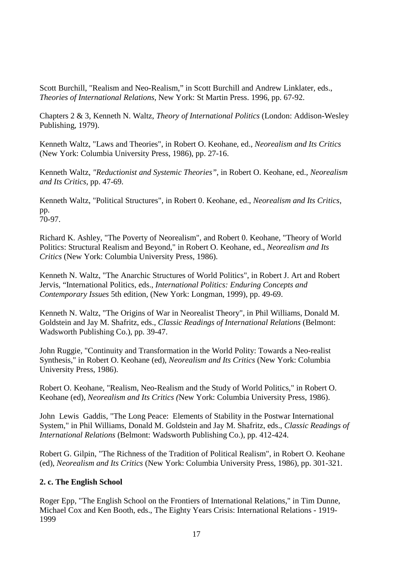Scott Burchill, "Realism and Neo-Realism," in Scott Burchill and Andrew Linklater, eds., *Theories of International Relations,* New York: St Martin Press. 1996, pp. 67-92.

Chapters 2 & 3, Kenneth N. Waltz, *Theory of International Politics* (London: Addison-Wesley Publishing, 1979).

Kenneth Waltz, "Laws and Theories", in Robert O. Keohane, ed., *Neorealism and Its Critics* (New York: Columbia University Press, 1986), pp. 27-16.

Kenneth Waltz, *"Reductionist and Systemic Theories"*, in Robert O. Keohane, ed., *Neorealism and Its Critics,* pp. 47-69.

Kenneth Waltz, "Political Structures", in Robert 0. Keohane, ed., *Neorealism and Its Critics,* pp.  $70-97.$ 

Richard K. Ashley, "The Poverty of Neorealism", and Robert 0. Keohane, "Theory of World Politics: Structural Realism and Beyond," in Robert O. Keohane, ed., *Neorealism and Its Critics* (New York: Columbia University Press, 1986).

Kenneth N. Waltz, "The Anarchic Structures of World Politics", in Robert J. Art and Robert Jervis, "International Politics, eds., *International Politics: Enduring Concepts and Contemporary Issues* 5th edition, (New York: Longman, 1999), pp. 49-69.

Kenneth N. Waltz, "The Origins of War in Neorealist Theory", in Phil Williams, Donald M. Goldstein and Jay M. Shafritz, eds., *Classic Readings of International Relations* (Belmont: Wadsworth Publishing Co.), pp. 39-47.

John Ruggie, "Continuity and Transformation in the World Polity: Towards a Neo-realist Synthesis," in Robert O. Keohane (ed), *Neorealism and Its Critics* (New York: Columbia University Press, 1986).

Robert O. Keohane, "Realism, Neo-Realism and the Study of World Politics," in Robert O. Keohane (ed), *Neorealism and Its Critics (*New York: Columbia University Press, 1986).

John Lewis Gaddis, "The Long Peace: Elements of Stability in the Postwar International System," in Phil Williams, Donald M. Goldstein and Jay M. Shafritz, eds., *Classic Readings of International Relations* (Belmont: Wadsworth Publishing Co.), pp. 412-424.

Robert G. Gilpin, "The Richness of the Tradition of Political Realism", in Robert O. Keohane (ed), *Neorealism and Its Critics* (New York: Columbia University Press, 1986), pp. 301-321.

## **2. c. The English School**

Roger Epp, "The English School on the Frontiers of International Relations," in Tim Dunne, Michael Cox and Ken Booth, eds., The Eighty Years Crisis: International Relations - 1919- 1999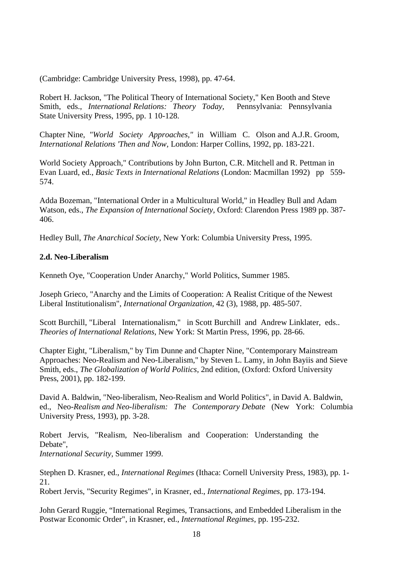(Cambridge: Cambridge University Press, 1998), pp. 47-64.

Robert H. Jackson, "The Political Theory of International Society," Ken Booth and Steve Smith, eds., *International Relations: Theory Today,* Pennsylvania: Pennsylvania State University Press, 1995, pp. 1 10-128.

Chapter Nine, *"World Society Approaches,"* in William C. Olson and A.J.R. Groom, *International Relations 'Then and Now,* London: Harper Collins, 1992, pp. 183-221.

World Society Approach," Contributions by John Burton, C.R. Mitchell and R. Pettman in Evan Luard, ed., *Basic Texts in International Relations* (London: Macmillan 1992) pp 559- 574.

Adda Bozeman, "International Order in a Multicultural World," in Headley Bull and Adam Watson, eds., *The Expansion of International Society,* Oxford: Clarendon Press 1989 pp. 387- 406.

Hedley Bull, *The Anarchical Society,* New York: Columbia University Press, 1995.

#### **2.d. Neo-Liberalism**

Kenneth Oye, "Cooperation Under Anarchy," World Politics, Summer 1985.

Joseph Grieco, "Anarchy and the Limits of Cooperation: A Realist Critique of the Newest Liberal Institutionalism", *International Organization,* 42 (3), 1988, pp. 485-507.

Scott Burchill, "Liberal Internationalism," in Scott Burchill and Andrew Linklater, eds.. *Theories of International Relations,* New York: St Martin Press, 1996, pp. 28-66.

Chapter Eight, "Liberalism," by Tim Dunne and Chapter Nine, "Contemporary Mainstream Approaches: Neo-Realism and Neo-Liberalism," by Steven L. Lamy, in John Bayiis and Sieve Smith, eds., *The Globalization of World Politics,* 2nd edition, (Oxford: Oxford University Press, 2001), pp. 182-199.

David A. Baldwin, "Neo-liberalism, Neo-Realism and World Politics", in David A. Baldwin, ed., Neo-*Realism and Neo-liberalism: The Contemporary Debate* (New York: Columbia University Press, 1993), pp. 3-28.

Robert Jervis, "Realism, Neo-liberalism and Cooperation: Understanding the Debate",

*International Security,* Summer 1999.

Stephen D. Krasner, ed., *International Regimes* (Ithaca: Cornell University Press, 1983), pp. 1- 21.

Robert Jervis, "Security Regimes", in Krasner, ed., *International Regimes*, pp. 173-194.

John Gerard Ruggie, "International Regimes, Transactions, and Embedded Liberalism in the Postwar Economic Order", in Krasner, ed., *International Regimes,* pp. 195-232.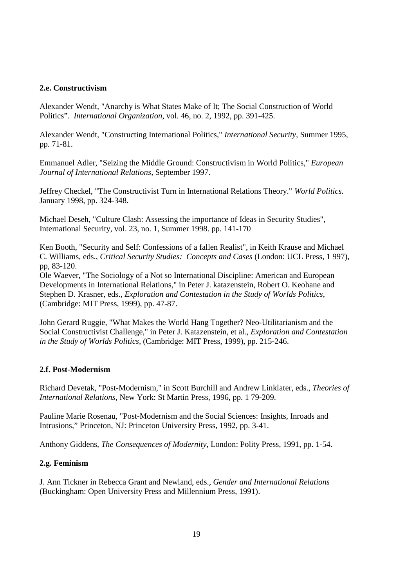#### **2.e. Constructivism**

Alexander Wendt, "Anarchy is What States Make of It; The Social Construction of World Politics". *International Organization*, vol. 46, no. 2, 1992, pp. 391-425.

Alexander Wendt, "Constructing International Politics," *International Security,* Summer 1995, pp. 71-81.

Emmanuel Adler, "Seizing the Middle Ground: Constructivism in World Politics," *European Journal of International Relations,* September 1997.

Jeffrey Checkel, "The Constructivist Turn in International Relations Theory." *World Politics*. January 1998, pp. 324-348.

Michael Deseh, "Culture Clash: Assessing the importance of Ideas in Security Studies", International Security, vol. 23, no. 1, Summer 1998. pp. 141-170

Ken Booth, "Security and Self: Confessions of a fallen Realist", in Keith Krause and Michael C. Williams, eds., *Critical Security Studies: Concepts and Cases* (London: UCL Press, 1 997), pp, 83-120.

Ole Waever, "The Sociology of a Not so International Discipline: American and European Developments in International Relations," in Peter J. katazenstein, Robert O. Keohane and Stephen D. Krasner, eds., *Exploration and Contestation in the Study of Worlds Politics*, (Cambridge: MIT Press, 1999), pp. 47-87.

John Gerard Ruggie, "What Makes the World Hang Together? Neo-Utilitarianism and the Social Constructivist Challenge," in Peter J. Katazenstein, et al., *Exploration and Contestation in the Study of Worlds Politics,* (Cambridge: MIT Press, 1999), pp. 215-246.

#### **2.f. Post-Modernism**

Richard Devetak, "Post-Modernism," in Scott Burchill and Andrew Linklater, eds., *Theories of International Relations,* New York: St Martin Press, 1996, pp. 1 79-209.

Pauline Marie Rosenau, "Post-Modernism and the Social Sciences: Insights, Inroads and Intrusions," Princeton, NJ: Princeton University Press, 1992, pp. 3-41.

Anthony Giddens, *The Consequences of Modernity,* London: Polity Press, 1991, pp. 1-54.

#### **2.g. Feminism**

J. Ann Tickner in Rebecca Grant and Newland, eds., *Gender and International Relations* (Buckingham: Open University Press and Millennium Press, 1991).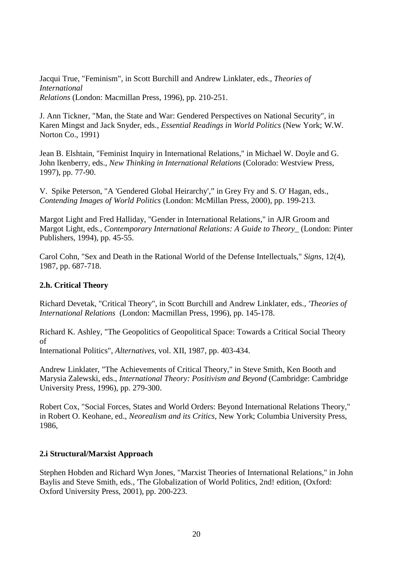Jacqui True, "Feminism", in Scott Burchill and Andrew Linklater, eds., *Theories of International Relations* (London: Macmillan Press, 1996), pp. 210-251.

J. Ann Tickner, "Man, the State and War: Gendered Perspectives on National Security", in Karen Mingst and Jack Snyder, eds., *Essential Readings in World Politics* (New York; W.W. Norton Co., 1991)

Jean B. Elshtain, "Feminist Inquiry in International Relations," in Michael W. Doyle and G. John lkenberry, eds., *New Thinking in International Relations* (Colorado: Westview Press, 1997), pp. 77-90.

V. Spike Peterson, "A 'Gendered Global Heirarchy'," in Grey Fry and S. O' Hagan, eds., *Contending Images of World Politics* (London: McMillan Press, 2000), pp. 199-213.

Margot Light and Fred Halliday, "Gender in International Relations," in AJR Groom and Margot Light, eds*., Contemporary International Relations: A Guide to Theory*\_ (London: Pinter Publishers, 1994), pp. 45-55.

Carol Cohn, "Sex and Death in the Rational World of the Defense Intellectuals," *Signs,* 12(4), 1987, pp. 687-718.

#### **2.h. Critical Theory**

Richard Devetak, "Critical Theory", in Scott Burchill and Andrew Linklater, eds., *'Theories of International Relations* (London: Macmillan Press, 1996), pp. 145-178.

Richard K. Ashley, "The Geopolitics of Geopolitical Space: Towards a Critical Social Theory of

International Politics", *Alternatives,* vol. XII, 1987, pp. 403-434.

Andrew Linklater, "The Achievements of Critical Theory," in Steve Smith, Ken Booth and Marysia Zalewski, eds., *International Theory: Positivism and Beyond* (Cambridge: Cambridge University Press, 1996), pp. 279-300.

Robert Cox, "Social Forces, States and World Orders: Beyond International Relations Theory," in Robert O. Keohane, ed., *Neorealism and its Critics,* New York; Columbia University Press, 1986,

#### **2.i Structural/Marxist Approach**

Stephen Hobden and Richard Wyn Jones, "Marxist Theories of International Relations," in John Baylis and Steve Smith, eds., 'The Globalization of World Politics, 2nd! edition, (Oxford: Oxford University Press, 2001), pp. 200-223.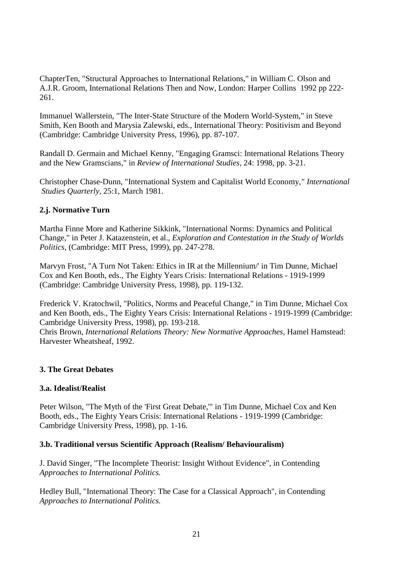ChapterTen, "Structural Approaches to International Relations," in William C. Olson and A.J.R. Groom, International Relations Then and Now, London: Harper Collins 1992 pp 222- 261.

Immanuel Wallerstein, "The Inter-State Structure of the Modern World-System," in Steve Smith, Ken Booth and Marysia Zalewski, eds., International Theory: Positivism and Beyond (Cambridge: Cambridge University Press, 1996), pp. 87-107.

Randall D. Germain and Michael Kenny, "Engaging Gramsci: International Relations Theory and the New Gramscians," in *Review of International Studies,* 24: 1998, pp. 3-21.

Christopher Chase-Dunn, "International System and Capitalist World Economy,*" International Studies Quarterly,* 25:1, March 1981.

## **2.j. Normative Turn**

Martha Finne More and Katherine Sikkink, "International Norms: Dynamics and Political Change," in Peter J. Katazenstein, et al., *Exploration and Contestation in the Study of Worlds Politics,* (Cambridge: MIT Press, 1999), pp. 247-278.

Marvyn Frost, "A Turn Not Taken: Ethics in IR at the Millennium/' in Tim Dunne, Michael Cox and Ken Booth, eds., The Eighty Years Crisis: International Relations - 1919-1999 (Cambridge: Cambridge University Press, 1998), pp. 119-132.

Frederick V. Kratochwil, "Politics, Norms and Peaceful Change," in Tim Dunne, Michael Cox and Ken Booth, eds., The Eighty Years Crisis: International Relations - 1919-1999 (Cambridge: Cambridge University Press, 1998), pp. 193-218.

Chris Brown, *International Relations Theory: New Normative Approaches,* Hamel Hamstead: Harvester Wheatsheaf, 1992.

## **3. The Great Debates**

## **3.a. Idealist/Realist**

Peter Wilson, "The Myth of the 'First Great Debate,'" in Tim Dunne, Michael Cox and Ken Booth, eds., The Eighty Years Crisis: International Relations - 1919-1999 (Cambridge: Cambridge University Press, 1998), pp. 1-16.

#### **3.b. Traditional versus Scientific Approach (Realism/ Behaviouralism)**

J. David Singer, "The Incomplete Theorist: Insight Without Evidence", in Contending *Approaches to International Politics.* 

Hedley Bull, "International Theory: The Case for a Classical Approach", in Contending *Approaches to International Politics.*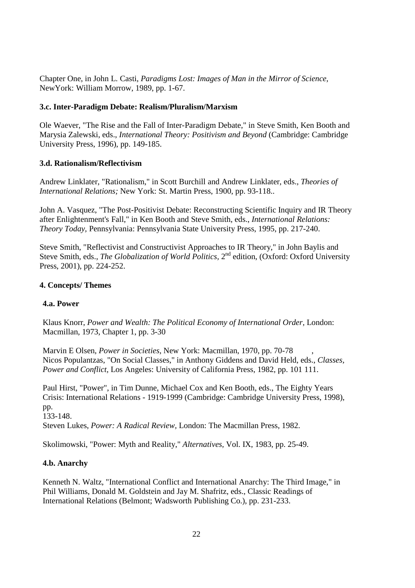Chapter One, in John L. Casti, *Paradigms Lost: Images of Man in the Mirror of Science,* NewYork: William Morrow, 1989, pp. 1-67.

## **3.c. Inter-Paradigm Debate: Realism/Pluralism/Marxism**

Ole Waever, "The Rise and the Fall of Inter-Paradigm Debate," in Steve Smith, Ken Booth and Marysia Zalewski, eds., *International Theory: Positivism and Beyond* (Cambridge: Cambridge University Press, 1996), pp. 149-185.

## **3.d. Rationalism/Reflectivism**

Andrew Linklater, "Rationalism," in Scott Burchill and Andrew Linklater, eds., *Theories of International Relations;* New York: St. Martin Press, 1900, pp. 93-118..

John A. Vasquez, "The Post-Positivist Debate: Reconstructing Scientific Inquiry and IR Theory after Enlightenment's Fall," in Ken Booth and Steve Smith, eds., *International Relations: Theory Today,* Pennsylvania: Pennsylvania State University Press, 1995, pp. 217-240.

Steve Smith, "Reflectivist and Constructivist Approaches to IR Theory," in John Baylis and Steve Smith, eds., *The Globalization of World Politics*, 2<sup>nd</sup> edition, (Oxford: Oxford University Press, 2001), pp. 224-252.

## **4. Concepts/ Themes**

## **4.a. Power**

Klaus Knorr, *Power and Wealth: The Political Economy of International Order,* London: Macmillan, 1973, Chapter 1, pp. 3-30

Marvin E Olsen, *Power in Societies,* New York: Macmillan, 1970, pp. 70-78 , Nicos Populantzas, "On Social Classes," in Anthony Giddens and David Held, eds., *Classes, Power and Conflict,* Los Angeles: University of California Press, 1982, pp. 101 111.

Paul Hirst, "Power", in Tim Dunne, Michael Cox and Ken Booth, eds., The Eighty Years Crisis: International Relations - 1919-1999 (Cambridge: Cambridge University Press, 1998), pp. 133-148.

Steven Lukes, *Power: A Radical Review,* London: The Macmillan Press, 1982.

Skolimowski, "Power: Myth and Reality," *Alternatives,* Vol. IX, 1983, pp. 25-49.

## **4.b. Anarchy**

Kenneth N. Waltz, "International Conflict and International Anarchy: The Third Image," in Phil Williams, Donald M. Goldstein and Jay M. Shafritz, eds., Classic Readings of International Relations (Belmont; Wadsworth Publishing Co.), pp. 231-233.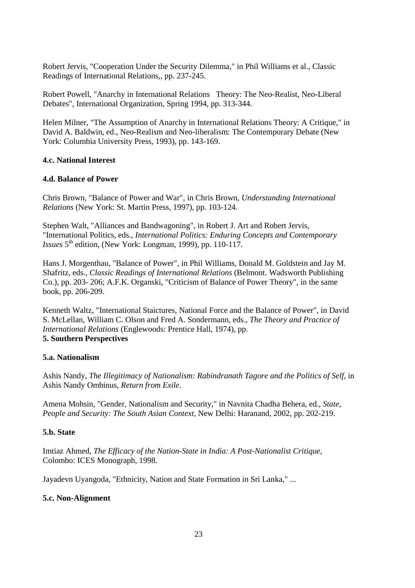Robert Jervis, "Cooperation Under the Security Dilemma," in Phil Williams et al., Classic Readings of International Relations,, pp. 237-245.

Robert Powell, "Anarchy in International Relations Theory: The Neo-Realist, Neo-Liberal Debates", International Organization, Spring 1994, pp. 313-344.

Helen Milner, "The Assumption of Anarchy in International Relations Theory: A Critique," in David A. Baldwin, ed., Neo-Realism and Neo-liberalism: The Contemporary Debate (New York: Columbia University Press, 1993), pp. 143-169.

#### **4.c. National Interest**

#### **4.d. Balance of Power**

Chris Brown, "Balance of Power and War", in Chris Brown, *Understanding International Relations* (New York: St. Martin Press, 1997), pp. 103-124.

Stephen Walt, "Alliances and Bandwagoning", in Robert J. Art and Robert Jervis, "International Politics, eds., *International Politics: Enduring Concepts and Contemporary Issues* 5<sup>th</sup> edition, (New York: Longman, 1999), pp. 110-117.

Hans J. Morgenthau, "Balance of Power", in Phil Williams, Donald M. Goldstein and Jay M. Shafritz, eds., *Classic Readings of International Relations* (Belmont. Wadsworth Publishing Co.), pp. 203- 206; A.F.K. Organski, "Criticism of Balance of Power Theory", in the same book, pp. 206-209.

Kenneth Waltz, "International Staictures, National Force and the Balance of Power", in David S. McLellan, William C. Olson and Fred A. Sondermann, eds., *The Theory and Practice of International Relations* (Englewoods: Prentice Hall, 1974), pp. **5. Southern Perspectives** 

## **5.a. Nationalism**

Ashis Nandy, *The Illegitimacy of Nationalism: Rabindranath Tagore and the Politics of Self,* in Ashis Nandy Ombinus, *Return from Exile.* 

Amena Mohsin, "Gender, Nationalism and Security," in Navnita Chadha Behera, ed., *State, People and Security: The South Asian Context,* New Delhi: Haranand, 2002, pp. 202-219.

#### **5.b. State**

Imtiaz Ahmed, *The Efficacy of the Nation-State in India: A Post-Nationalist Critique,*  Colombo: ICES Monograph, 1998.

Jayadevn Uyangoda, "Ethnicity, Nation and State Formation in Sri Lanka," ...

## **5.c. Non-Alignment**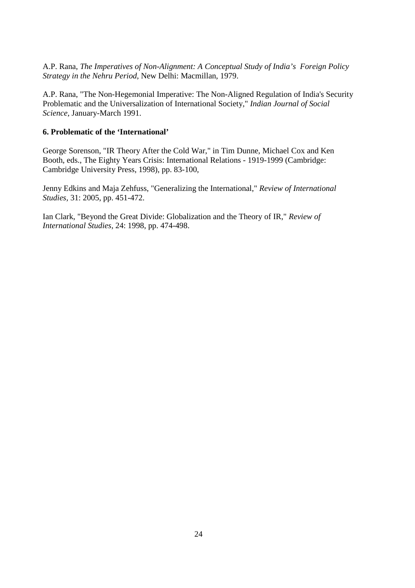A.P. Rana, *The Imperatives of Non-Alignment: A Conceptual Study of India's Foreign Policy Strategy in the Nehru Period,* New Delhi: Macmillan, 1979.

A.P. Rana, "The Non-Hegemonial Imperative: The Non-Aligned Regulation of India's Security Problematic and the Universalization of International Society," *Indian Journal of Social Science,* January-March 1991.

#### **6. Problematic of the 'International'**

George Sorenson, "IR Theory After the Cold War," in Tim Dunne, Michael Cox and Ken Booth, eds., The Eighty Years Crisis: International Relations - 1919-1999 (Cambridge: Cambridge University Press, 1998), pp. 83-100,

Jenny Edkins and Maja Zehfuss, "Generalizing the International," *Review of International Studies,* 31: 2005, pp. 451-472.

Ian Clark, "Beyond the Great Divide: Globalization and the Theory of IR," *Review of International Studies,* 24: 1998, pp. 474-498.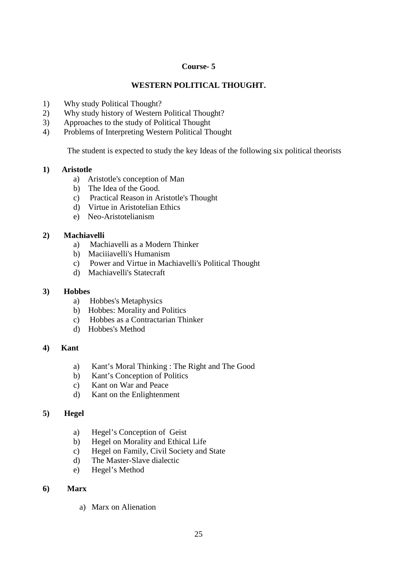## **Course- 5**

## **WESTERN POLITICAL THOUGHT.**

- 1) Why study Political Thought?
- 2) Why study history of Western Political Thought?
- 3) Approaches to the study of Political Thought
- 4) Problems of Interpreting Western Political Thought

The student is expected to study the key Ideas of the following six political theorists

#### **1) Aristotle**

- a) Aristotle's conception of Man
- b) The Idea of the Good.
- c) Practical Reason in Aristotle's Thought
- d) Virtue in Aristotelian Ethics
- e) Neo-Aristotelianism

## **2) Machiavelli**

- a) Machiavelli as a Modern Thinker
- b) Maciiiavelli's Humanism
- c) Power and Virtue in Machiavelli's Political Thought
- d) Machiavelli's Statecraft

#### **3) Hobbes**

- a) Hobbes's Metaphysics
- b) Hobbes: Morality and Politics
- c) Hobbes as a Contractarian Thinker
- d) Hobbes's Method

## **4) Kant**

- a) Kant's Moral Thinking : The Right and The Good
- b) Kant's Conception of Politics
- c) Kant on War and Peace
- d) Kant on the Enlightenment

#### **5) Hegel**

- a) Hegel's Conception of Geist
- b) Hegel on Morality and Ethical Life
- c) Hegel on Family, Civil Society and State
- d) The Master-Slave dialectic
- e) Hegel's Method

## **6) Marx**

a) Marx on Alienation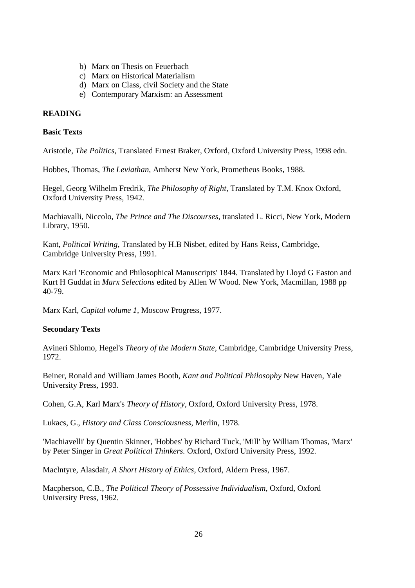- b) Marx on Thesis on Feuerbach
- c) Marx on Historical Materialism
- d) Marx on Class, civil Society and the State
- e) Contemporary Marxism: an Assessment

## **READING**

#### **Basic Texts**

Aristotle, *The Politics,* Translated Ernest Braker, Oxford, Oxford University Press, 1998 edn.

Hobbes, Thomas, *The Leviathan,* Amherst New York, Prometheus Books, 1988.

Hegel, Georg Wilhelm Fredrik, *The Philosophy of Right,* Translated by T.M. Knox Oxford, Oxford University Press, 1942.

Machiavalli, Niccolo, *The Prince and The Discourses,* translated L. Ricci, New York, Modern Library, 1950.

Kant, *Political Writing,* Translated by H.B Nisbet, edited by Hans Reiss, Cambridge, Cambridge University Press, 1991.

Marx Karl 'Economic and Philosophical Manuscripts' 1844. Translated by Lloyd G Easton and Kurt H Guddat in *Marx Selections* edited by Allen W Wood. New York, Macmillan, 1988 pp 40-79.

Marx Karl, *Capital volume 1,* Moscow Progress, 1977.

## **Secondary Texts**

Avineri Shlomo, Hegel's *Theory of the Modern State,* Cambridge, Cambridge University Press, 1972.

Beiner, Ronald and William James Booth, *Kant and Political Philosophy* New Haven, Yale University Press, 1993.

Cohen, G.A, Karl Marx's *Theory of History,* Oxford, Oxford University Press, 1978.

Lukacs, G., *History and Class Consciousness,* Merlin, 1978.

'Machiavelli' by Quentin Skinner, 'Hobbes' by Richard Tuck, 'Mill' by William Thomas, 'Marx' by Peter Singer in *Great Political Thinkers.* Oxford, Oxford University Press, 1992.

Maclntyre, Alasdair, *A Short History of Ethics,* Oxford, Aldern Press, 1967.

Macpherson, C.B., *The Political Theory of Possessive Individualism,* Oxford, Oxford University Press, 1962.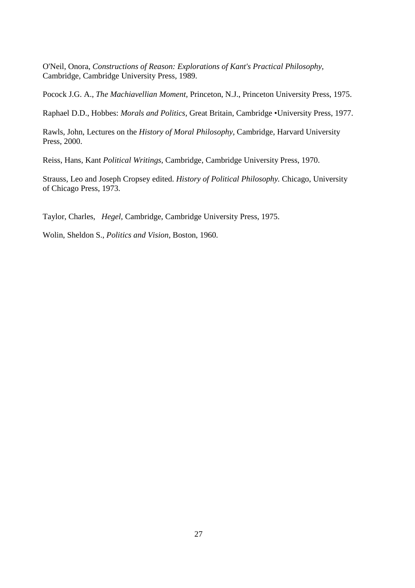O'Neil, Onora, *Constructions of Reason: Explorations of Kant's Practical Philosophy,* Cambridge, Cambridge University Press, 1989.

Pocock J.G. A., *The Machiavellian Moment,* Princeton, N.J., Princeton University Press, 1975.

Raphael D.D., Hobbes: *Morals and Politics,* Great Britain, Cambridge •University Press, 1977.

Rawls, John, Lectures on the *History of Moral Philosophy,* Cambridge, Harvard University Press, 2000.

Reiss, Hans, Kant *Political Writings*, Cambridge, Cambridge University Press, 1970.

Strauss, Leo and Joseph Cropsey edited. *History of Political Philosophy.* Chicago, University of Chicago Press, 1973.

Taylor, Charles, *Hegel,* Cambridge, Cambridge University Press, 1975.

Wolin, Sheldon S., *Politics and Vision,* Boston, 1960.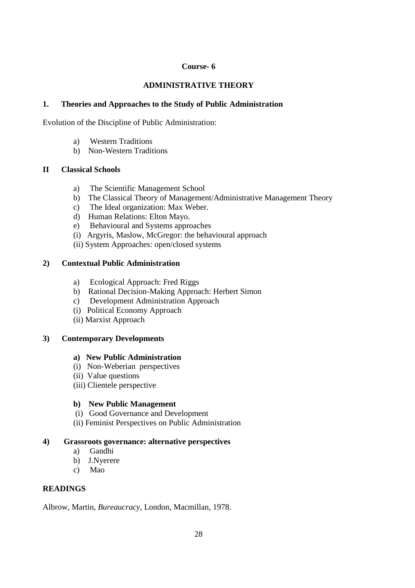## **Course- 6**

## **ADMINISTRATIVE THEORY**

## **1. Theories and Approaches to the Study of Public Administration**

Evolution of the Discipline of Public Administration:

- a) Western Traditions
- b) Non-Western Traditions

## **II Classical Schools**

- a) The Scientific Management School
- b) The Classical Theory of Management/Administrative Management Theory
- c) The Ideal organization: Max Weber.
- d) Human Relations: Elton Mayo.
- e) Behavioural and Systems approaches
- (i) Argyris, Maslow, McGregor: the behavioural approach
- (ii) System Approaches: open/closed systems

## **2) Contextual Public Administration**

- a) Ecological Approach: Fred Riggs
- b) Rational Decision-Making Approach: Herbert Simon
- c) Development Administration Approach
- (i) Political Economy Approach
- (ii) Marxist Approach

## **3) Contemporary Developments**

## **a) New Public Administration**

- (i) Non-Weberian perspectives
- (ii) Value questions
- (iii) Clientele perspective

## **b) New Public Management**

- (i) Good Governance and Development
- (ii) Feminist Perspectives on Public Administration

## **4) Grassroots governance: alternative perspectives**

- a) Gandhi
- b) J.Nyerere
- c) Mao

## **READINGS**

Albrow, Martin, *Bureaucracy,* London, Macmillan, 1978.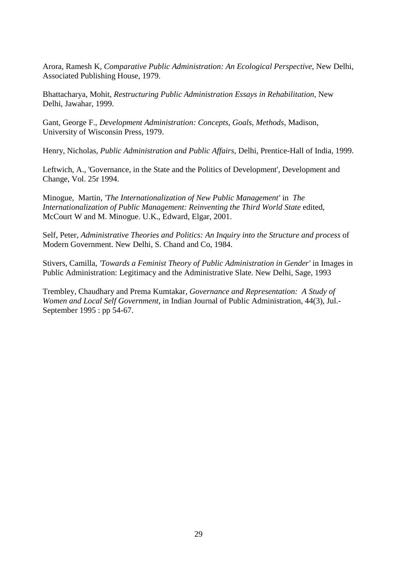Arora, Ramesh K, *Comparative Public Administration: An Ecological Perspective,* New Delhi, Associated Publishing House, 1979.

Bhattacharya, Mohit, *Restructuring Public Administration Essays in Rehabilitation,* New Delhi, Jawahar, 1999.

Gant, George F., *Development Administration: Concepts, Goals, Methods,* Madison, University of Wisconsin Press, 1979.

Henry, Nicholas, *Public Administration and Public Affairs,* Delhi, Prentice-Hall of India, 1999.

Leftwich, A., 'Governance, in the State and the Politics of Development', Development and Change, Vol. 25r 1994.

Minogue, Martin, *'The Internationalization of New Public Management'* in *The Internationalization of Public Management: Reinventing the Third World State* edited, McCourt W and M. Minogue. U.K., Edward, Elgar, 2001.

Self, Peter, *Administrative Theories and Politics: An Inquiry into the Structure and process* of Modern Government. New Delhi, S. Chand and Co, 1984.

Stivers, Camilla, *'Towards a Feminist Theory of Public Administration in Gender'* in Images in Public Administration: Legitimacy and the Administrative Slate. New Delhi, Sage, 1993

Trembley, Chaudhary and Prema Kumtakar, *Governance and Representation: A Study of Women and Local Self Government,* in Indian Journal of Public Administration, 44(3), Jul.- September 1995 : pp 54-67.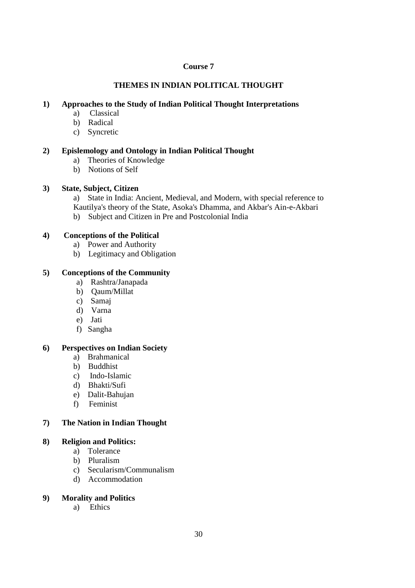## **Course 7**

## **THEMES IN INDIAN POLITICAL THOUGHT**

## **1) Approaches to the Study of Indian Political Thought Interpretations**

- a) Classical
- b) Radical
- c) Syncretic

## **2) Epislemology and Ontology in Indian Political Thought**

- a) Theories of Knowledge
- b) Notions of Self

#### **3) State, Subject, Citizen**

- a) State in India: Ancient, Medieval, and Modern, with special reference to
- Kautilya's theory of the State, Asoka's Dhamma, and Akbar's Ain-e-Akbari
- b) Subject and Citizen in Pre and Postcolonial India

#### **4) Conceptions of the Political**

- a) Power and Authority
- b) Legitimacy and Obligation

## **5) Conceptions of the Community**

- a) Rashtra/Janapada
- b) Qaum/Millat
- c) Samaj
- d) Varna
- e) Jati
- f) Sangha

## **6) Perspectives on Indian Society**

- a) Brahmanical
- b) Buddhist
- c) Indo-Islamic
- d) Bhakti/Sufi
- e) Dalit-Bahujan
- f) Feminist

## **7) The Nation in Indian Thought**

#### **8) Religion and Politics:**

- a) Tolerance
- b) Pluralism
- c) Secularism/Communalism
- d) Accommodation

#### **9) Morality and Politics**

a) Ethics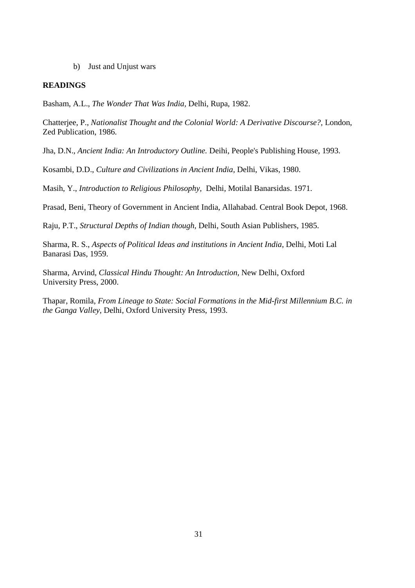b) Just and Unjust wars

#### **READINGS**

Basham, A.L., *The Wonder That Was India,* Delhi, Rupa, 1982.

Chatterjee, P., *Nationalist Thought and the Colonial World: A Derivative Discourse?,* London, Zed Publication, 1986.

Jha, D.N., *Ancient India: An Introductory Outline.* Deihi, People's Publishing House, 1993.

Kosambi, D.D., *Culture and Civilizations in Ancient India,* Delhi, Vikas, 1980.

Masih, Y., *Introduction to Religious Philosophy,* Delhi, Motilal Banarsidas. 1971.

Prasad, Beni, Theory of Government in Ancient India, Allahabad. Central Book Depot, 1968.

Raju, P.T., *Structural Depths of Indian though,* Delhi, South Asian Publishers, 1985.

Sharma, R. S., *Aspects of Political Ideas and institutions in Ancient India*, Delhi, Moti Lal Banarasi Das, 1959.

Sharma, Arvind, *Classical Hindu Thought: An Introduction,* New Delhi, Oxford University Press, 2000.

Thapar, Romila, *From Lineage to State: Social Formations in the Mid-first Millennium B.C. in the Ganga Valley,* Delhi, Oxford University Press, 1993.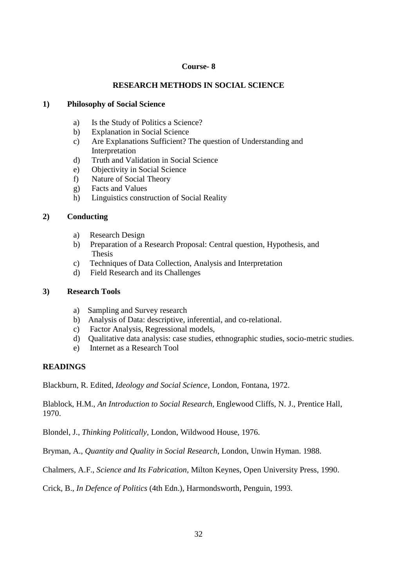## **Course- 8**

## **RESEARCH METHODS IN SOCIAL SCIENCE**

## **1) Philosophy of Social Science**

- a) Is the Study of Politics a Science?
- b) Explanation in Social Science
- c) Are Explanations Sufficient? The question of Understanding and Interpretation
- d) Truth and Validation in Social Science
- e) Objectivity in Social Science
- f) Nature of Social Theory
- g) Facts and Values
- h) Linguistics construction of Social Reality

## **2) Conducting**

- a) Research Design
- b) Preparation of a Research Proposal: Central question, Hypothesis, and Thesis
- c) Techniques of Data Collection, Analysis and Interpretation
- d) Field Research and its Challenges

## **3) Research Tools**

- a) Sampling and Survey research
- b) Analysis of Data: descriptive, inferential, and co-relational.
- c) Factor Analysis, Regressional models,
- d) Qualitative data analysis: case studies, ethnographic studies, socio-metric studies.
- e) Internet as a Research Tool

## **READINGS**

Blackburn, R. Edited, *Ideology and Social Science,* London, Fontana, 1972.

Blablock, H.M., *An Introduction to Social Research,* Englewood Cliffs, N. J., Prentice Hall, 1970.

Blondel, J., *Thinking Politically,* London, Wildwood House, 1976.

Bryman, A., *Quantity and Quality in Social Research,* London, Unwin Hyman. 1988.

Chalmers, A.F., *Science and Its Fabrication,* Milton Keynes, Open University Press, 1990.

Crick, B., *In Defence of Politics* (4th Edn.), Harmondsworth, Penguin, 1993.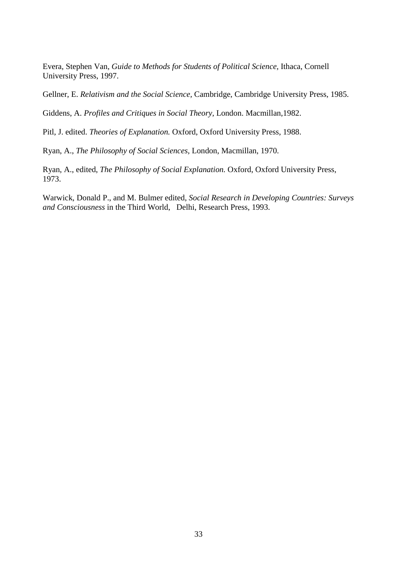Evera, Stephen Van, *Guide to Methods for Students of Political Science,* Ithaca, Cornell University Press, 1997.

Gellner, E. *Relativism and the Social Science,* Cambridge, Cambridge University Press, 1985.

Giddens, A. *Profiles and Critiques in Social Theory,* London. Macmillan,1982.

Pitl, J. edited. *Theories of Explanation.* Oxford, Oxford University Press, 1988.

Ryan, A., *The Philosophy of Social Sciences,* London, Macmillan, 1970.

Ryan, A., edited, *The Philosophy of Social Explanation.* Oxford, Oxford University Press, 1973.

Warwick, Donald P., and M. Bulmer edited, *Social Research in Developing Countries: Surveys and Consciousness* in the Third World, Delhi, Research Press, 1993.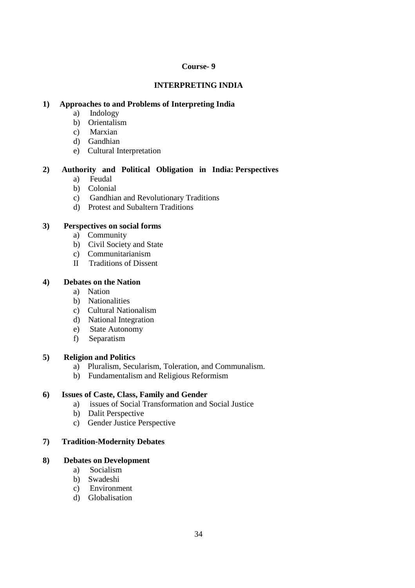## **Course- 9**

## **INTERPRETING INDIA**

## **1) Approaches to and Problems of Interpreting India**

- a) Indology
- b) Orientalism
- c) Marxian
- d) Gandhian
- e) Cultural Interpretation

## **2) Authority and Political Obligation in India: Perspectives**

- a) Feudal
- b) Colonial
- c) Gandhian and Revolutionary Traditions
- d) Protest and Subaltern Traditions

## **3) Perspectives on social forms**

- a) Community
- b) Civil Society and State
- c) Communitarianism
- II Traditions of Dissent

#### **4) Debates on the Nation**

- a) Nation
- b) Nationalities
- c) Cultural Nationalism
- d) National Integration
- e) State Autonomy
- f) Separatism

## **5) Religion and Politics**

- a) Pluralism, Secularism, Toleration, and Communalism.
- b) Fundamentalism and Religious Reformism

#### **6) Issues of Caste, Class, Family and Gender**

- a) issues of Social Transformation and Social Justice
- b) Dalit Perspective
- c) Gender Justice Perspective

## **7) Tradition-Modernity Debates**

#### **8) Debates on Development**

- a) Socialism
- b) Swadeshi
- c) Environment
- d) Globalisation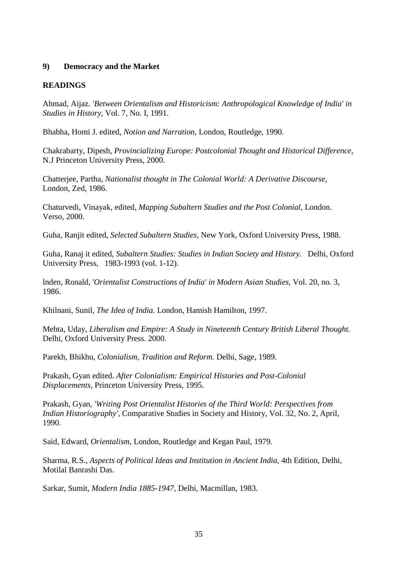#### **9) Democracy and the Market**

#### **READINGS**

Ahmad, Aijaz. *'Between Orientalism and Historicism: Anthropological Knowledge of India' in Studies in History,* Vol. 7, No. I, 1991.

Bhabha, Homi J. edited, *Notion and Narration,* London, Routledge, 1990.

Chakrabarty, Dipesh, *Provincializing Europe: Postcolonial Thought and Historical Difference,* N.J Princeton University Press, 2000.

Chatterjee, Partha, *Nationalist thought in The Colonial World: A Derivative Discourse,* London, Zed, 1986.

Chaturvedi, Vinayak, edited, *Mapping Subaltern Studies and the Post Colonial,* London. Verso, 2000.

Guha, Ranjit edited, *Selected Subaltern Studies,* New York, Oxford University Press, 1988.

Guha, Ranaj it edited, *Subaltern Studies: Studies in Indian Society and History.* Delhi, Oxford University Press, 1983-1993 (vol. 1-12).

lnden, Ronald, '*Orientalist Constructions of India' in Modern Asian Studies,* Vol. 20, no. 3, 1986.

Khilnani, Sunil, *The Idea of India.* London, Hamish Hamilton, 1997.

Mehta, Uday, *Liberalism and Empire: A Study in Nineteenth Century British Liberal Thought.* Delhi, Oxford University Press. 2000.

Parekh, Bhikhu, *Colonialism, Tradition and Reform.* Delhi, Sage, 1989.

Prakash, Gyan edited. *After Colonialism: Empirical Histories and Post-Colonial Displacements,* Princeton University Press, 1995.

Prakash, Gyan, *'Writing Post Orientalist Histories of the Third World: Perspectives from Indian Historiography',* Comparative Studies in Society and History, Vol. 32, No. 2, April, 1990.

Said, Edward, *Orientalism,* London, Routledge and Kegan Paul, 1979.

Sharma, R.S., *Aspects of Political Ideas and Institution in Ancient India,* 4th Edition, Delhi, Motilal Banrashi Das.

Sarkar, Sumit, *Modern India 1885-1947*, Delhi, Macmillan, 1983.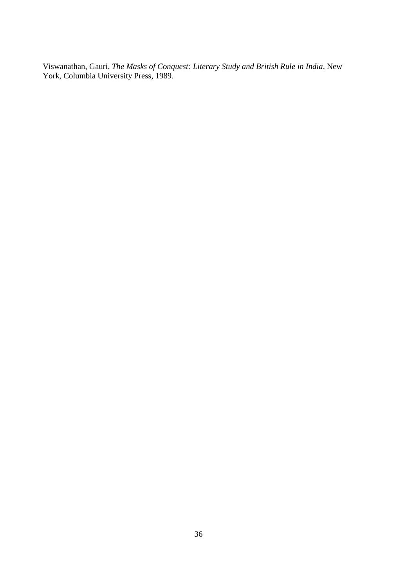Viswanathan, Gauri, *The Masks of Conquest: Literary Study and British Rule in India,* New York, Columbia University Press, 1989.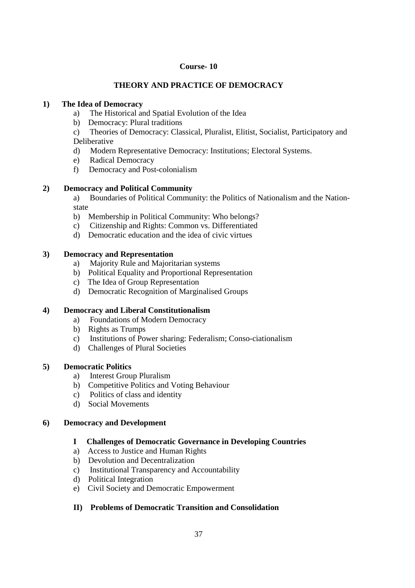#### **Course- 10**

## **THEORY AND PRACTICE OF DEMOCRACY**

### **1) The Idea of Democracy**

- a) The Historical and Spatial Evolution of the Idea
- b) Democracy: Plural traditions
- c) Theories of Democracy: Classical, Pluralist, Elitist, Socialist, Participatory and Deliberative
- d) Modern Representative Democracy: Institutions; Electoral Systems.
- e) Radical Democracy
- f) Democracy and Post-colonialism

### **2) Democracy and Political Community**

a) Boundaries of Political Community: the Politics of Nationalism and the Nationstate

- b) Membership in Political Community: Who belongs?
- c) Citizenship and Rights: Common vs. Differentiated
- d) Democratic education and the idea of civic virtues

### **3) Democracy and Representation**

- a) Majority Rule and Majoritarian systems
- b) Political Equality and Proportional Representation
- c) The Idea of Group Representation
- d) Democratic Recognition of Marginalised Groups

### **4) Democracy and Liberal Constitutionalism**

- a) Foundations of Modern Democracy
- b) Rights as Trumps
- c) Institutions of Power sharing: Federalism; Conso-ciationalism
- d) Challenges of Plural Societies

### **5) Democratic Politics**

- a) Interest Group Pluralism
- b) Competitive Politics and Voting Behaviour
- c) Politics of class and identity
- d) Social Movements

### **6) Democracy and Development**

# **I Challenges of Democratic Governance in Developing Countries**

- a) Access to Justice and Human Rights
- b) Devolution and Decentralization
- c) Institutional Transparency and Accountability
- d) Political Integration
- e) Civil Society and Democratic Empowerment

# **II) Problems of Democratic Transition and Consolidation**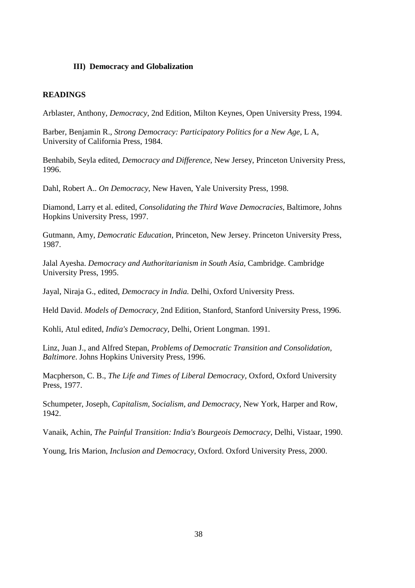#### **III) Democracy and Globalization**

#### **READINGS**

Arblaster, Anthony, *Democracy*, 2nd Edition, Milton Keynes, Open University Press, 1994.

Barber, Benjamin R., *Strong Democracy: Participatory Politics for a New Age,* L A, University of California Press, 1984.

Benhabib, Seyla edited, *Democracy and Difference,* New Jersey, Princeton University Press, 1996.

Dahl, Robert A.. *On Democracy,* New Haven, Yale University Press, 1998.

Diamond, Larry et al. edited, *Consolidating the Third Wave Democracies,* Baltimore, Johns Hopkins University Press, 1997.

Gutmann, Amy, *Democratic Education,* Princeton, New Jersey. Princeton University Press, 1987.

Jalal Ayesha. *Democracy and Authoritarianism in South Asia,* Cambridge. Cambridge University Press, 1995.

Jayal, Niraja G., edited, *Democracy in India.* Delhi, Oxford University Press.

Held David. *Models of Democracy,* 2nd Edition, Stanford, Stanford University Press, 1996.

Kohli, Atul edited, *India's Democracy,* Delhi, Orient Longman. 1991.

Linz, Juan J., and Alfred Stepan, *Problems of Democratic Transition and Consolidation, Baltimore*. Johns Hopkins University Press, 1996.

Macpherson, C. B., *The Life and Times of Liberal Democracy,* Oxford, Oxford University Press, 1977.

Schumpeter, Joseph, *Capitalism, Socialism, and Democracy,* New York, Harper and Row, 1942.

Vanaik, Achin, *The Painful Transition: India's Bourgeois Democracy,* Delhi, Vistaar, 1990.

Young, Iris Marion, *Inclusion and Democracy,* Oxford. Oxford University Press, 2000.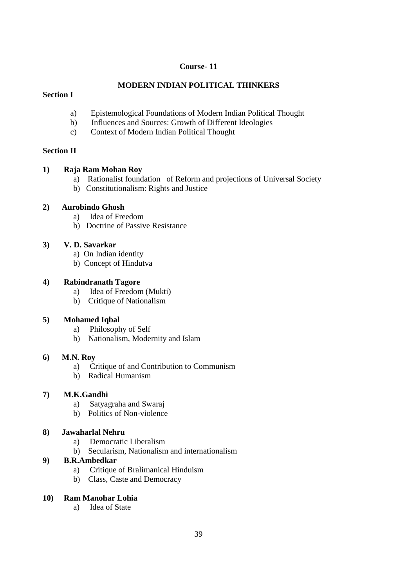### **Course- 11**

# **MODERN INDIAN POLITICAL THINKERS**

### **Section I**

- a) Epistemological Foundations of Modern Indian Political Thought
- b) Influences and Sources: Growth of Different Ideologies
- c) Context of Modern Indian Political Thought

### **Section II**

### **1) Raja Ram Mohan Roy**

- a) Rationalist foundation of Reform and projections of Universal Society
- b) Constitutionalism: Rights and Justice

## **2) Aurobindo Ghosh**

- a) Idea of Freedom
- b) Doctrine of Passive Resistance

# **3) V. D. Savarkar**

- a) On Indian identity
- b) Concept of Hindutva

## **4) Rabindranath Tagore**

- a) Idea of Freedom (Mukti)
- b) Critique of Nationalism

# **5) Mohamed Iqbal**

- a) Philosophy of Self
- b) Nationalism, Modernity and Islam

### **6) M.N. Roy**

- a) Critique of and Contribution to Communism
- b) Radical Humanism

### **7) M.K.Gandhi**

- a) Satyagraha and Swaraj
- b) Politics of Non-violence

# **8) Jawaharlal Nehru**

- a) Democratic Liberalism
- b) Secularism, Nationalism and internationalism

### **9) B.R.Ambedkar**

- a) Critique of Bralimanical Hinduism
- b) Class, Caste and Democracy

### **10) Ram Manohar Lohia**

a) Idea of State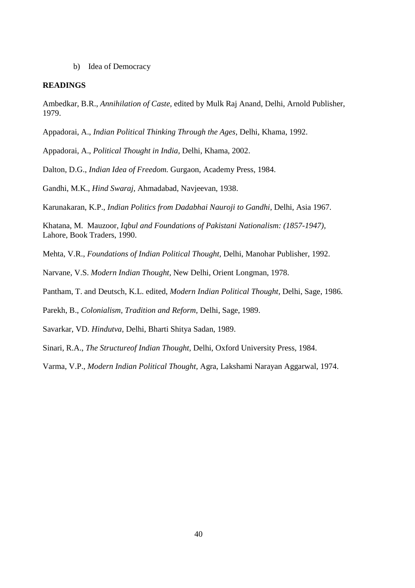b) Idea of Democracy

#### **READINGS**

Ambedkar, B.R., *Annihilation of Caste,* edited by Mulk Raj Anand, Delhi, Arnold Publisher, 1979.

Appadorai, A., *Indian Political Thinking Through the Ages,* Delhi, Khama, 1992.

Appadorai, A., *Political Thought in India,* Delhi, Khama, 2002.

Dalton, D.G., *Indian Idea of Freedom.* Gurgaon, Academy Press, 1984.

Gandhi, M.K., *Hind Swaraj,* Ahmadabad, Navjeevan, 1938.

Karunakaran, K.P., *Indian Politics from Dadabhai Nauroji to Gandhi,* Delhi, Asia 1967.

Khatana, M. Mauzoor, *Iqbul and Foundations of Pakistani Nationalism: (1857-1947),* Lahore, Book Traders, 1990.

Mehta, V.R., *Foundations of Indian Political Thought,* Delhi, Manohar Publisher, 1992.

Narvane, V.S. *Modern Indian Thought,* New Delhi, Orient Longman, 1978.

Pantham, T. and Deutsch, K.L. edited, *Modern Indian Political Thought,* Delhi, Sage, 1986.

Parekh, B., *Colonialism, Tradition and Reform,* Delhi, Sage, 1989.

Savarkar, VD. *Hindutva,* Delhi, Bharti Shitya Sadan, 1989.

Sinari, R.A., *The Structureof Indian Thought,* Delhi, Oxford University Press, 1984.

Varma, V.P., *Modern Indian Political Thought,* Agra, Lakshami Narayan Aggarwal, 1974.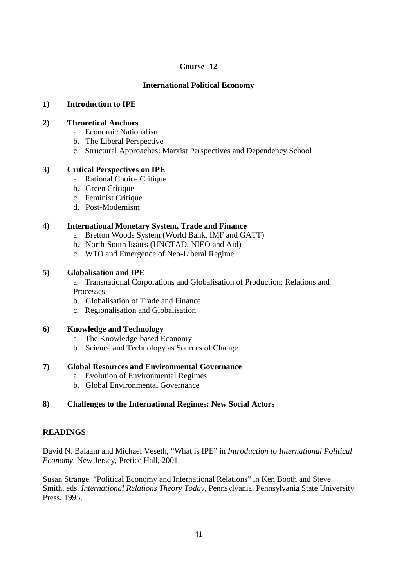### **Course- 12**

## **International Political Economy**

### **1) Introduction to IPE**

## **2) Theoretical Anchors**

- a. Economic Nationalism
- b. The Liberal Perspective
- c. Structural Approaches: Marxist Perspectives and Dependency School

### **3) Critical Perspectives on IPE**

- a. Rational Choice Critique
- b. Green Critique
- c. Feminist Critique
- d. Post-Modernism

## **4) International Monetary System, Trade and Finance**

- a. Bretton Woods System (World Bank, IMF and GATT)
- b. North-South Issues (UNCTAD, NIEO and Aid)
- c. WTO and Emergence of Neo-Liberal Regime

## **5) Globalisation and IPE**

a. Transnational Corporations and Globalisation of Production: Relations and Processes

- b. Globalisation of Trade and Finance
- c. Regionalisation and Globalisation

# **6) Knowledge and Technology**

- a. The Knowledge-based Economy
- b. Science and Technology as Sources of Change

### **7) Global Resources and Environmental Governance**

- a. Evolution of Environmental Regimes
- b. Global Environmental Governance

# **8) Challenges to the International Regimes: New Social Actors**

# **READINGS**

David N. Balaam and Michael Veseth, "What is IPE" in *Introduction to International Political Economy,* New Jersey, Pretice Hall, 2001.

Susan Strange, "Political Economy and International Relations" in Ken Booth and Steve Smith, eds. *International Relations Theory Today,* Pennsylvania, Pennsylvania State University Press, 1995.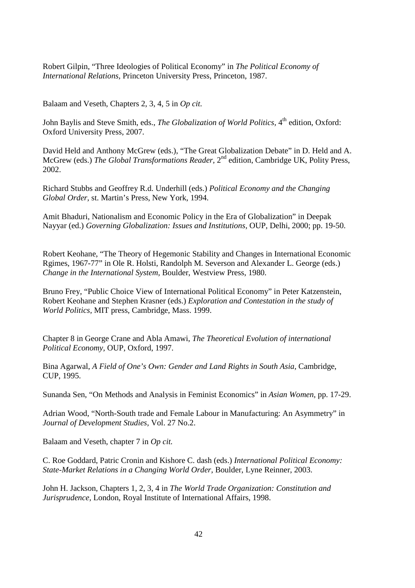Robert Gilpin, "Three Ideologies of Political Economy" in *The Political Economy of International Relations,* Princeton University Press, Princeton, 1987.

Balaam and Veseth, Chapters 2, 3, 4, 5 in *Op cit.* 

John Baylis and Steve Smith, eds., *The Globalization of World Politics*. 4<sup>th</sup> edition. Oxford: Oxford University Press, 2007.

David Held and Anthony McGrew (eds.), "The Great Globalization Debate" in D. Held and A. McGrew (eds.) *The Global Transformations Reader,* 2nd edition, Cambridge UK, Polity Press, 2002.

Richard Stubbs and Geoffrey R.d. Underhill (eds.) *Political Economy and the Changing Global Order,* st. Martin's Press, New York, 1994.

Amit Bhaduri, Nationalism and Economic Policy in the Era of Globalization" in Deepak Nayyar (ed.) *Governing Globalization: Issues and Institutions,* OUP, Delhi, 2000; pp. 19-50.

Robert Keohane, "The Theory of Hegemonic Stability and Changes in International Economic Rgimes, 1967-77" in Ole R. Holsti, Randolph M. Severson and Alexander L. George (eds.) *Change in the International System,* Boulder, Westview Press, 1980.

Bruno Frey, "Public Choice View of International Political Economy" in Peter Katzenstein, Robert Keohane and Stephen Krasner (eds.) *Exploration and Contestation in the study of World Politics,* MIT press, Cambridge, Mass. 1999.

Chapter 8 in George Crane and Abla Amawi, *The Theoretical Evolution of international Political Economy,* OUP, Oxford, 1997.

Bina Agarwal, *A Field of One's Own: Gender and Land Rights in South Asia,* Cambridge, CUP, 1995.

Sunanda Sen, "On Methods and Analysis in Feminist Economics" in *Asian Women,* pp. 17-29.

Adrian Wood, "North-South trade and Female Labour in Manufacturing: An Asymmetry" in *Journal of Development Studies,* Vol. 27 No.2.

Balaam and Veseth, chapter 7 in *Op cit.* 

C. Roe Goddard, Patric Cronin and Kishore C. dash (eds.) *International Political Economy: State-Market Relations in a Changing World Order,* Boulder, Lyne Reinner, 2003.

John H. Jackson, Chapters 1, 2, 3, 4 in *The World Trade Organization: Constitution and Jurisprudence,* London, Royal Institute of International Affairs, 1998.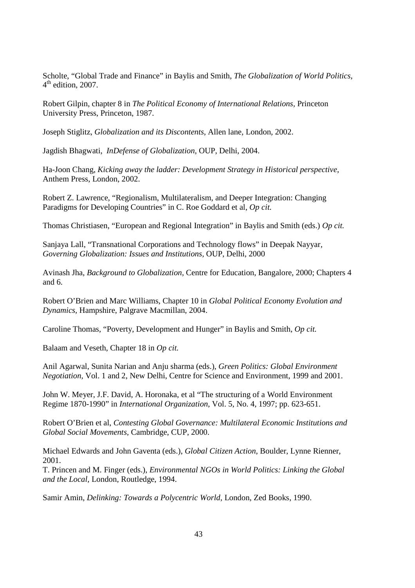Scholte, "Global Trade and Finance" in Baylis and Smith, *The Globalization of World Politics,*   $4<sup>th</sup>$  edition, 2007.

Robert Gilpin, chapter 8 in *The Political Economy of International Relations,* Princeton University Press, Princeton, 1987.

Joseph Stiglitz, *Globalization and its Discontents,* Allen lane, London, 2002.

Jagdish Bhagwati, *InDefense of Globalization,* OUP, Delhi, 2004.

Ha-Joon Chang, *Kicking away the ladder: Development Strategy in Historical perspective*, Anthem Press, London, 2002.

Robert Z. Lawrence, "Regionalism, Multilateralism, and Deeper Integration: Changing Paradigms for Developing Countries" in C. Roe Goddard et al, *Op cit.*

Thomas Christiasen, "European and Regional Integration" in Baylis and Smith (eds.) *Op cit.*

Sanjaya Lall, "Transnational Corporations and Technology flows" in Deepak Nayyar, *Governing Globalization: Issues and Institutions,* OUP, Delhi, 2000

Avinash Jha, *Background to Globalization,* Centre for Education, Bangalore, 2000; Chapters 4 and 6.

Robert O'Brien and Marc Williams, Chapter 10 in *Global Political Economy Evolution and Dynamics,* Hampshire, Palgrave Macmillan, 2004.

Caroline Thomas, "Poverty, Development and Hunger" in Baylis and Smith, *Op cit.*

Balaam and Veseth, Chapter 18 in *Op cit.* 

Anil Agarwal, Sunita Narian and Anju sharma (eds.), *Green Politics: Global Environment Negotiation,* Vol. 1 and 2, New Delhi, Centre for Science and Environment, 1999 and 2001.

John W. Meyer, J.F. David, A. Horonaka, et al "The structuring of a World Environment Regime 1870-1990" in *International Organization,* Vol. 5, No. 4, 1997; pp. 623-651.

Robert O'Brien et al, *Contesting Global Governance: Multilateral Economic Institutions and Global Social Movements,* Cambridge, CUP, 2000.

Michael Edwards and John Gaventa (eds.), *Global Citizen Action,* Boulder, Lynne Rienner, 2001.

T. Princen and M. Finger (eds.), *Environmental NGOs in World Politics: Linking the Global and the Local,* London, Routledge, 1994.

Samir Amin, *Delinking: Towards a Polycentric World,* London, Zed Books, 1990.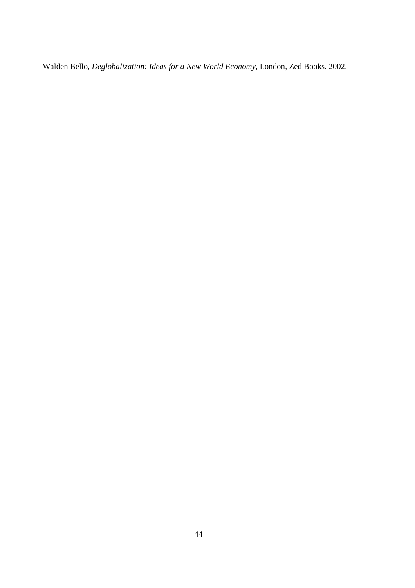Walden Bello, *Deglobalization: Ideas for a New World Economy,* London, Zed Books. 2002.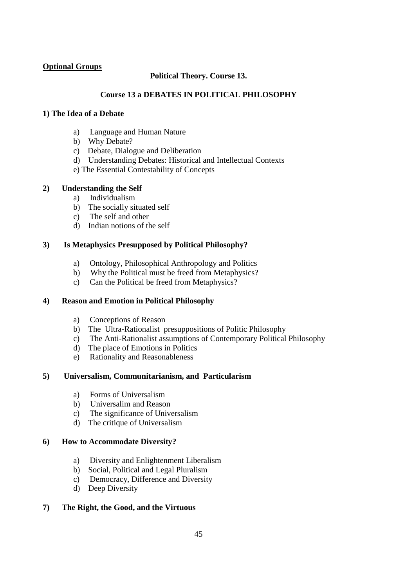## **Optional Groups**

# **Political Theory. Course 13.**

## **Course 13 a DEBATES IN POLITICAL PHILOSOPHY**

### **1) The Idea of a Debate**

- a) Language and Human Nature
- b) Why Debate?
- c) Debate, Dialogue and Deliberation
- d) Understanding Debates: Historical and Intellectual Contexts
- e) The Essential Contestability of Concepts

## **2) Understanding the Self**

- a) Individualism
- b) The socially situated self
- c) The self and other
- d) Indian notions of the self

## **3) Is Metaphysics Presupposed by Political Philosophy?**

- a) Ontology, Philosophical Anthropology and Politics
- b) Why the Political must be freed from Metaphysics?
- c) Can the Political be freed from Metaphysics?

### **4) Reason and Emotion in Political Philosophy**

- a) Conceptions of Reason
- b) The Ultra-Rationalist presuppositions of Politic Philosophy
- c) The Anti-Rationalist assumptions of Contemporary Political Philosophy
- d) The place of Emotions in Politics
- e) Rationality and Reasonableness

# **5) Universalism, Communitarianism, and Particularism**

- a) Forms of Universalism
- b) Universalim and Reason
- c) The significance of Universalism
- d) The critique of Universalism

### **6) How to Accommodate Diversity?**

- a) Diversity and Enlightenment Liberalism
- b) Social, Political and Legal Pluralism
- c) Democracy, Difference and Diversity
- d) Deep Diversity

### **7) The Right, the Good, and the Virtuous**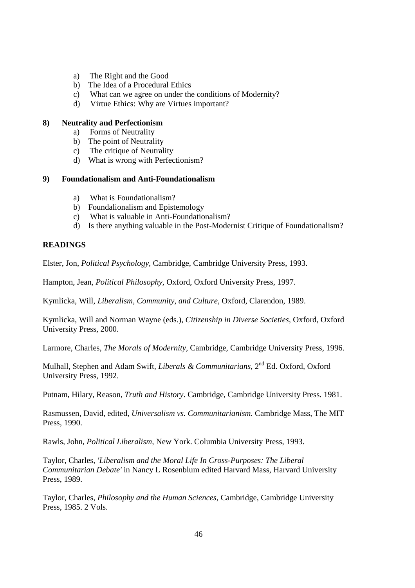- a) The Right and the Good
- b) The Idea of a Procedural Ethics
- c) What can we agree on under the conditions of Modernity?
- d) Virtue Ethics: Why are Virtues important?

#### **8) Neutrality and Perfectionism**

- a) Forms of Neutrality
	- b) The point of Neutrality
	- c) The critique of Neutrality
	- d) What is wrong with Perfectionism?

#### **9) Foundationalism and Anti-Foundationalism**

- a) What is Foundationalism?
- b) Foundalionalism and Epistemology
- c) What is valuable in Anti-Foundationalism?
- d) Is there anything valuable in the Post-Modernist Critique of Foundationalism?

## **READINGS**

Elster, Jon, *Political Psychology,* Cambridge, Cambridge University Press, 1993.

Hampton, Jean, *Political Philosophy,* Oxford, Oxford University Press, 1997.

Kymlicka, Will*, Liberalism, Community, and Culture,* Oxford, Clarendon, 1989.

Kymlicka, Will and Norman Wayne (eds.), *Citizenship in Diverse Societies,* Oxford, Oxford University Press, 2000.

Larmore, Charles, *The Morals of Modernity,* Cambridge, Cambridge University Press, 1996.

Mulhall, Stephen and Adam Swift, *Liberals & Communitarians*, 2<sup>nd</sup> Ed. Oxford, Oxford University Press, 1992.

Putnam, Hilary, Reason, *Truth and History*. Cambridge, Cambridge University Press. 1981.

Rasmussen, David, edited, *Universalism vs. Communitarianism.* Cambridge Mass, The MIT Press, 1990.

Rawls, John, *Political Liberalism,* New York. Columbia University Press, 1993.

Taylor, Charles, *'Liberalism and the Moral Life In Cross-Purposes: The Liberal Communitarian Debate'* in Nancy L Rosenblum edited Harvard Mass, Harvard University Press, 1989.

Taylor, Charles, *Philosophy and the Human Sciences,* Cambridge, Cambridge University Press, 1985. 2 Vols.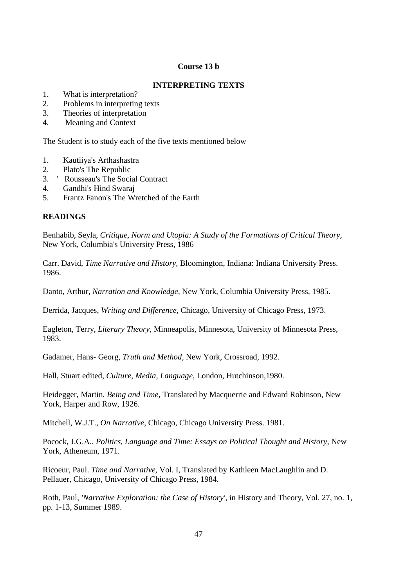### **Course 13 b**

#### **INTERPRETING TEXTS**

- 1. What is interpretation?
- 2. Problems in interpreting texts
- 3. Theories of interpretation
- 4. Meaning and Context

The Student is to study each of the five texts mentioned below

- 1. Kautiiya's Arthashastra
- 2. Plato's The Republic
- 3. ' Rousseau's The Social Contract
- 4. Gandhi's Hind Swaraj
- 5. Frantz Fanon's The Wretched of the Earth

### **READINGS**

Benhabib, Seyla, *Critique, Norm and Utopia: A Study of the Formations of Critical Theory,* New York, Columbia's University Press, 1986

Carr. David, *Time Narrative and History,* Bloomington, Indiana: Indiana University Press. 1986.

Danto, Arthur, *Narration and Knowledge,* New York, Columbia University Press, 1985.

Derrida, Jacques, *Writing and Difference,* Chicago, University of Chicago Press, 1973.

Eagleton, Terry, *Literary Theory,* Minneapolis, Minnesota, University of Minnesota Press, 1983.

Gadamer, Hans- Georg, *Truth and Method,* New York, Crossroad, 1992.

Hall, Stuart edited, *Culture, Media, Language,* London, Hutchinson,1980.

Heidegger, Martin, *Being and Time,* Translated by Macquerrie and Edward Robinson, New York, Harper and Row, 1926.

Mitchell, W.J.T., *On Narrative,* Chicago, Chicago University Press. 1981.

Pocock, J.G.A., *Politics, Language and Time: Essays on Political Thought and History,* New York, Atheneum, 1971.

Ricoeur, Paul. *Time and Narrative,* Vol. I, Translated by Kathleen MacLaughlin and D. Pellauer, Chicago, University of Chicago Press, 1984.

Roth, Paul, *'Narrative Exploration: the Case of History',* in History and Theory, Vol. 27, no. 1, pp. 1-13, Summer 1989.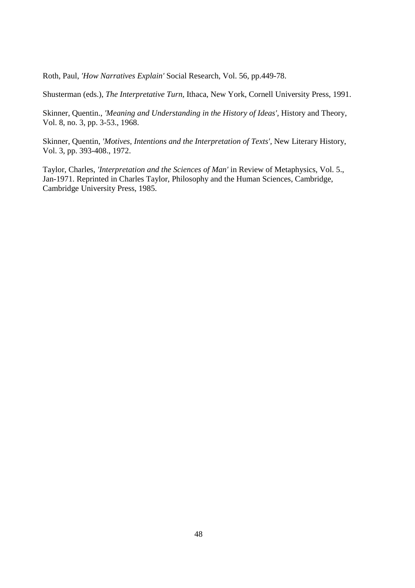Roth, Paul, *'How Narratives Explain'* Social Research, Vol. 56, pp.449-78.

Shusterman (eds.), *The Interpretative Turn,* Ithaca, New York, Cornell University Press, 1991.

Skinner, Quentin., *'Meaning and Understanding in the History of Ideas',* History and Theory, Vol. 8, no. 3, pp. 3-53., 1968.

Skinner, Quentin, *'Motives, Intentions and the Interpretation of Texts',* New Literary History, Vol. 3, pp. 393-408., 1972.

Taylor, Charles, *'Interpretation and the Sciences of Man'* in Review of Metaphysics, Vol. 5., Jan-1971. Reprinted in Charles Taylor, Philosophy and the Human Sciences, Cambridge, Cambridge University Press, 1985.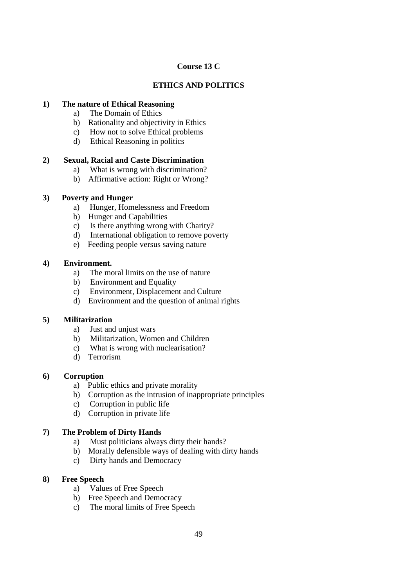# **Course 13 C**

# **ETHICS AND POLITICS**

### **1) The nature of Ethical Reasoning**

- a) The Domain of Ethics
- b) Rationality and objectivity in Ethics
- c) How not to solve Ethical problems
- d) Ethical Reasoning in politics

## **2) Sexual, Racial and Caste Discrimination**

- a) What is wrong with discrimination?
- b) Affirmative action: Right or Wrong?

## **3) Poverty and Hunger**

- a) Hunger, Homelessness and Freedom
- b) Hunger and Capabilities
- c) Is there anything wrong with Charity?
- d) International obligation to remove poverty
- e) Feeding people versus saving nature

### **4) Environment.**

- a) The moral limits on the use of nature
- b) Environment and Equality
- c) Environment, Displacement and Culture
- d) Environment and the question of animal rights

### **5) Militarization**

- a) Just and unjust wars
- b) Militarization, Women and Children
- c) What is wrong with nuclearisation?
- d) Terrorism

### **6) Corruption**

- a) Public ethics and private morality
- b) Corruption as the intrusion of inappropriate principles
- c) Corruption in public life
- d) Corruption in private life

# **7) The Problem of Dirty Hands**

- a) Must politicians always dirty their hands?
- b) Morally defensible ways of dealing with dirty hands
- c) Dirty hands and Democracy

### **8) Free Speech**

- a) Values of Free Speech
- b) Free Speech and Democracy
- c) The moral limits of Free Speech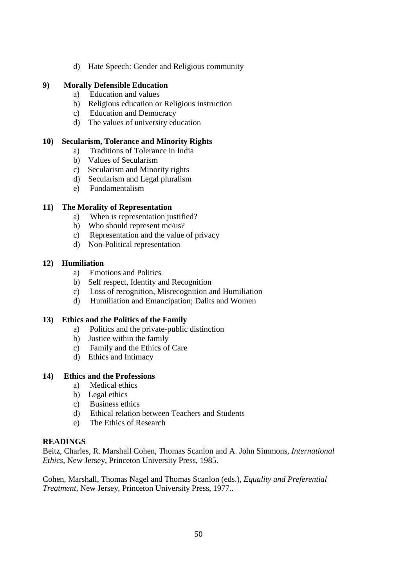d) Hate Speech: Gender and Religious community

### **9) Morally Defensible Education**

- a) Education and values
- b) Religious education or Religious instruction
- c) Education and Democracy
- d) The values of university education

#### **10) Secularism, Tolerance and Minority Rights**

- a) Traditions of Tolerance in India
- b) Values of Secularism
- c) Secularism and Minority rights
- d) Secularism and Legal pluralism
- e) Fundamentalism

#### **11) The Morality of Representation**

- a) When is representation justified?
- b) Who should represent me/us?
- c) Representation and the value of privacy
- d) Non-Political representation

#### **12) Humiliation**

- a) Emotions and Politics
- b) Self respect, Identity and Recognition
- c) Loss of recognition, Misrecognition and Humiliation
- d) Humiliation and Emancipation; Dalits and Women

#### **13) Ethics and the Politics of the Family**

- a) Politics and the private-public distinction
- b) Justice within the family
- c) Family and the Ethics of Care
- d) Ethics and Intimacy

#### **14) Ethics and the Professions**

- a) Medical ethics
- b) Legal ethics
- c) Business ethics
- d) Ethical relation between Teachers and Students
- e) The Ethics of Research

#### **READINGS**

Beitz, Charles, R. Marshall Cohen, Thomas Scanlon and A. John Simmons, *International Ethics,* New Jersey, Princeton University Press, 1985.

Cohen, Marshall, Thomas Nagel and Thomas Scanlon (eds.), *Equality and Preferential Treatment,* New Jersey, Princeton University Press, 1977..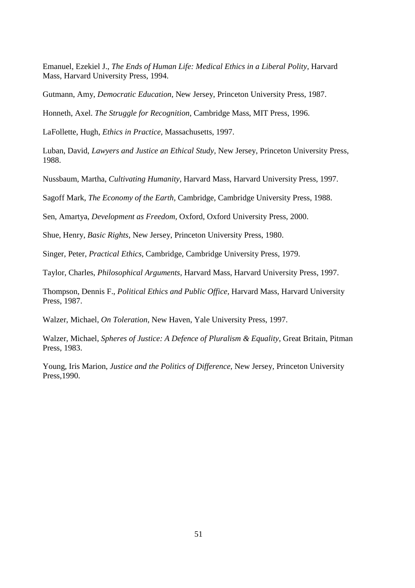Emanuel, Ezekiel J., *The Ends of Human Life: Medical Ethics in a Liberal Polity,* Harvard Mass, Harvard University Press, 1994.

Gutmann, Amy, *Democratic Education*, New Jersey, Princeton University Press, 1987.

Honneth, Axel. *The Struggle for Recognition,* Cambridge Mass, MIT Press, 1996.

LaFollette, Hugh, *Ethics in Practice,* Massachusetts, 1997.

Luban, David, *Lawyers and Justice an Ethical Study,* New Jersey, Princeton University Press, 1988.

Nussbaum, Martha, *Cultivating Humanity,* Harvard Mass, Harvard University Press, 1997.

Sagoff Mark, *The Economy of the Earth,* Cambridge, Cambridge University Press, 1988.

Sen, Amartya, *Development as Freedom,* Oxford, Oxford University Press, 2000.

Shue, Henry, *Basic Rights,* New Jersey, Princeton University Press, 1980.

Singer, Peter, *Practical Ethics,* Cambridge, Cambridge University Press, 1979.

Taylor, Charles, *Philosophical Arguments,* Harvard Mass, Harvard University Press, 1997.

Thompson, Dennis F., *Political Ethics and Public Office,* Harvard Mass, Harvard University Press, 1987.

Walzer, Michael, *On Toleration,* New Haven, Yale University Press, 1997.

Walzer, Michael, *Spheres of Justice: A Defence of Pluralism & Equality,* Great Britain, Pitman Press, 1983.

Young, Iris Marion, *Justice and the Politics of Difference,* New Jersey, Princeton University Press,1990.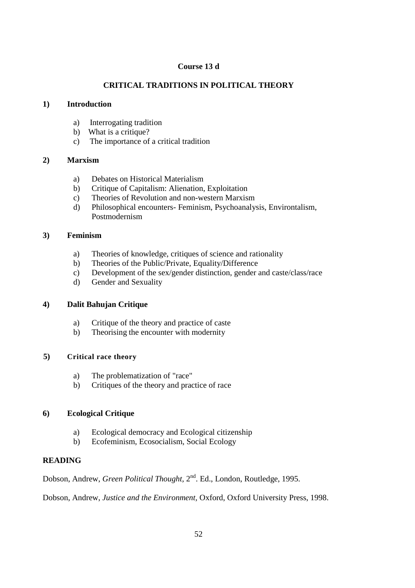### **Course 13 d**

# **CRITICAL TRADITIONS IN POLITICAL THEORY**

### **1) Introduction**

- a) Interrogating tradition
- b) What is a critique?
- c) The importance of a critical tradition

### **2) Marxism**

- a) Debates on Historical Materialism
- b) Critique of Capitalism: Alienation, Exploitation
- c) Theories of Revolution and non-western Marxism
- d) Philosophical encounters- Feminism, Psychoanalysis, Environtalism, Postmodernism

## **3) Feminism**

- a) Theories of knowledge, critiques of science and rationality
- b) Theories of the Public/Private, Equality/Difference
- c) Development of the sex/gender distinction, gender and caste/class/race
- d) Gender and Sexuality

# **4) Dalit Bahujan Critique**

- a) Critique of the theory and practice of caste
- b) Theorising the encounter with modernity

### **5) Critical race theory**

- a) The problematization of "race"
- b) Critiques of the theory and practice of race

# **6) Ecological Critique**

- a) Ecological democracy and Ecological citizenship
- b) Ecofeminism, Ecosocialism, Social Ecology

# **READING**

Dobson, Andrew, *Green Political Thought*, 2<sup>nd</sup>. Ed., London, Routledge, 1995.

Dobson, Andrew, *Justice and the Environment,* Oxford, Oxford University Press, 1998.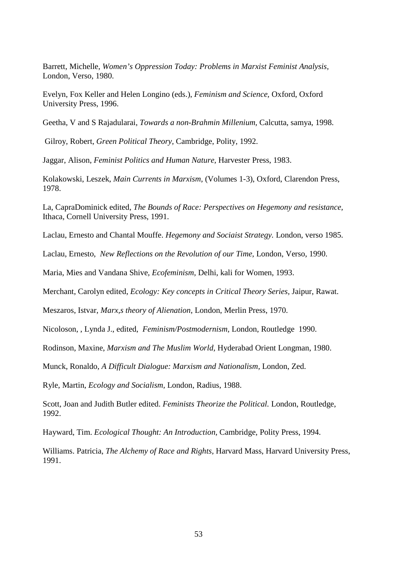Barrett, Michelle, *Women's Oppression Today: Problems in Marxist Feminist Analysis,* London, Verso, 1980.

Evelyn, Fox Keller and Helen Longino (eds.), *Feminism and Science,* Oxford, Oxford University Press, 1996.

Geetha, V and S Rajadularai, *Towards a non-Brahmin Millenium,* Calcutta, samya, 1998.

Gilroy, Robert, *Green Political Theory,* Cambridge, Polity, 1992.

Jaggar, Alison, *Feminist Politics and Human Nature,* Harvester Press, 1983.

Kolakowski, Leszek, *Main Currents in Marxism,* (Volumes 1-3), Oxford, Clarendon Press, 1978.

La, CapraDominick edited, *The Bounds of Race: Perspectives on Hegemony and resistance,* Ithaca, Cornell University Press, 1991.

Laclau, Ernesto and Chantal Mouffe. *Hegemony and Sociaist Strategy.* London, verso 1985.

Laclau, Ernesto, *New Reflections on the Revolution of our Time,* London, Verso, 1990.

Maria, Mies and Vandana Shive, *Ecofeminism,* Delhi, kali for Women, 1993.

Merchant, Carolyn edited, *Ecology: Key concepts in Critical Theory Series,* Jaipur, Rawat.

Meszaros, Istvar, *Marx,s theory of Alienation*, London, Merlin Press, 1970.

Nicoloson, , Lynda J., edited, *Feminism/Postmodernism,* London, Routledge 1990.

Rodinson, Maxine, *Marxism and The Muslim World,* Hyderabad Orient Longman, 1980.

Munck, Ronaldo, *A Difficult Dialogue: Marxism and Nationalism,* London, Zed.

Ryle, Martin, *Ecology and Socialism,* London, Radius, 1988.

Scott, Joan and Judith Butler edited. *Feminists Theorize the Political.* London, Routledge, 1992.

Hayward, Tim. *Ecological Thought: An Introduction,* Cambridge, Polity Press, 1994.

Williams. Patricia, *The Alchemy of Race and Rights,* Harvard Mass, Harvard University Press, 1991.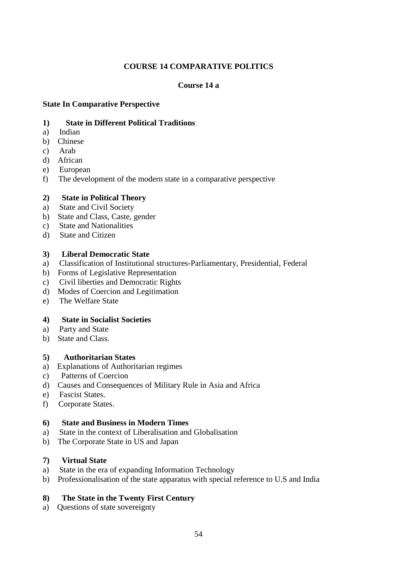## **COURSE 14 COMPARATIVE POLITICS**

### **Course 14 a**

### **State In Comparative Perspective**

#### **1) State in Different Political Traditions**

- a) Indian
- b) Chinese
- c) Arab
- d) African
- e) European
- f) The development of the modern state in a comparative perspective

### **2) State in Political Theory**

- a) State and Civil Society
- b) State and Class, Caste, gender
- c) State and Nationalities
- d) State and Citizen

#### **3) Liberal Democratic State**

- a) Classification of Institutional structures-Parliamentary, Presidential, Federal
- b) Forms of Legislative Representation
- c) Civil liberties and Democratic Rights
- d) Modes of Coercion and Legitimation
- e) The Welfare State

#### **4) State in Socialist Societies**

- a) Party and State
- b) State and Class.

#### **5) Authoritarian States**

- a) Explanations of Authoritarian regimes
- c) Patterns of Coercion
- d) Causes and Consequences of Military Rule in Asia and Africa
- e) Fascist States.
- f) Corporate States.

#### **6) State and Business in Modern Times**

- a) State in the context of Liberalisation and Globalisation
- b) The Corporate State in US and Japan

#### **7) Virtual State**

- a) State in the era of expanding Information Technology
- b) Professionalisation of the state apparatus with special reference to U.S and India

### **8) The State in the Twenty First Century**

a) Questions of state sovereignty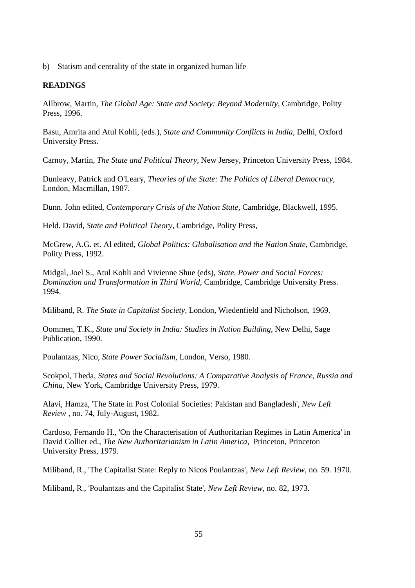b) Statism and centrality of the state in organized human life

### **READINGS**

Allbrow, Martin, *The Global Age: State and Society: Beyond Modernity,* Cambridge, Polity Press, 1996.

Basu, Amrita and Atul Kohli, (eds.), *State and Community Conflicts in India,* Delhi, Oxford University Press.

Carnoy, Martin, *The State and Political Theory,* New Jersey, Princeton University Press, 1984.

Dunleavy, Patrick and O'Leary, *Theories of the State: The Politics of Liberal Democracy,* London, Macmillan, 1987.

Dunn. John edited, *Contemporary Crisis of the Nation State,* Cambridge, Blackwell, 1995.

Held. David, *State and Political Theory,* Cambridge, Polity Press,

McGrew, A.G. et. Al edited, *Global Politics: Globalisation and the Nation State*, Cambridge, Polity Press, 1992.

Midgal, Joel S., Atul Kohli and Vivienne Shue (eds), *State, Power and Social Forces: Domination and Transformation in Third World,* Cambridge, Cambridge University Press. 1994.

Miliband, R. *The State in Capitalist Society,* London, Wiedenfield and Nicholson, 1969.

Oommen, T.K., *State and Society in India: Studies in Nation Building,* New Delhi, Sage Publication, 1990.

Poulantzas, Nico, *State Power Socialism,* London, Verso, 1980.

Scokpol, Theda, *States and Social Revolutions: A Comparative Analysis of France*, *Russia and China,* New York, Cambridge University Press, 1979.

Alavi, Hamza, 'The State in Post Colonial Societies: Pakistan and Bangladesh', *New Left Review ,* no. 74, July-August, 1982.

Cardoso, Fernando H., 'On the Characterisation of Authoritarian Regimes in Latin America' in David Collier ed., *The New Authoritarianism in Latin America,* Princeton, Princeton University Press, 1979.

Miliband, R., 'The Capitalist State: Reply to Nicos Poulantzas', *New Left Review,* no. 59. 1970.

Miliband, R., 'Poulantzas and the Capitalist State', *New Left Review,* no. 82, 1973.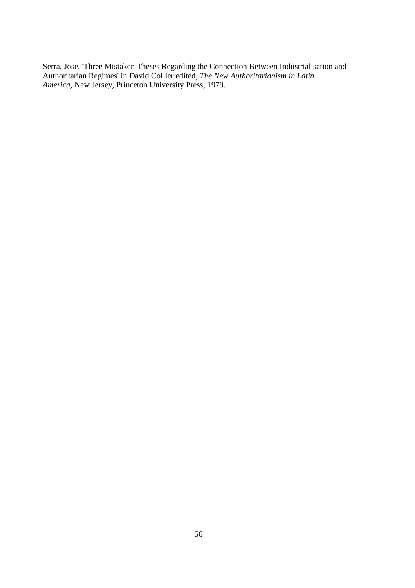Serra, Jose, 'Three Mistaken Theses Regarding the Connection Between Industrialisation and Authoritarian Regimes' in David Collier edited, *The New Authoritarianism in Latin America,* New Jersey, Princeton University Press, 1979.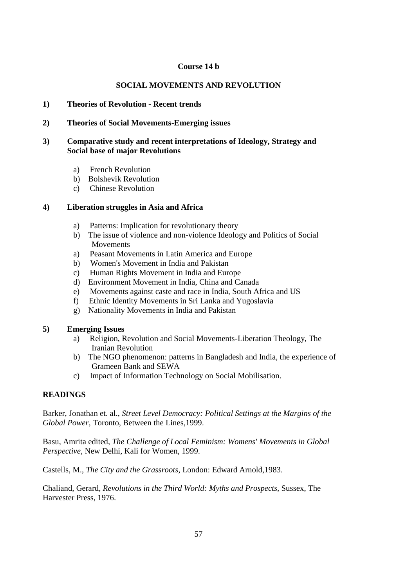#### **Course 14 b**

### **SOCIAL MOVEMENTS AND REVOLUTION**

#### **1) Theories of Revolution - Recent trends**

### **2) Theories of Social Movements-Emerging issues**

#### **3) Comparative study and recent interpretations of Ideology, Strategy and Social base of major Revolutions**

- a) French Revolution
- b) Bolshevik Revolution
- c) Chinese Revolution

#### **4) Liberation struggles in Asia and Africa**

- a) Patterns: Implication for revolutionary theory
- b) The issue of violence and non-violence Ideology and Politics of Social Movements
- a) Peasant Movements in Latin America and Europe
- b) Women's Movement in India and Pakistan
- c) Human Rights Movement in India and Europe
- d) Environment Movement in India, China and Canada
- e) Movements against caste and race in India, South Africa and US
- f) Ethnic Identity Movements in Sri Lanka and Yugoslavia
- g) Nationality Movements in India and Pakistan

### **5) Emerging Issues**

- a) Religion, Revolution and Social Movements-Liberation Theology, The Iranian Revolution
- b) The NGO phenomenon: patterns in Bangladesh and India, the experience of Grameen Bank and SEWA
- c) Impact of Information Technology on Social Mobilisation.

### **READINGS**

Barker, Jonathan et. al., *Street Level Democracy: Political Settings at the Margins of the Global Power,* Toronto, Between the Lines,1999.

Basu, Amrita edited, *The Challenge of Local Feminism: Womens' Movements in Global Perspective,* New Delhi, Kali for Women, 1999.

Castells, M., *The City and the Grassroots,* London: Edward Arnold,1983.

Chaliand, Gerard, *Revolutions in the Third World: Myths and Prospects,* Sussex, The Harvester Press, 1976.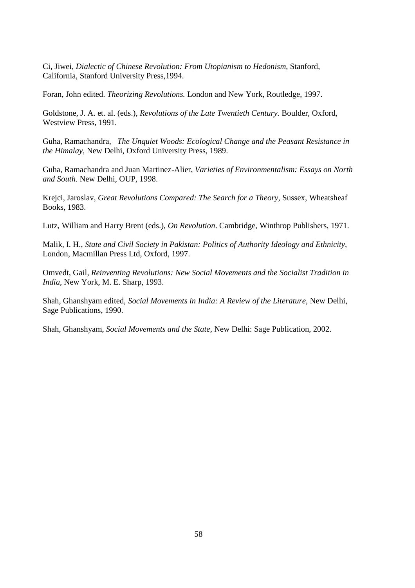Ci, Jiwei, *Dialectic of Chinese Revolution: From Utopianism to Hedonism,* Stanford, California, Stanford University Press,1994.

Foran, John edited. *Theorizing Revolutions.* London and New York, Routledge, 1997.

Goldstone, J. A. et. al. (eds.), *Revolutions of the Late Twentieth Century.* Boulder, Oxford, Westview Press, 1991.

Guha, Ramachandra, *The Unquiet Woods: Ecological Change and the Peasant Resistance in the Himalay,* New Delhi, Oxford University Press, 1989.

Guha, Ramachandra and Juan Martinez-Alier, *Varieties of Environmentalism: Essays on North and South.* New Delhi, OUP, 1998.

Krejci, Jaroslav, *Great Revolutions Compared: The Search for a Theory,* Sussex, Wheatsheaf Books, 1983.

Lutz, William and Harry Brent (eds.), *On Revolution*. Cambridge, Winthrop Publishers, 1971.

Malik, I. H., *State and Civil Society in Pakistan: Politics of Authority Ideology and Ethnicity,* London, Macmillan Press Ltd, Oxford, 1997.

Omvedt, Gail, *Reinventing Revolutions: New Social Movements and the Socialist Tradition in India,* New York, M. E. Sharp, 1993.

Shah, Ghanshyam edited, *Social Movements in India: A Review of the Literature,* New Delhi, Sage Publications, 1990.

Shah, Ghanshyam, *Social Movements and the State,* New Delhi: Sage Publication, 2002.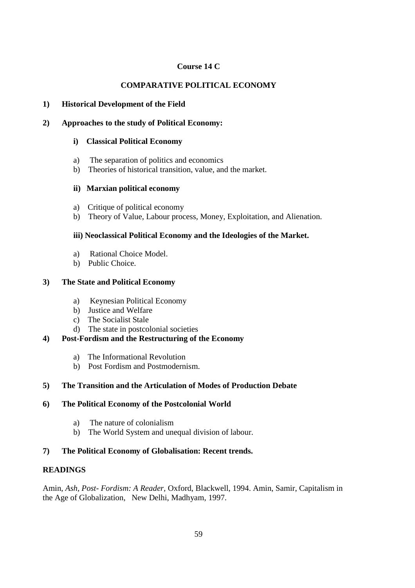# **Course 14 C**

# **COMPARATIVE POLITICAL ECONOMY**

### **1) Historical Development of the Field**

### **2) Approaches to the study of Political Economy:**

### **i) Classical Political Economy**

- a) The separation of politics and economics
- b) Theories of historical transition, value, and the market.

## **ii) Marxian political economy**

- a) Critique of political economy
- b) Theory of Value, Labour process, Money, Exploitation, and Alienation.

## **iii) Neoclassical Political Economy and the Ideologies of the Market.**

- a) Rational Choice Model.
- b) Public Choice.

## **3) The State and Political Economy**

- a) Keynesian Political Economy
- b) Justice and Welfare
- c) The Socialist Stale
- d) The state in postcolonial societies

# **4) Post-Fordism and the Restructuring of the Economy**

- a) The Informational Revolution
- b) Post Fordism and Postmodernism.

# **5) The Transition and the Articulation of Modes of Production Debate**

### **6) The Political Economy of the Postcolonial World**

- a) The nature of colonialism
- b) The World System and unequal division of labour.

# **7) The Political Economy of Globalisation: Recent trends.**

# **READINGS**

Amin, *Ash, Post- Fordism: A Reader,* Oxford, Blackwell, 1994. Amin, Samir, Capitalism in the Age of Globalization, New Delhi, Madhyam, 1997.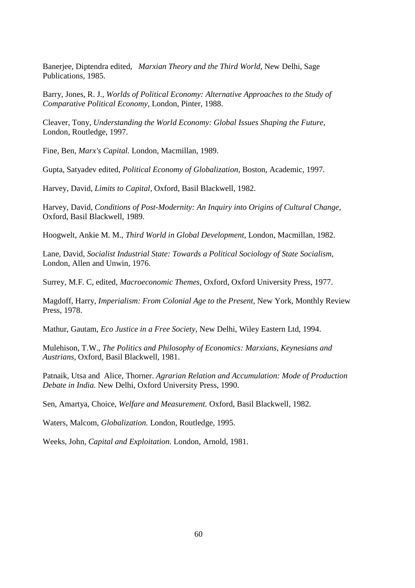Banerjee, Diptendra edited, *Marxian Theory and the Third World,* New Delhi, Sage Publications, 1985.

Barry, Jones, R. J., *Worlds of Political Economy: Alternative Approaches to the Study of Comparative Political Economy,* London, Pinter, 1988.

Cleaver, Tony, *Understanding the World Economy: Global Issues Shaping the Future,* London, Routledge, 1997.

Fine, Ben, *Marx's Capital.* London, Macmillan, 1989.

Gupta, Satyadev edited, *Political Economy of Globalization,* Boston, Academic, 1997.

Harvey, David, *Limits to Capital,* Oxford, Basil Blackwell, 1982.

Harvey, David, *Conditions of Post-Modernity: An Inquiry into Origins of Cultural Change,* Oxford, Basil Blackwell, 1989.

Hoogwelt, Ankie M. M., *Third World in Global Development,* London, Macmillan, 1982.

Lane, David, *Socialist Industrial State: Towards a Political Sociology of State Socialism,*  London, Allen and Unwin, 1976.

Surrey, M.F. C, edited, *Macroeconomic Themes,* Oxford, Oxford University Press, 1977.

Magdoff, Harry, *Imperialism: From Colonial Age to the Present,* New York, Monthly Review Press, 1978.

Mathur, Gautam, *Eco Justice in a Free Society,* New Delhi, Wiley Eastern Ltd, 1994.

Mulehison, T.W., *The Politics and Philosophy of Economics: Marxians, Keynesians and Austrians,* Oxford, Basil Blackwell, 1981.

Patnaik, Utsa and Alice, Thorner. *Agrarian Relation and Accumulation: Mode of Production Debate in India.* New Delhi, Oxford University Press, 1990.

Sen, Amartya, Choice, *Welfare and Measurement.* Oxford, Basil Blackwell, 1982.

Waters, Malcom, *Globalization.* London, Routledge, 1995.

Weeks, John, *Capital and Exploitation.* London, Arnold, 1981.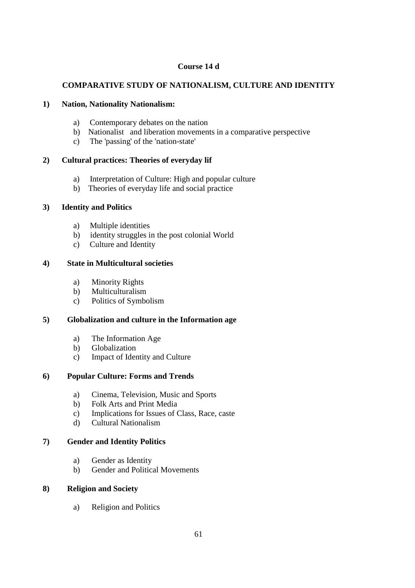### **Course 14 d**

# **COMPARATIVE STUDY OF NATIONALISM, CULTURE AND IDENTITY**

## **1) Nation, Nationality Nationalism:**

- a) Contemporary debates on the nation
- b) Nationalist and liberation movements in a comparative perspective
- c) The 'passing' of the 'nation-state'

# **2) Cultural practices: Theories of everyday lif**

- a) Interpretation of Culture: High and popular culture
- b) Theories of everyday life and social practice

## **3) Identity and Politics**

- a) Multiple identities
- b) identity struggles in the post colonial World
- c) Culture and Identity

## **4) State in Multicultural societies**

- a) Minority Rights
- b) Multiculturalism
- c) Politics of Symbolism

# **5) Globalization and culture in the Information age**

- a) The Information Age
- b) Globalization
- c) Impact of Identity and Culture

# **6) Popular Culture: Forms and Trends**

- a) Cinema, Television, Music and Sports
- b) Folk Arts and Print Media
- c) Implications for Issues of Class, Race, caste
- d) Cultural Nationalism

# **7) Gender and Identity Politics**

- a) Gender as Identity
- b) Gender and Political Movements

### **8) Religion and Society**

a) Religion and Politics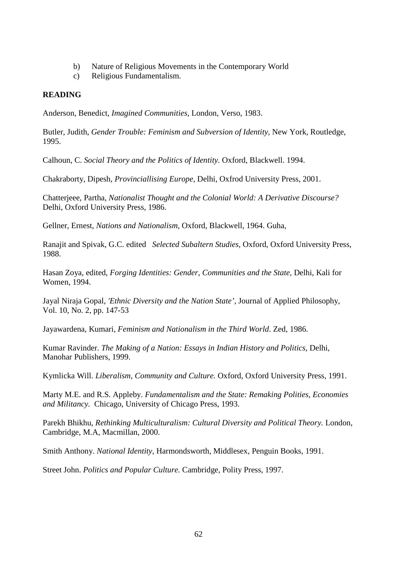- b) Nature of Religious Movements in the Contemporary World
- c) Religious Fundamentalism.

#### **READING**

Anderson, Benedict, *Imagined Communities,* London, Verso, 1983.

Butler, Judith, *Gender Trouble: Feminism and Subversion of Identity,* New York, Routledge, 1995.

Calhoun, C. *Social Theory and the Politics of Identity.* Oxford, Blackwell. 1994.

Chakraborty, Dipesh, *Provinciallising Europe,* Delhi, Oxfrod University Press, 2001.

Chatterjeee, Partha, *Nationalist Thought and the Colonial World: A Derivative Discourse?* Delhi, Oxford University Press, 1986.

Gellner, Ernest, *Nations and Nationalism,* Oxford, Blackwell, 1964. Guha,

Ranajit and Spivak, G.C. edited *Selected Subaltern Studies,* Oxford, Oxford University Press, 1988.

Hasan Zoya, edited, *Forging Identities: Gender, Communities and the State,* Delhi, Kali for Women, 1994.

Jayal Niraja Gopal, *'Ethnic Diversity and the Nation State',* Journal of Applied Philosophy, Vol. 10, No. 2, pp. 147-53

Jayawardena, Kumari, *Feminism and Nationalism in the Third World*. Zed, 1986.

Kumar Ravinder. *The Making of a Nation: Essays in Indian History and Politics,* Delhi, Manohar Publishers, 1999.

Kymlicka Will. *Liberalism, Community and Culture.* Oxford, Oxford University Press, 1991.

Marty M.E. and R.S. Appleby. *Fundamentalism and the State: Remaking Polities, Economies and Militancy.* Chicago, University of Chicago Press, 1993.

Parekh Bhikhu, *Rethinking Multiculturalism: Cultural Diversity and Political Theory.* London, Cambridge, M.A, Macmillan, 2000.

Smith Anthony. *National Identity,* Harmondsworth, Middlesex, Penguin Books, 1991.

Street John. *Politics and Popular Culture.* Cambridge, Polity Press, 1997.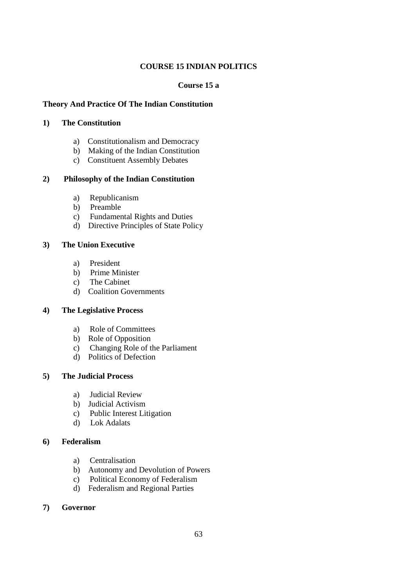## **COURSE 15 INDIAN POLITICS**

### **Course 15 a**

### **Theory And Practice Of The Indian Constitution**

### **1) The Constitution**

- a) Constitutionalism and Democracy
- b) Making of the Indian Constitution
- c) Constituent Assembly Debates

### **2) Philosophy of the Indian Constitution**

- a) Republicanism
- b) Preamble
- c) Fundamental Rights and Duties
- d) Directive Principles of State Policy

### **3) The Union Executive**

- a) President
- b) Prime Minister
- c) The Cabinet
- d) Coalition Governments

## **4) The Legislative Process**

- a) Role of Committees
- b) Role of Opposition
- c) Changing Role of the Parliament
- d) Politics of Defection

### **5) The Judicial Process**

- a) Judicial Review
- b) Judicial Activism
- c) Public Interest Litigation
- d) Lok Adalats

### **6) Federalism**

- a) Centralisation
- b) Autonomy and Devolution of Powers
- c) Political Economy of Federalism
- d) Federalism and Regional Parties

### **7) Governor**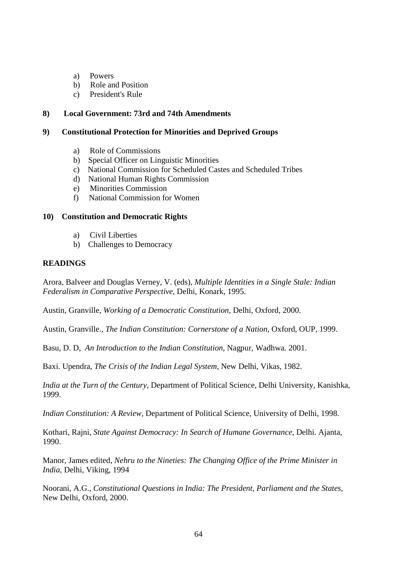- a) Powers
- b) Role and Position
- c) President's Rule

### **8) Local Government: 73rd and 74th Amendments**

#### **9) Constitutional Protection for Minorities and Deprived Groups**

- a) Role of Commissions
- b) Special Officer on Linguistic Minorities
- c) National Commission for Scheduled Castes and Scheduled Tribes
- d) National Human Rights Commission
- e) Minorities Commission
- f) National Commission for Women

#### **10) Constitution and Democratic Rights**

- a) Civil Liberties
- b) Challenges to Democracy

#### **READINGS**

Arora, Balveer and Douglas Verney, V. (eds), *Multiple Identities in a Single Stale: Indian Federalism in Comparative Perspective,* Delhi, Konark, 1995.

Austin, Granville, *Working of a Democratic Constitution,* Delhi, Oxford, 2000.

Austin, Granville., *The Indian Constitution: Cornerstone of a Nation,* Oxford, OUP, 1999.

Basu, D. D, *An Introduction to the Indian Constitution,* Nagpur, Wadhwa. 2001.

Baxi. Upendra, *The Crisis of the Indian Legal System,* New Delhi, Vikas, 1982.

*India at the Turn of the Century,* Department of Political Science, Delhi University, Kanishka, 1999.

*Indian Constitution: A Review,* Department of Political Science, University of Delhi, 1998.

Kothari, Rajni, *State Against Democracy: In Search of Humane Governance,* Delhi. Ajanta, 1990.

Manor, James edited, *Nehru to the Nineties: The Changing Office of the Prime Minister in India,* Delhi, Viking, 1994

Noorani, A.G., *Constitutional Questions in India: The President, Parliament and the States,* New Delhi, Oxford, 2000.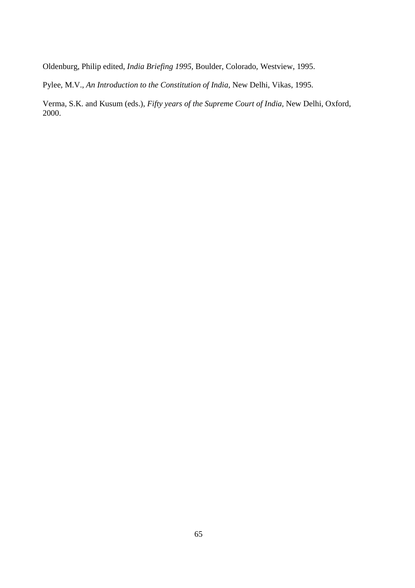Oldenburg, Philip edited, *India Briefing 1995,* Boulder, Colorado, Westview, 1995.

Pylee, M.V., *An Introduction to the Constitution of India,* New Delhi, Vikas, 1995.

Verma, S.K. and Kusum (eds.), *Fifty years of the Supreme Court of India,* New Delhi, Oxford, 2000.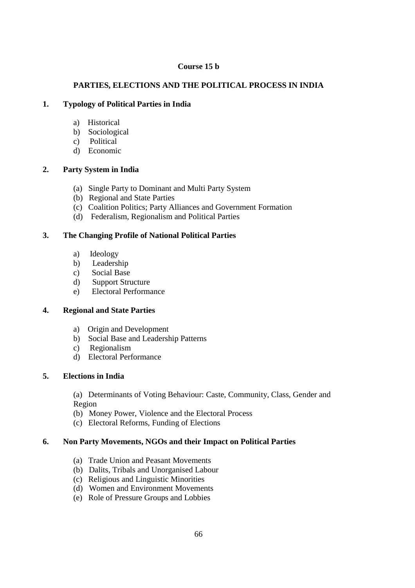### **Course 15 b**

# **PARTIES, ELECTIONS AND THE POLITICAL PROCESS IN INDIA**

# **1. Typology of Political Parties in India**

- a) Historical
- b) Sociological
- c) Political
- d) Economic

# **2. Party System in India**

- (a) Single Party to Dominant and Multi Party System
- (b) Regional and State Parties
- (c) Coalition Politics; Party Alliances and Government Formation
- (d) Federalism, Regionalism and Political Parties

# **3. The Changing Profile of National Political Parties**

- a) Ideology
- b) Leadership
- c) Social Base
- d) Support Structure
- e) Electoral Performance

# **4. Regional and State Parties**

- a) Origin and Development
- b) Social Base and Leadership Patterns
- c) Regionalism
- d) Electoral Performance

# **5. Elections in India**

(a) Determinants of Voting Behaviour: Caste, Community, Class, Gender and Region

- (b) Money Power, Violence and the Electoral Process
- (c) Electoral Reforms, Funding of Elections

# **6. Non Party Movements, NGOs and their Impact on Political Parties**

- (a) Trade Union and Peasant Movements
- (b) Dalits, Tribals and Unorganised Labour
- (c) Religious and Linguistic Minorities
- (d) Women and Environment Movements
- (e) Role of Pressure Groups and Lobbies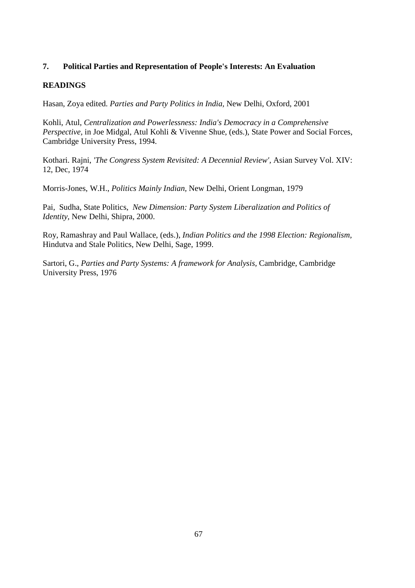### **7. Political Parties and Representation of People's Interests: An Evaluation**

### **READINGS**

Hasan, Zoya edited. *Parties and Party Politics in India,* New Delhi, Oxford, 2001

Kohli, Atul, *Centralization and Powerlessness: India's Democracy in a Comprehensive Perspective,* in Joe Midgal, Atul Kohli & Vivenne Shue, (eds.), State Power and Social Forces, Cambridge University Press, 1994.

Kothari. Rajni, *'The Congress System Revisited: A Decennial Review',* Asian Survey Vol. XIV: 12, Dec, 1974

Morris-Jones, W.H., *Politics Mainly Indian,* New Delhi, Orient Longman, 1979

Pai, Sudha, State Politics, *New Dimension: Party System Liberalization and Politics of Identity,* New Delhi, Shipra, 2000.

Roy, Ramashray and Paul Wallace, (eds.), *Indian Politics and the 1998 Election: Regionalism,* Hindutva and Stale Politics, New Delhi, Sage, 1999.

Sartori, G., *Parties and Party Systems: A framework for Analysis,* Cambridge, Cambridge University Press, 1976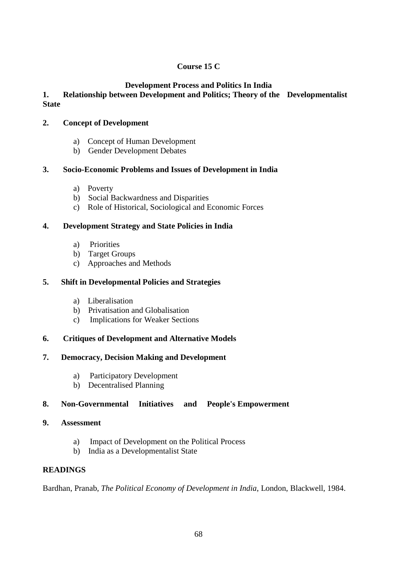# **Course 15 C**

# **Development Process and Politics In India**

# **1. Relationship between Development and Politics; Theory of the Developmentalist State**

# **2. Concept of Development**

- a) Concept of Human Development
- b) Gender Development Debates

# **3. Socio-Economic Problems and Issues of Development in India**

- a) Poverty
- b) Social Backwardness and Disparities
- c) Role of Historical, Sociological and Economic Forces

# **4. Development Strategy and State Policies in India**

- a) Priorities
- b) Target Groups
- c) Approaches and Methods

# **5. Shift in Developmental Policies and Strategies**

- a) Liberalisation
- b) Privatisation and Globalisation
- c) Implications for Weaker Sections

# **6. Critiques of Development and Alternative Models**

# **7. Democracy, Decision Making and Development**

- a) Participatory Development
- b) Decentralised Planning

# **8. Non-Governmental Initiatives and People's Empowerment**

# **9. Assessment**

- a) Impact of Development on the Political Process
- b) India as a Developmentalist State

# **READINGS**

Bardhan, Pranab, *The Political Economy of Development in India*, London, Blackwell, 1984.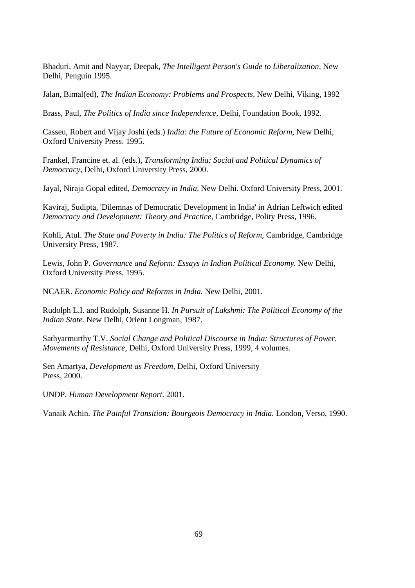Bhaduri, Amit and Nayyar, Deepak, *The Intelligent Person's Guide to Liberalization,* New Delhi, Penguin 1995.

Jalan, Bimal(ed), *The Indian Economy: Problems and Prospects,* New Delhi, Viking, 1992

Brass, Paul, *The Politics of India since Independence,* Delhi, Foundation Book, 1992.

Casseu, Robert and Vijay Joshi (eds.) *India: the Future of Economic Reform,* New Delhi, Oxford University Press. 1995.

Frankel, Francine et. al. (eds.), *Transforming India: Social and Political Dynamics of Democracy,* Delhi, Oxford University Press, 2000.

Jayal, Niraja Gopal edited, *Democracy in India,* New Delhi. Oxford University Press, 2001.

Kaviraj, Sudipta, 'Dilemnas of Democratic Development in India' in Adrian Leftwich edited *Democracy and Development: Theory and Practice,* Cambridge, Polity Press, 1996.

Kohli, Atul. *The State and Poverty in India: The Politics of Reform,* Cambridge, Cambridge University Press, 1987.

Lewis, John P. *Governance and Reform: Essays in Indian Political Economy.* New Delhi, Oxford University Press, 1995.

NCAER. *Economic Policy and Reforms in India.* New Delhi, 2001.

Rudolph L.I. and Rudolph, Susanne H. *In Pursuit of Lakshmi: The Political Economy of the Indian State.* New Delhi, Orient Longman, 1987.

Sathyarmurthy T.V. *Social Change and Political Discourse in India: Structures of Power, Movements of Resistance,* Delhi, Oxford University Press, 1999, 4 volumes.

Sen Amartya, *Development as Freedom,* Delhi, Oxford University Press, 2000.

UNDP. *Human Development Report*. 2001.

Vanaik Achin. *The Painful Transition: Bourgeois Democracy in India.* London, Verso, 1990.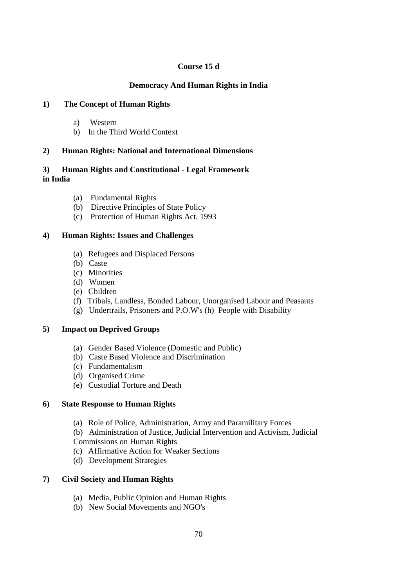## **Course 15 d**

## **Democracy And Human Rights in India**

## **1) The Concept of Human Rights**

- a) Western
- b) In the Third World Context

# **2) Human Rights: National and International Dimensions**

# **3) Human Rights and Constitutional - Legal Framework in India**

- (a) Fundamental Rights
- (b) Directive Principles of State Policy
- (c) Protection of Human Rights Act, 1993

## **4) Human Rights: Issues and Challenges**

- (a) Refugees and Displaced Persons
- (b) Caste
- (c) Minorities
- (d) Women
- (e) Children
- (f) Tribals, Landless, Bonded Labour, Unorganised Labour and Peasants
- (g) Undertrails, Prisoners and P.O.W's (h) People with Disability

### **5) Impact on Deprived Groups**

- (a) Gender Based Violence (Domestic and Public)
- (b) Caste Based Violence and Discrimination
- (c) Fundamentalism
- (d) Organised Crime
- (e) Custodial Torture and Death

### **6) State Response to Human Rights**

- (a) Role of Police, Administration, Army and Paramilitary Forces
- (b) Administration of Justice, Judicial Intervention and Activism, Judicial
- Commissions on Human Rights
- (c) Affirmative Action for Weaker Sections
- (d) Development Strategies

### **7) Civil Society and Human Rights**

- (a) Media, Public Opinion and Human Rights
- (b) New Social Movements and NGO's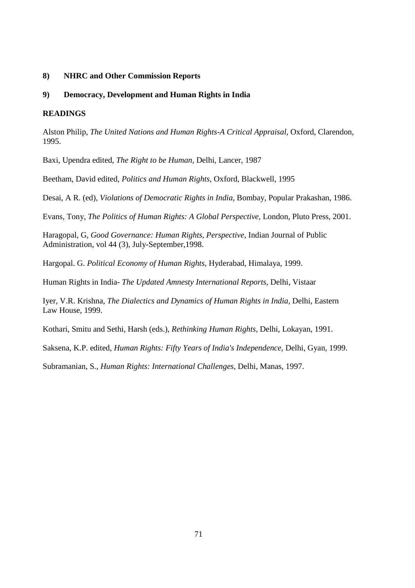### **8) NHRC and Other Commission Reports**

#### **9) Democracy, Development and Human Rights in India**

#### **READINGS**

Alston Philip, *The United Nations and Human Rights-A Critical Appraisal,* Oxford, Clarendon, 1995.

Baxi, Upendra edited, *The Right to be Human,* Delhi, Lancer, 1987

Beetham, David edited, *Politics and Human Rights,* Oxford, Blackwell, 1995

Desai, A R. (ed), *Violations of Democratic Rights in India,* Bombay, Popular Prakashan, 1986.

Evans, Tony, *The Politics of Human Rights: A Global Perspective,* London, Pluto Press, 2001.

Haragopal, G, *Good Governance: Human Rights, Perspective,* Indian Journal of Public Administration, vol 44 (3), July-September,1998.

Hargopal. G. *Political Economy of Human Rights,* Hyderabad, Himalaya, 1999.

Human Rights in India- *The Updated Amnesty International Reports,* Delhi, Vistaar

Iyer, V.R. Krishna, *The Dialectics and Dynamics of Human Rights in India,* Delhi, Eastern Law House, 1999.

Kothari, Smitu and Sethi, Harsh (eds.), *Rethinking Human Rights,* Delhi, Lokayan, 1991.

Saksena, K.P. edited, *Human Rights: Fifty Years of India's Independence,* Delhi, Gyan, 1999.

Subramanian, S., *Human Rights: International Challenges,* Delhi, Manas, 1997.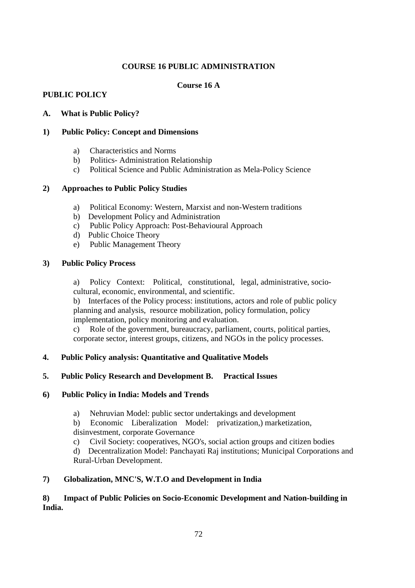## **COURSE 16 PUBLIC ADMINISTRATION**

# **Course 16 A**

## **PUBLIC POLICY**

## **A. What is Public Policy?**

### **1) Public Policy: Concept and Dimensions**

- a) Characteristics and Norms
- b) Politics- Administration Relationship
- c) Political Science and Public Administration as Mela-Policy Science

## **2) Approaches to Public Policy Studies**

- a) Political Economy: Western, Marxist and non-Western traditions
- b) Development Policy and Administration
- c) Public Policy Approach: Post-Behavioural Approach
- d) Public Choice Theory
- e) Public Management Theory

## **3) Public Policy Process**

a) Policy Context: Political, constitutional, legal, administrative, sociocultural, economic, environmental, and scientific.

b) Interfaces of the Policy process: institutions, actors and role of public policy planning and analysis, resource mobilization, policy formulation, policy implementation, policy monitoring and evaluation.

c) Role of the government, bureaucracy, parliament, courts, political parties, corporate sector, interest groups, citizens, and NGOs in the policy processes.

# **4. Public Policy analysis: Quantitative and Qualitative Models**

# **5. Public Policy Research and Development B. Practical Issues**

### **6) Public Policy in India: Models and Trends**

a) Nehruvian Model: public sector undertakings and development

b) Economic Liberalization Model: privatization,) marketization, disinvestment, corporate Governance

c) Civil Society: cooperatives, NGO's, social action groups and citizen bodies

d) Decentralization Model: Panchayati Raj institutions; Municipal Corporations and Rural-Urban Development.

## **7) Globalization, MNC'S, W.T.O and Development in India**

## **8) Impact of Public Policies on Socio-Economic Development and Nation-building in India.**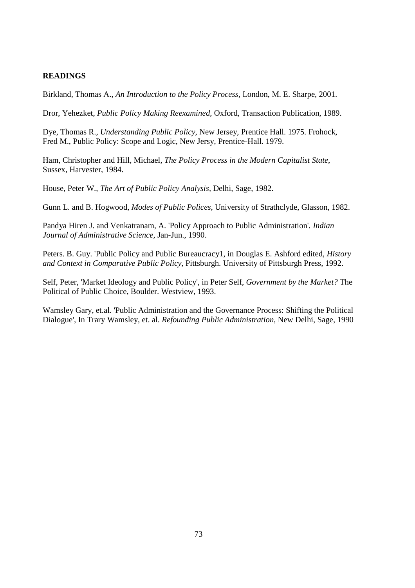### **READINGS**

Birkland, Thomas A., *An Introduction to the Policy Process,* London, M. E. Sharpe, 2001.

Dror, Yehezket, *Public Policy Making Reexamined,* Oxford, Transaction Publication, 1989.

Dye, Thomas R., *Understanding Public Policy*, New Jersey, Prentice Hall. 1975. Frohock, Fred M., Public Policy: Scope and Logic, New Jersy, Prentice-Hall. 1979.

Ham, Christopher and Hill, Michael, *The Policy Process in the Modern Capitalist State*, Sussex, Harvester, 1984.

House, Peter W., *The Art of Public Policy Analysis,* Delhi, Sage, 1982.

Gunn L. and B. Hogwood, *Modes of Public Polices,* University of Strathclyde, Glasson, 1982.

Pandya Hiren J. and Venkatranam, A. 'Policy Approach to Public Administration'*. Indian Journal of Administrative Science,* Jan-Jun., 1990.

Peters. B. Guy. 'Public Policy and Public Bureaucracy1, in Douglas E. Ashford edited, *History and Context in Comparative Public Policy,* Pittsburgh. University of Pittsburgh Press, 1992.

Self, Peter, 'Market Ideology and Public Policy', in Peter Self, *Government by the Market?* The Political of Public Choice, Boulder. Westview, 1993.

Wamsley Gary, et.al. 'Public Administration and the Governance Process: Shifting the Political Dialogue', In Trary Wamsley, et. al. *Refounding Public Administration*, New Delhi, Sage, 1990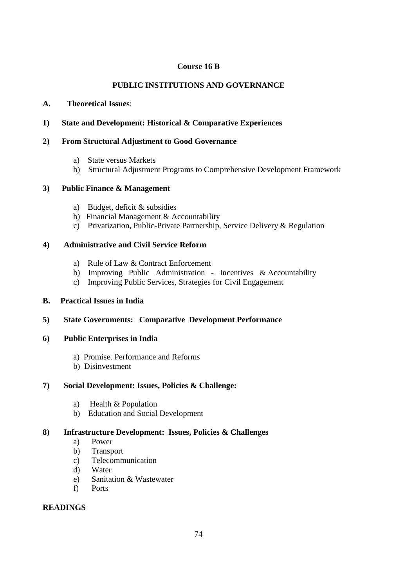### **Course 16 B**

# **PUBLIC INSTITUTIONS AND GOVERNANCE**

### **A. Theoretical Issues**:

### **1) State and Development: Historical & Comparative Experiences**

#### **2) From Structural Adjustment to Good Governance**

- a) State versus Markets
- b) Structural Adjustment Programs to Comprehensive Development Framework

#### **3) Public Finance & Management**

- a) Budget, deficit & subsidies
- b) Financial Management & Accountability
- c) Privatization, Public-Private Partnership, Service Delivery & Regulation

### **4) Administrative and Civil Service Reform**

- a) Rule of Law & Contract Enforcement
- b) Improving Public Administration Incentives & Accountability
- c) Improving Public Services, Strategies for Civil Engagement

### **B. Practical Issues in India**

#### **5) State Governments: Comparative Development Performance**

### **6) Public Enterprises in India**

- a) Promise. Performance and Reforms
- b) Disinvestment

### **7) Social Development: Issues, Policies & Challenge:**

- a) Health & Population
- b) Education and Social Development

## **8) Infrastructure Development: Issues, Policies & Challenges**

- a) Power
- b) Transport
- c) Telecommunication
- d) Water
- e) Sanitation & Wastewater
- f) Ports

#### **READINGS**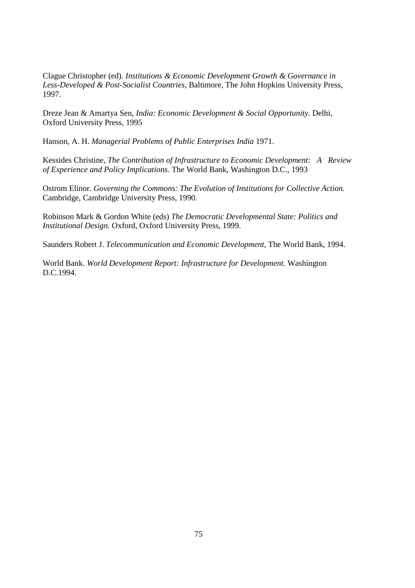Clague Christopher (ed). *Institutions & Economic Development Growth & Governance in Less-Developed & Post-Socialist Countries,* Baltimore, The John Hopkins University Press, 1997.

Dreze Jean & Amartya Sen, *India: Economic Development & Social Opportunity.* Delhi, Oxford University Press, 1995

Hanson, A. H. *Managerial Problems of Public Enterprises India* 1971.

Kessides Christine, *The Contribution of Infrastructure to Economic Development: A Review of Experience and Policy Implications.* The World Bank, Washington D.C., 1993

Ostrom Elinor. *Governing the Commons: The Evolution of Institutions for Collective Action.* Cambridge, Cambridge University Press, 1990.

Robinson Mark & Gordon White (eds) *The Democratic Developmental State: Politics and Institutional Design.* Oxford, Oxford University Press, 1999.

Saunders Robert J. *Telecommunication and Economic Development,* The World Bank, 1994.

World Bank. *World Development Report: Infrastructure for Development.* Washington D.C.1994.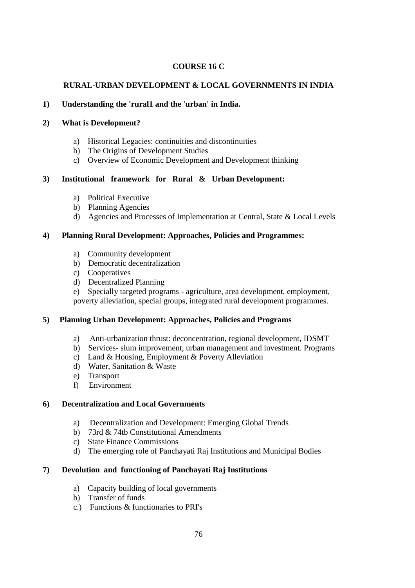## **COURSE 16 C**

# **RURAL-URBAN DEVELOPMENT & LOCAL GOVERNMENTS IN INDIA**

### **1) Understanding the 'rural1 and the 'urban' in India.**

### **2) What is Development?**

- a) Historical Legacies: continuities and discontinuities
- b) The Origins of Development Studies
- c) Overview of Economic Development and Development thinking

## **3) Institutional framework for Rural & Urban Development:**

- a) Political Executive
- b) Planning Agencies
- d) Agencies and Processes of Implementation at Central, State & Local Levels

## **4) Planning Rural Development: Approaches, Policies and Programmes:**

- a) Community development
- b) Democratic decentralization
- c) Cooperatives
- d) Decentralized Planning

e) Specially targeted programs - agriculture, area development, employment, poverty alleviation, special groups, integrated rural development programmes.

### **5) Planning Urban Development: Approaches, Policies and Programs**

- a) Anti-urbanization thrust: deconcentration, regional development, IDSMT
- b) Services- slum improvement, urban management and investment. Programs
- c) Land & Housing, Employment & Poverty Alleviation
- d) Water, Sanitation & Waste
- e) Transport
- f) Environment

### **6) Decentralization and Local Governments**

- a) Decentralization and Development: Emerging Global Trends
- b) 73rd & 74tb Constitutional Amendments
- c) State Finance Commissions
- d) The emerging role of Panchayati Raj Institutions and Municipal Bodies

### **7) Devolution and functioning of Panchayati Raj Institutions**

- a) Capacity building of local governments
- b) Transfer of funds
- c.) Functions & functionaries to PRI's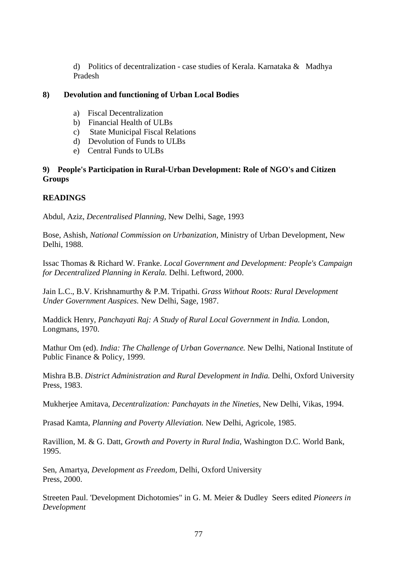d) Politics of decentralization - case studies of Kerala. Karnataka & Madhya Pradesh

#### **8) Devolution and functioning of Urban Local Bodies**

- a) Fiscal Decentralization
- b) Financial Health of ULBs
- c) State Municipal Fiscal Relations
- d) Devolution of Funds to ULBs
- e) Central Funds to ULBs

## **9) People's Participation in Rural-Urban Development: Role of NGO's and Citizen Groups**

## **READINGS**

Abdul, Aziz, *Decentralised Planning,* New Delhi, Sage, 1993

Bose, Ashish, *National Commission on Urbanization,* Ministry of Urban Development, New Delhi, 1988.

Issac Thomas & Richard W. Franke. *Local Government and Development: People's Campaign for Decentralized Planning in Kerala.* Delhi. Leftword, 2000.

Jain L.C., B.V. Krishnamurthy & P.M. Tripathi. *Grass Without Roots: Rural Development Under Government Auspices.* New Delhi, Sage, 1987.

Maddick Henry, *Panchayati Raj: A Study of Rural Local Government in India.* London, Longmans, 1970.

Mathur Om (ed). *India: The Challenge of Urban Governance.* New Delhi, National Institute of Public Finance & Policy, 1999.

Mishra B.B. *District Administration and Rural Development in India.* Delhi, Oxford University Press, 1983.

Mukherjee Amitava, *Decentralization: Panchayats in the Nineties,* New Delhi, Vikas, 1994.

Prasad Kamta, *Planning and Poverty Alleviation.* New Delhi, Agricole, 1985.

Ravillion, M. & G. Datt, *Growth and Poverty in Rural India,* Washington D.C. World Bank, 1995.

Sen, Amartya, *Development as Freedom,* Delhi, Oxford University Press, 2000.

Streeten Paul. 'Development Dichotomies" in G. M. Meier & Dudley Seers edited *Pioneers in Development*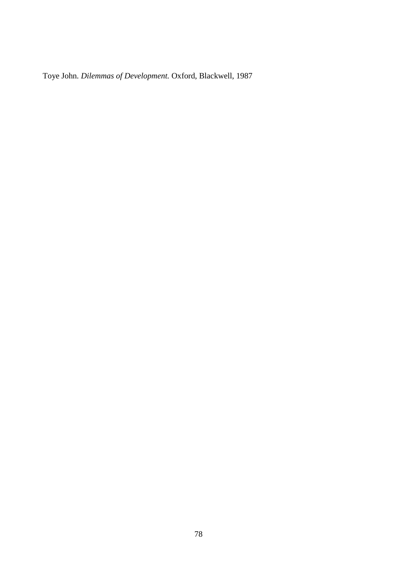Toye John. *Dilemmas of Development.* Oxford, Blackwell, 1987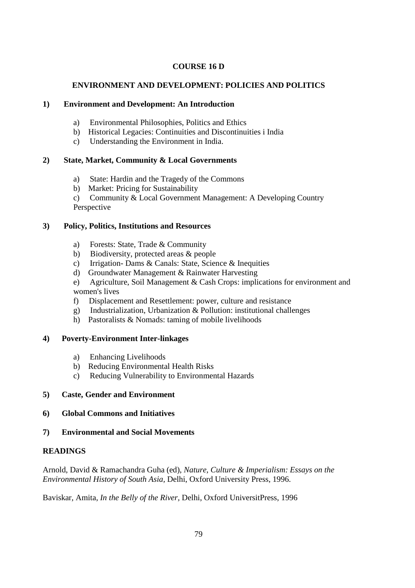## **COURSE 16 D**

## **ENVIRONMENT AND DEVELOPMENT: POLICIES AND POLITICS**

### **1) Environment and Development: An Introduction**

- a) Environmental Philosophies, Politics and Ethics
- b) Historical Legacies: Continuities and Discontinuities i India
- c) Understanding the Environment in India.

## **2) State, Market, Community & Local Governments**

- a) State: Hardin and the Tragedy of the Commons
- b) Market: Pricing for Sustainability
- c) Community & Local Government Management: A Developing Country Perspective

### **3) Policy, Politics, Institutions and Resources**

- a) Forests: State, Trade & Community
- b) Biodiversity, protected areas & people
- c) Irrigation- Dams & Canals: State, Science & Inequities
- d) Groundwater Management & Rainwater Harvesting
- e) Agriculture, Soil Management & Cash Crops: implications for environment and women's lives
- f) Displacement and Resettlement: power, culture and resistance
- g) Industrialization, Urbanization & Pollution: institutional challenges
- h) Pastoralists & Nomads: taming of mobile livelihoods

### **4) Poverty-Environment Inter-linkages**

- a) Enhancing Livelihoods
- b) Reducing Environmental Health Risks
- c) Reducing Vulnerability to Environmental Hazards

### **5) Caste, Gender and Environment**

- **6) Global Commons and Initiatives**
- **7) Environmental and Social Movements**

### **READINGS**

Arnold, David & Ramachandra Guha (ed), *Nature, Culture & Imperialism: Essays on the Environmental History of South Asia,* Delhi, Oxford University Press, 1996.

Baviskar, Amita, *In the Belly of the River,* Delhi, Oxford UniversitPress, 1996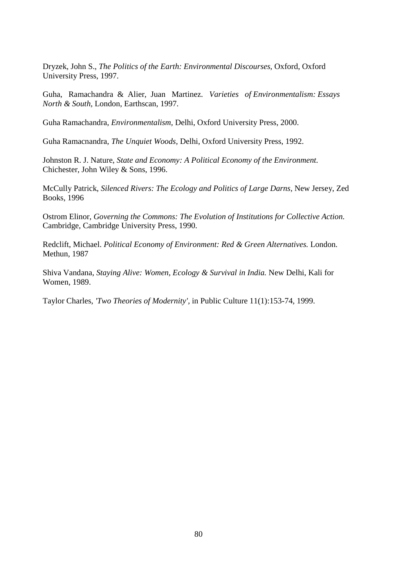Dryzek, John S., *The Politics of the Earth: Environmental Discourses,* Oxford, Oxford University Press, 1997.

Guha, Ramachandra & Alier, Juan Martinez. *Varieties of Environmentalism: Essays North & South,* London, Earthscan, 1997.

Guha Ramachandra, *Environmentalism,* Delhi, Oxford University Press, 2000.

Guha Ramacnandra, *The Unquiet Woods,* Delhi, Oxford University Press, 1992.

Johnston R. J. Nature, *State and Economy: A Political Economy of the Environment.* Chichester, John Wiley & Sons, 1996.

McCully Patrick, *Silenced Rivers: The Ecology and Politics of Large Darns,* New Jersey, Zed Books, 1996

Ostrom Elinor, *Governing the Commons: The Evolution of Institutions for Collective Action.* Cambridge, Cambridge University Press, 1990.

Redclift, Michael. *Political Economy of Environment: Red & Green Alternatives.* London. Methun, 1987

Shiva Vandana, *Staying Alive: Women, Ecology & Survival in India.* New Delhi, Kali for Women, 1989.

Taylor Charles, *'Two Theories of Modernity',* in Public Culture 11(1):153-74, 1999.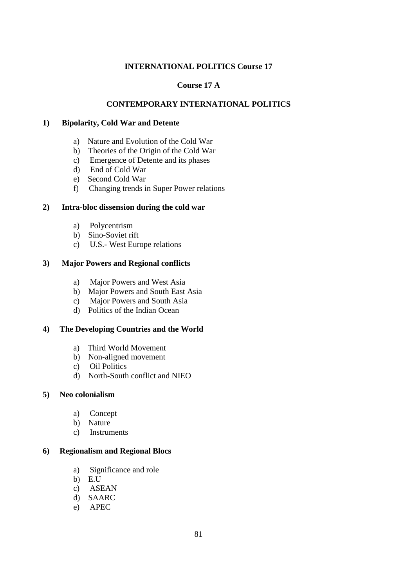## **INTERNATIONAL POLITICS Course 17**

### **Course 17 A**

### **CONTEMPORARY INTERNATIONAL POLITICS**

#### **1) Bipolarity, Cold War and Detente**

- a) Nature and Evolution of the Cold War
- b) Theories of the Origin of the Cold War
- c) Emergence of Detente and its phases
- d) End of Cold War
- e) Second Cold War
- f) Changing trends in Super Power relations

#### **2) Intra-bloc dissension during the cold war**

- a) Polycentrism
- b) Sino-Soviet rift
- c) U.S.- West Europe relations

#### **3) Major Powers and Regional conflicts**

- a) Major Powers and West Asia
- b) Major Powers and South East Asia
- c) Major Powers and South Asia
- d) Politics of the Indian Ocean

#### **4) The Developing Countries and the World**

- a) Third World Movement
- b) Non-aligned movement
- c) Oil Politics
- d) North-South conflict and NIEO

#### **5) Neo colonialism**

- a) Concept
- b) Nature
- c) Instruments

#### **6) Regionalism and Regional Blocs**

- a) Significance and role
- b) E.U
- c) ASEAN
- d) SAARC
- e) APEC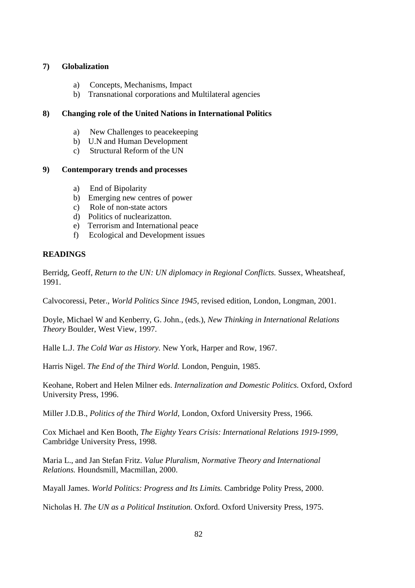#### **7) Globalization**

- a) Concepts, Mechanisms, Impact
- b) Transnational corporations and Multilateral agencies

#### **8) Changing role of the United Nations in International Politics**

- a) New Challenges to peacekeeping
- b) U.N and Human Development
- c) Structural Reform of the UN

#### **9) Contemporary trends and processes**

- a) End of Bipolarity
- b) Emerging new centres of power
- c) Role of non-state actors
- d) Politics of nuclearizatton.
- e) Terrorism and International peace
- f) Ecological and Development issues

### **READINGS**

Berridg, Geoff, *Return to the UN: UN diplomacy in Regional Conflicts.* Sussex, Wheatsheaf, 1991.

Calvocoressi, Peter., *World Politics Since 1945,* revised edition, London, Longman, 2001.

Doyle, Michael W and Kenberry, G. John., (eds.), *New Thinking in International Relations Theory* Boulder, West View, 1997.

Halle L.J. *The Cold War as History.* New York, Harper and Row, 1967.

Harris Nigel. *The End of the Third World.* London, Penguin, 1985.

Keohane, Robert and Helen Milner eds. *Internalization and Domestic Politics.* Oxford, Oxford University Press, 1996.

Miller J.D.B., *Politics of the Third World,* London, Oxford University Press, 1966.

Cox Michael and Ken Booth, *The Eighty Years Crisis: International Relations 1919-1999,* Cambridge University Press, 1998.

Maria L., and Jan Stefan Fritz. *Value Pluralism, Normative Theory and International Relations.* Houndsmill, Macmillan, 2000.

Mayall James. *World Politics: Progress and Its Limits.* Cambridge Polity Press, 2000.

Nicholas H. *The UN as a Political Institution.* Oxford. Oxford University Press, 1975.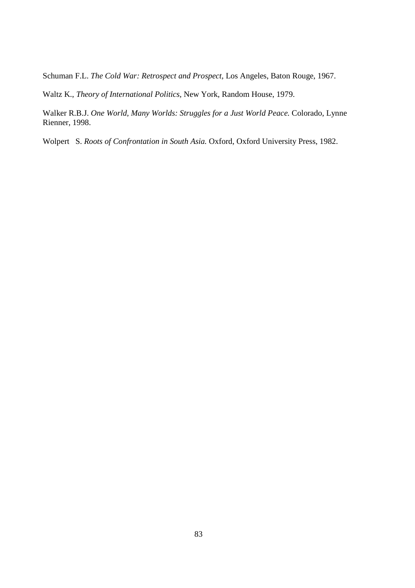Schuman F.L. *The Cold War: Retrospect and Prospect,* Los Angeles, Baton Rouge, 1967.

Waltz K., *Theory of International Politics,* New York, Random House, 1979.

Walker R.B.J. *One World, Many Worlds: Struggles for a Just World Peace.* Colorado, Lynne Rienner, 1998.

Wolpert S. *Roots of Confrontation in South Asia.* Oxford, Oxford University Press, 1982.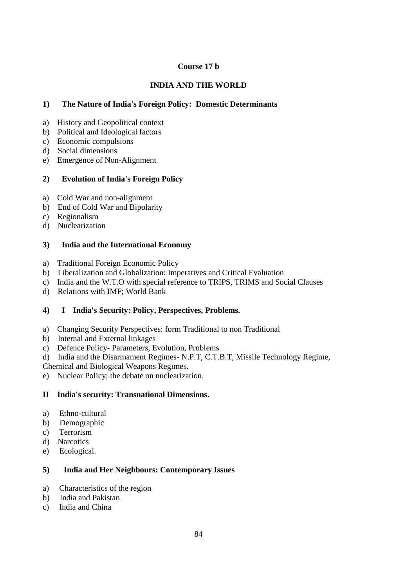# **Course 17 b**

# **INDIA AND THE WORLD**

# **1) The Nature of India's Foreign Policy: Domestic Determinants**

- a) History and Geopolitical context
- b) Political and Ideological factors
- c) Economic compulsions
- d) Social dimensions
- e) Emergence of Non-Alignment

# **2) Evolution of India's Foreign Policy**

- a) Cold War and non-alignment
- b) End of Cold War and Bipolarity
- c) Regionalism
- d) Nuclearization

# **3) India and the International Economy**

- a) Traditional Foreign Economic Policy
- b) Liberalization and Globalization: Imperatives and Critical Evaluation
- c) India and the W.T.O with special reference to TRIPS, TRIMS and Social Clauses
- d) Relations with IMF; World Bank

# **4) I India's Security: Policy, Perspectives, Problems.**

- a) Changing Security Perspectives: form Traditional to non Traditional
- b) Internal and External linkages
- c) Defence Policy- Parameters, Evolution, Problems
- d) India and the Disarmament Regimes- N.P.T, C.T.B.T, Missile Technology Regime,
- Chemical and Biological Weapons Regimes.
- e) Nuclear Policy; the debate on nuclearization.

# **II India's security: Transnational Dimensions.**

- a) Ethno-cultural
- b) Demographic
- c) Terrorism
- d) Narcotics
- e) Ecological.

# **5) India and Her Neighbours: Contemporary Issues**

- a) Characteristics of the region
- b) India and Pakistan
- c) India and China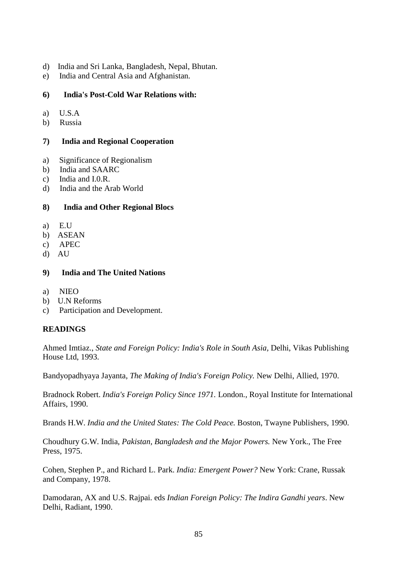- d) India and Sri Lanka, Bangladesh, Nepal, Bhutan.
- e) India and Central Asia and Afghanistan.

### **6) India's Post-Cold War Relations with:**

- a) U.S.A
- b) Russia

### **7) India and Regional Cooperation**

- a) Significance of Regionalism
- b) India and SAARC
- c) India and I.0.R.
- d) India and the Arab World

## **8) India and Other Regional Blocs**

- a) E.U
- b) ASEAN
- c) APEC
- d) AU

## **9) India and The United Nations**

- a) NIEO
- b) U.N Reforms
- c) Participation and Development.

# **READINGS**

Ahmed Imtiaz., *State and Foreign Policy: India's Role in South Asia,* Delhi, Vikas Publishing House Ltd, 1993.

Bandyopadhyaya Jayanta, *The Making of India's Foreign Policy.* New Delhi, Allied, 1970.

Bradnock Robert. *India's Foreign Policy Since 1971.* London., Royal Institute for International Affairs, 1990.

Brands H.W. *India and the United States: The Cold Peace.* Boston, Twayne Publishers, 1990.

Choudhury G.W. India, *Pakistan, Bangladesh and the Major Powers.* New York., The Free Press, 1975.

Cohen, Stephen P., and Richard L. Park. *India: Emergent Power?* New York: Crane, Russak and Company, 1978.

Damodaran, AX and U.S. Rajpai. eds *Indian Foreign Policy: The Indira Gandhi years*. New Delhi, Radiant, 1990.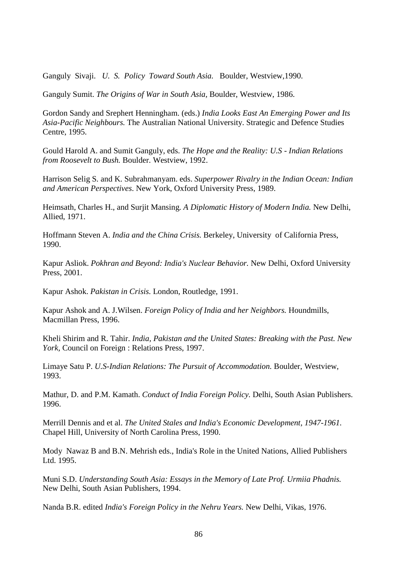Ganguly Sivaji. *U. S. Policy Toward South Asia.* Boulder, Westview,1990.

Ganguly Sumit. *The Origins of War in South Asia,* Boulder, Westview, 1986.

Gordon Sandy and Srephert Henningham. (eds.) *India Looks East An Emerging Power and Its Asia-Pacific Neighbours.* The Australian National University. Strategic and Defence Studies Centre, 1995.

Gould Harold A. and Sumit Ganguly, eds. *The Hope and the Reality: U.S - Indian Relations from Roosevelt to Bush.* Boulder. Westview, 1992.

Harrison Selig S. and K. Subrahmanyam. eds. *Superpower Rivalry in the Indian Ocean: Indian and American Perspectives*. New York, Oxford University Press, 1989.

Heimsath, Charles H., and Surjit Mansing. *A Diplomatic History of Modern India.* New Delhi, Allied, 1971.

Hoffmann Steven A. *India and the China Crisis.* Berkeley, University of California Press, 1990.

Kapur Asliok. *Pokhran and Beyond: India's Nuclear Behavior.* New Delhi, Oxford University Press, 2001.

Kapur Ashok. *Pakistan in Crisis.* London, Routledge, 1991.

Kapur Ashok and A. J.Wilsen. *Foreign Policy of India and her Neighbors.* Houndmills, Macmillan Press, 1996.

Kheli Shirim and R. Tahir. *India, Pakistan and the United States: Breaking with the Past. New York,* Council on Foreign : Relations Press, 1997.

Limaye Satu P. *U.S-Indian Relations: The Pursuit of Accommodation.* Boulder, Westview, 1993.

Mathur, D. and P.M. Kamath. *Conduct of India Foreign Policy.* Delhi, South Asian Publishers. 1996.

Merrill Dennis and et al. *The United Stales and India's Economic Development, 1947-1961.* Chapel Hill, University of North Carolina Press, 1990.

Mody Nawaz B and B.N. Mehrish eds., India's Role in the United Nations, Allied Publishers Ltd. 1995.

Muni S.D. *Understanding South Asia: Essays in the Memory of Late Prof. Urmiia Phadnis.* New Delhi, South Asian Publishers, 1994.

Nanda B.R. edited *India's Foreign Policy in the Nehru Years.* New Delhi, Vikas, 1976.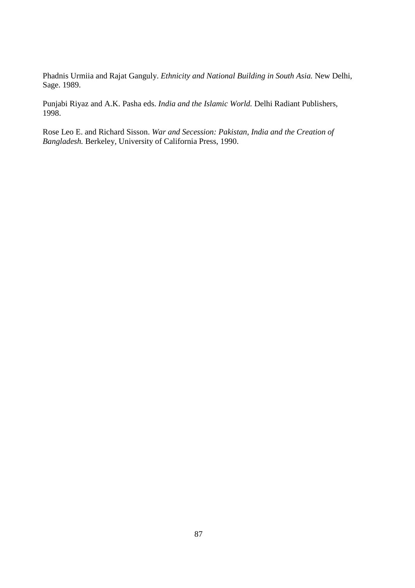Phadnis Urmiia and Rajat Ganguly. *Ethnicity and National Building in South Asia.* New Delhi, Sage. 1989.

Punjabi Riyaz and A.K. Pasha eds. *India and the Islamic World.* Delhi Radiant Publishers, 1998.

Rose Leo E. and Richard Sisson. *War and Secession: Pakistan, India and the Creation of Bangladesh.* Berkeley, University of California Press, 1990.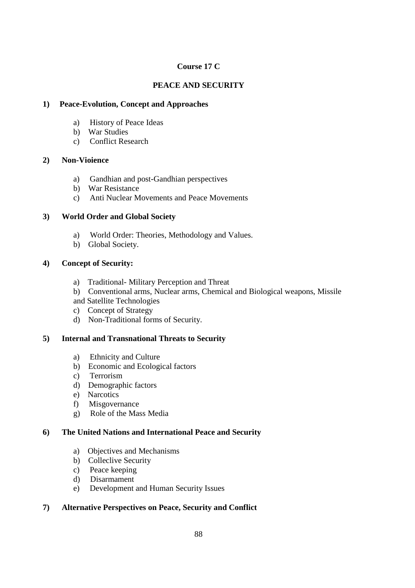# **Course 17 C**

# **PEACE AND SECURITY**

# **1) Peace-Evolution, Concept and Approaches**

- a) History of Peace Ideas
- b) War Studies
- c) Conflict Research

## **2) Non-Vioience**

- a) Gandhian and post-Gandhian perspectives
- b) War Resistance
- c) Anti Nuclear Movements and Peace Movements

## **3) World Order and Global Society**

- a) World Order: Theories, Methodology and Values.
- b) Global Society.

## **4) Concept of Security:**

- a) Traditional- Military Perception and Threat
- b) Conventional arms, Nuclear arms, Chemical and Biological weapons, Missile and Satellite Technologies
- c) Concept of Strategy
- d) Non-Traditional forms of Security.

# **5) Internal and Transnational Threats to Security**

- a) Ethnicity and Culture
- b) Economic and Ecological factors
- c) Terrorism
- d) Demographic factors
- e) Narcotics
- f) Misgovernance
- g) Role of the Mass Media

### **6) The United Nations and International Peace and Security**

- a) Objectives and Mechanisms
- b) Colleclive Security
- c) Peace keeping
- d) Disarmament
- e) Development and Human Security Issues

# **7) Alternative Perspectives on Peace, Security and Conflict**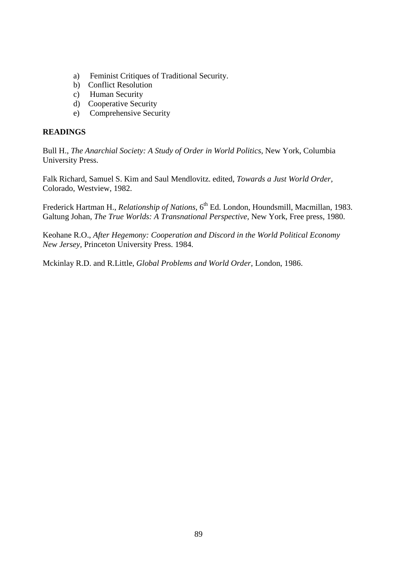- a) Feminist Critiques of Traditional Security.
- b) Conflict Resolution
- c) Human Security
- d) Cooperative Security
- e) Comprehensive Security

# **READINGS**

Bull H., *The Anarchial Society: A Study of Order in World Politics*, New York, Columbia University Press.

Falk Richard, Samuel S. Kim and Saul Mendlovitz. edited, *Towards a Just World Order,* Colorado, Westview, 1982.

Frederick Hartman H., *Relationship of Nations*, 6<sup>th</sup> Ed. London, Houndsmill, Macmillan, 1983. Galtung Johan, *The True Worlds: A Transnational Perspective,* New York, Free press, 1980.

Keohane R.O., *After Hegemony: Cooperation and Discord in the World Political Economy New Jersey,* Princeton University Press. 1984.

Mckinlay R.D. and R.Little, *Global Problems and World Order,* London, 1986.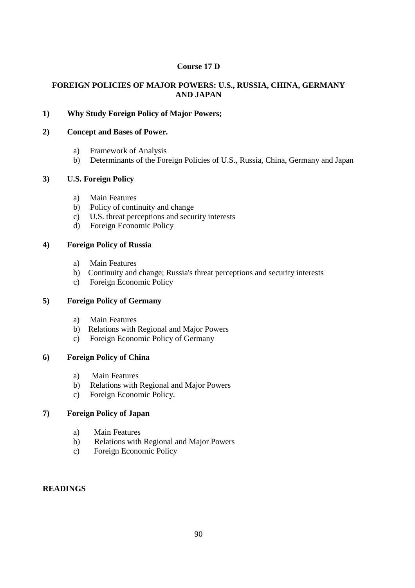## **Course 17 D**

## **FOREIGN POLICIES OF MAJOR POWERS: U.S., RUSSIA, CHINA, GERMANY AND JAPAN**

# **1) Why Study Foreign Policy of Major Powers;**

### **2) Concept and Bases of Power.**

- a) Framework of Analysis
- b) Determinants of the Foreign Policies of U.S., Russia, China, Germany and Japan

### **3) U.S. Foreign Policy**

- a) Main Features
- b) Policy of continuity and change
- c) U.S. threat perceptions and security interests
- d) Foreign Economic Policy

### **4) Foreign Policy of Russia**

- a) Main Features
- b) Continuity and change; Russia's threat perceptions and security interests
- c) Foreign Economic Policy

### **5) Foreign Policy of Germany**

- a) Main Features
- b) Relations with Regional and Major Powers
- c) Foreign Economic Policy of Germany

## **6) Foreign Policy of China**

- a) Main Features
- b) Relations with Regional and Major Powers
- c) Foreign Economic Policy.

# **7) Foreign Policy of Japan**

- a) Main Features
- b) Relations with Regional and Major Powers
- c) Foreign Economic Policy

### **READINGS**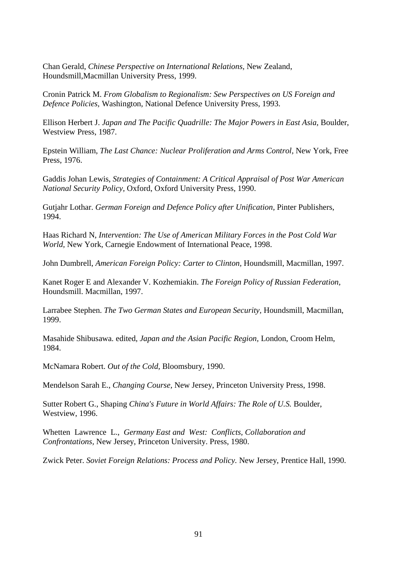Chan Gerald, *Chinese Perspective on International Relations,* New Zealand, Houndsmill,Macmillan University Press, 1999.

Cronin Patrick M. *From Globalism to Regionalism: Sew Perspectives on US Foreign and Defence Policies,* Washington, National Defence University Press, 1993.

Ellison Herbert J. *Japan and The Pacific Quadrille: The Major Powers in East Asia,* Boulder, Westview Press, 1987.

Epstein William, *The Last Chance: Nuclear Proliferation and Arms Control,* New York, Free Press, 1976.

Gaddis Johan Lewis, *Strategies of Containment: A Critical Appraisal of Post War American National Security Policy,* Oxford, Oxford University Press, 1990.

Gutjahr Lothar. *German Foreign and Defence Policy after Unification,* Pinter Publishers, 1994.

Haas Richard N, *Intervention: The Use of American Military Forces in the Post Cold War World,* New York, Carnegie Endowment of International Peace, 1998.

John Dumbrell, *American Foreign Policy: Carter to Clinton,* Houndsmill, Macmillan, 1997.

Kanet Roger E and Alexander V. Kozhemiakin. *The Foreign Policy of Russian Federation,* Houndsmill. Macmillan, 1997.

Larrabee Stephen. *The Two German States and European Security,* Houndsmill, Macmillan, 1999.

Masahide Shibusawa. edited, *Japan and the Asian Pacific Region,* London, Croom Helm, 1984.

McNamara Robert. *Out of the Cold,* Bloomsbury, 1990.

Mendelson Sarah E., *Changing Course,* New Jersey, Princeton University Press, 1998.

Sutter Robert G., Shaping *China's Future in World Affairs: The Role of U.S.* Boulder, Westview, 1996.

Whetten Lawrence L., *Germany East and West: Conflicts, Collaboration and Confrontations,* New Jersey, Princeton University. Press, 1980.

Zwick Peter. *Soviet Foreign Relations: Process and Policy.* New Jersey, Prentice Hall, 1990.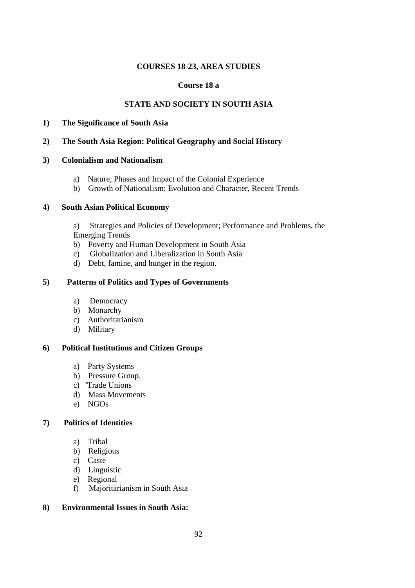### **COURSES 18-23, AREA STUDIES**

### **Course 18 a**

## **STATE AND SOCIETY IN SOUTH ASIA**

- **1) The Significance of South Asia**
- **2) The South Asia Region: Political Geography and Social History**

#### **3) Colonialism and Nationalism**

- a) Nature, Phases and Impact of the Colonial Experience
- b) Growth of Nationalism: Evolution and Character, Recent Trends

#### **4) South Asian Political Economy**

a) Strategies and Policies of Development; Performance and Problems, the Emerging Trends

- b) Poverty and Human Development in South Asia
- c) Globalization and Liberalization in South Asia
- d) Debt, famine, and hunger in the region.

#### **5) Patterns of Politics and Types of Governments**

- a) Democracy
- b) Monarchy
- c) Authoritarianism
- d) Military

#### **6) Political Institutions and Citizen Groups**

- a) Party Systems
- b) Pressure Group.
- c) 'Trade Unions
- d) Mass Movements
- e) NGOs

#### **7) Politics of Identities**

- a) Tribal
- b) Religious
- c) Caste
- d) Linguistic
- e) Regional
- f) Majoritarianism in South Asia

#### **8) Environmental Issues in South Asia:**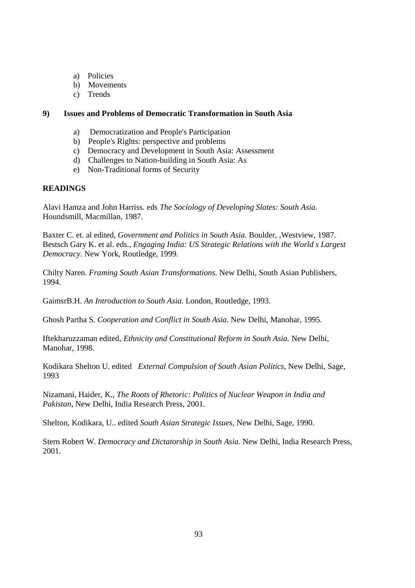- a) Policies
- b) Movements
- c) Trends

#### **9) Issues and Problems of Democratic Transformation in South Asia**

- a) Democratization and People's Participation
- b) People's Rights: perspective and problems
- c) Democracy and Development in South Asia: Assessment
- d) Challenges to Nation-building in South Asia: As
- e) Non-Traditional forms of Security

### **READINGS**

Alavi Hamza and John Harriss. eds *The Sociology of Developing Slates: South Asia.* Houndsmill, Macmillan, 1987.

Baxter C. et. al edited, *Government and Politics in South Asia.* Boulder, ,Westview, 1987. Bestsch Gary K. et al. eds., *Engaging India: US Strategic Relations with the World s Largest Democracy*. New York, Routledge, 1999.

Chilty Naren. *Framing South Asian Transformations.* New Delhi, South Asian Publishers, 1994.

GaimsrB.H. *An Introduction to South Asia.* London, Routledge, 1993.

Ghosh Partha S. *Cooperation and Conflict in South Asia.* New Delhi, Manohar, 1995.

Iftekharuzzaman edited, *Ethnicity and Constitutional Reform in South Asia.* New Delhi, Manohar, 1998.

Kodikara Shelton U. edited *External Compulsion of South Asian Politics,* New Delhi, Sage, 1993

Nizamani, Haider, K., *The Roots of Rhetoric: Politics of Nuclear Weapon in India and Pakistan,* New Delhi, India Research Press, 2001.

Shelton, Kodikara, U.. edited *South Asian Strategic Issues,* New Delhi, Sage, 1990.

Stern Robert W. *Democracy and Dictatorship in South Asia.* New Delhi, India Research Press, 2001.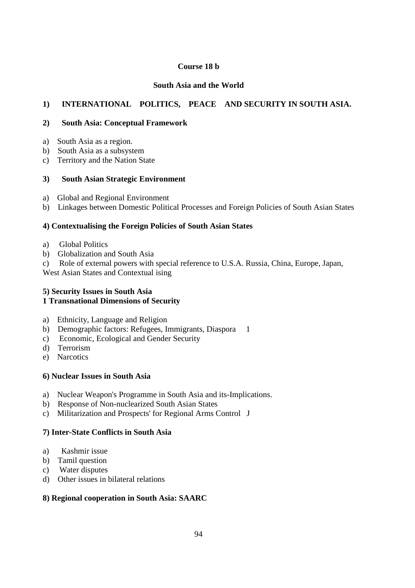## **Course 18 b**

## **South Asia and the World**

# **1) INTERNATIONAL POLITICS, PEACE AND SECURITY IN SOUTH ASIA.**

### **2) South Asia: Conceptual Framework**

- a) South Asia as a region.
- b) South Asia as a subsystem
- c) Territory and the Nation State

#### **3) South Asian Strategic Environment**

- a) Global and Regional Environment
- b) Linkages between Domestic Political Processes and Foreign Policies of South Asian States

### **4) Contextualising the Foreign Policies of South Asian States**

- a) Global Politics
- b) Globalization and South Asia
- c) Role of external powers with special reference to U.S.A. Russia, China, Europe, Japan,

West Asian States and Contextual ising

## **5) Security Issues in South Asia 1 Transnational Dimensions of Security**

- a) Ethnicity, Language and Religion
- b) Demographic factors: Refugees, Immigrants, Diaspora 1
- c) Economic, Ecological and Gender Security
- d) Terrorism
- e) Narcotics

### **6) Nuclear Issues in South Asia**

- a) Nuclear Weapon's Programme in South Asia and its-Implications.
- b) Response of Non-nuclearized South Asian States
- c) Militarization and Prospects' for Regional Arms Control J

## **7) Inter-State Conflicts in South Asia**

- a) Kashmir issue
- b) Tamil question
- c) Water disputes
- d) Other issues in bilateral relations

### **8) Regional cooperation in South Asia: SAARC**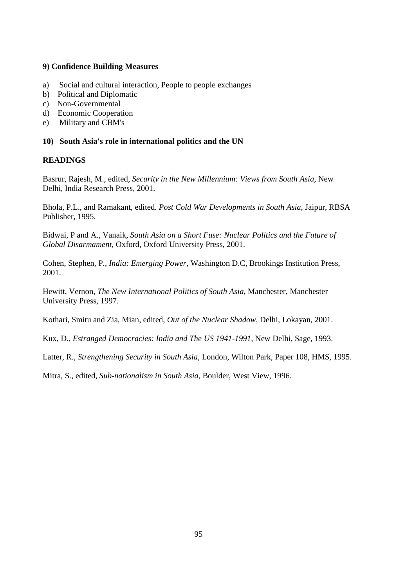### **9) Confidence Building Measures**

- a) Social and cultural interaction, People to people exchanges
- b) Political and Diplomatic
- c) Non-Governmental
- d) Economic Cooperation
- e) Military and CBM's

#### **10) South Asia's role in international politics and the UN**

#### **READINGS**

Basrur, Rajesh, M., edited, *Security in the New Millennium: Views from South Asia,* New Delhi, India Research Press, 2001.

Bhola, P.L., and Ramakant, edited. *Post Cold War Developments in South Asia,* Jaipur, RBSA Publisher, 1995.

Bidwai, P and A., Vanaik, *South Asia on a Short Fuse: Nuclear Politics and the Future of Global Disarmament,* Oxford, Oxford University Press, 2001.

Cohen, Stephen, P., *India: Emerging Power,* Washington D.C, Brookings Institution Press, 2001.

Hewitt, Vernon, *The New International Politics of South Asia,* Manchester, Manchester University Press, 1997.

Kothari, Smitu and Zia, Mian, edited, *Out of the Nuclear Shadow,* Delhi, Lokayan, 2001.

Kux, D., *Estranged Democracies: India and The US 1941-1991,* New Delhi, Sage, 1993.

Latter, R., *Strengthening Security in South Asia,* London, Wilton Park, Paper 108, HMS, 1995.

Mitra, S., edited, *Sub-nationalism in South Asia,* Boulder, West View, 1996.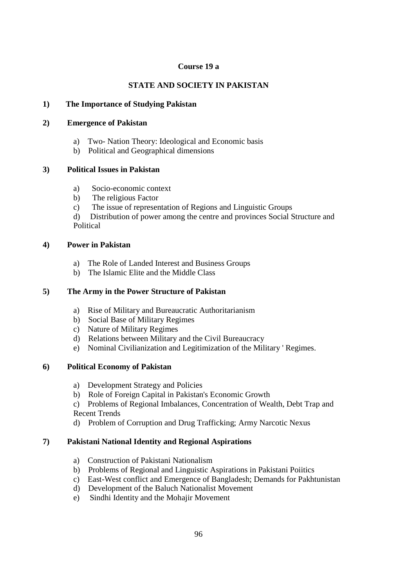### **Course 19 a**

# **STATE AND SOCIETY IN PAKISTAN**

### **1) The Importance of Studying Pakistan**

#### **2) Emergence of Pakistan**

- a) Two- Nation Theory: Ideological and Economic basis
- b) Political and Geographical dimensions

### **3) Political Issues in Pakistan**

- a) Socio-economic context
- b) The religious Factor
- c) The issue of representation of Regions and Linguistic Groups
- d) Distribution of power among the centre and provinces Social Structure and Political

### **4) Power in Pakistan**

- a) The Role of Landed Interest and Business Groups
- b) The Islamic Elite and the Middle Class

## **5) The Army in the Power Structure of Pakistan**

- a) Rise of Military and Bureaucratic Authoritarianism
- b) Social Base of Military Regimes
- c) Nature of Military Regimes
- d) Relations between Military and the Civil Bureaucracy
- e) Nominal Civilianization and Legitimization of the Military ' Regimes.

### **6) Political Economy of Pakistan**

- a) Development Strategy and Policies
- b) Role of Foreign Capital in Pakistan's Economic Growth

c) Problems of Regional Imbalances, Concentration of Wealth, Debt Trap and Recent Trends

d) Problem of Corruption and Drug Trafficking; Army Narcotic Nexus

### **7) Pakistani National Identity and Regional Aspirations**

- a) Construction of Pakistani Nationalism
- b) Problems of Regional and Linguistic Aspirations in Pakistani Poiitics
- c) East-West conflict and Emergence of Bangladesh; Demands for Pakhtunistan
- d) Development of the Baluch Nationalist Movement
- e) Sindhi Identity and the Mohajir Movement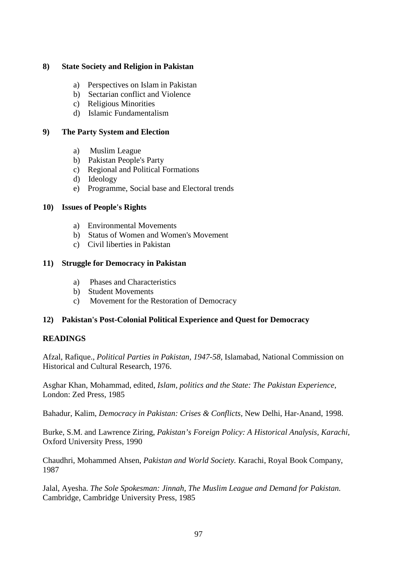### **8) State Society and Religion in Pakistan**

- a) Perspectives on Islam in Pakistan
- b) Sectarian conflict and Violence
- c) Religious Minorities
- d) Islamic Fundamentalism

#### **9) The Party System and Election**

- a) Muslim League
- b) Pakistan People's Party
- c) Regional and Political Formations
- d) Ideology
- e) Programme, Social base and Electoral trends

#### **10) Issues of People's Rights**

- a) Environmental Movements
- b) Status of Women and Women's Movement
- c) Civil liberties in Pakistan

#### **11) Struggle for Democracy in Pakistan**

- a) Phases and Characteristics
- b) Student Movements
- c) Movement for the Restoration of Democracy

### **12) Pakistan's Post-Colonial Political Experience and Quest for Democracy**

### **READINGS**

Afzal, Rafique., *Political Parties in Pakistan, 1947-58,* Islamabad, National Commission on Historical and Cultural Research, 1976.

Asghar Khan, Mohammad, edited, *Islam, politics and the State: The Pakistan Experience,* London: Zed Press, 1985

Bahadur, Kalim, *Democracy in Pakistan: Crises & Conflicts,* New Delhi, Har-Anand, 1998.

Burke, S.M. and Lawrence Ziring, *Pakistan's Foreign Policy: A Historical Analysis, Karachi,* Oxford University Press, 1990

Chaudhri, Mohammed Ahsen, *Pakistan and World Society.* Karachi, Royal Book Company, 1987

Jalal, Ayesha. *The Sole Spokesman: Jinnah, The Muslim League and Demand for Pakistan.* Cambridge, Cambridge University Press, 1985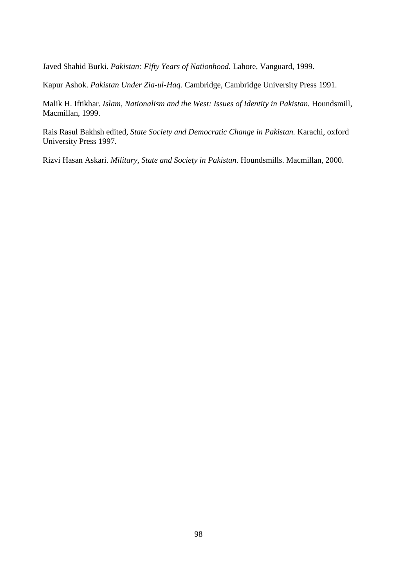Javed Shahid Burki. *Pakistan: Fifty Years of Nationhood.* Lahore, Vanguard, 1999.

Kapur Ashok. *Pakistan Under Zia-ul-Haq.* Cambridge, Cambridge University Press 1991.

Malik H. Iftikhar. *Islam, Nationalism and the West: Issues of Identity in Pakistan.* Houndsmill, Macmillan, 1999.

Rais Rasul Bakhsh edited, *State Society and Democratic Change in Pakistan.* Karachi, oxford University Press 1997.

Rizvi Hasan Askari. *Military, State and Society in Pakistan.* Houndsmills. Macmillan, 2000.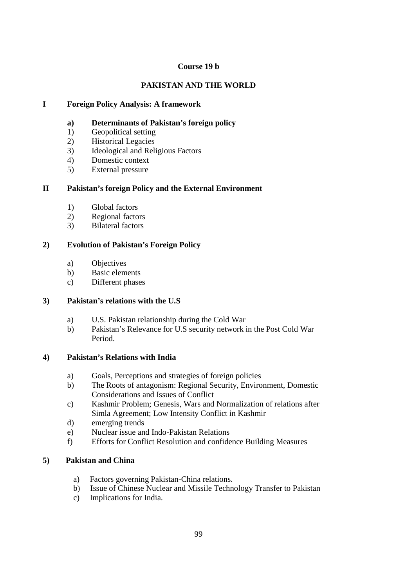### **Course 19 b**

# **PAKISTAN AND THE WORLD**

## **I Foreign Policy Analysis: A framework**

- **a) Determinants of Pakistan's foreign policy**
- 1) Geopolitical setting
- 2) Historical Legacies
- 3) Ideological and Religious Factors
- 4) Domestic context
- 5) External pressure

## **II Pakistan's foreign Policy and the External Environment**

- 1) Global factors
- 2) Regional factors
- 3) Bilateral factors

## **2) Evolution of Pakistan's Foreign Policy**

- a) Objectives
- b) Basic elements
- c) Different phases

# **3) Pakistan's relations with the U.S**

- a) U.S. Pakistan relationship during the Cold War
- b) Pakistan's Relevance for U.S security network in the Post Cold War Period.

### **4) Pakistan's Relations with India**

- a) Goals, Perceptions and strategies of foreign policies
- b) The Roots of antagonism: Regional Security, Environment, Domestic Considerations and Issues of Conflict
- c) Kashmir Problem; Genesis, Wars and Normalization of relations after Simla Agreement; Low Intensity Conflict in Kashmir
- d) emerging trends
- e) Nuclear issue and Indo-Pakistan Relations
- f) Efforts for Conflict Resolution and confidence Building Measures

# **5) Pakistan and China**

- a) Factors governing Pakistan-China relations.
- b) Issue of Chinese Nuclear and Missile Technology Transfer to Pakistan
- c) Implications for India.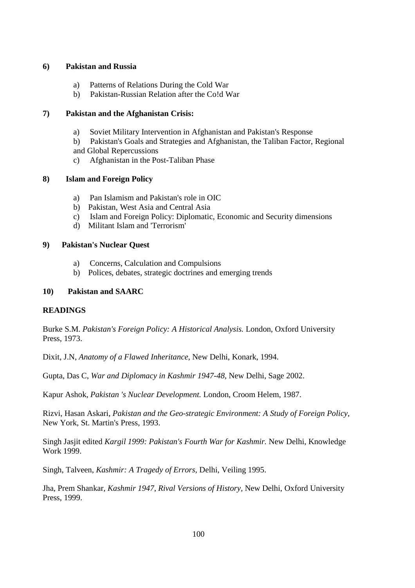#### **6) Pakistan and Russia**

- a) Patterns of Relations During the Cold War
- b) Pakistan-Russian Relation after the Co!d War

## **7) Pakistan and the Afghanistan Crisis:**

- a) Soviet Military Intervention in Afghanistan and Pakistan's Response
- b) Pakistan's Goals and Strategies and Afghanistan, the Taliban Factor, Regional and Global Repercussions
- c) Afghanistan in the Post-Taliban Phase

## **8) Islam and Foreign Policy**

- a) Pan Islamism and Pakistan's role in OIC
- b) Pakistan, West Asia and Central Asia
- c) Islam and Foreign Policy: Diplomatic, Economic and Security dimensions
- d) Militant Islam and 'Terrorism'

### **9) Pakistan's Nuclear Quest**

- a) Concerns, Calculation and Compulsions
- b) Polices, debates, strategic doctrines and emerging trends

## **10) Pakistan and SAARC**

# **READINGS**

Burke S.M. *Pakistan's Foreign Policy: A Historical Analysis.* London, Oxford University Press, 1973.

Dixit, J.N, *Anatomy of a Flawed Inheritance,* New Delhi, Konark, 1994.

Gupta, Das C, *War and Diplomacy in Kashmir 1947-48,* New Delhi, Sage 2002.

Kapur Ashok, *Pakistan 's Nuclear Development.* London, Croom Helem, 1987.

Rizvi, Hasan Askari, *Pakistan and the Geo-strategic Environment: A Study of Foreign Policy,* New York, St. Martin's Press, 1993.

Singh Jasjit edited *Kargil 1999: Pakistan's Fourth War for Kashmir.* New Delhi, Knowledge Work 1999.

Singh, Talveen, *Kashmir: A Tragedy of Errors,* Delhi, Veiling 1995.

Jha, Prem Shankar, *Kashmir 1947, Rival Versions of History,* New Delhi, Oxford University Press, 1999.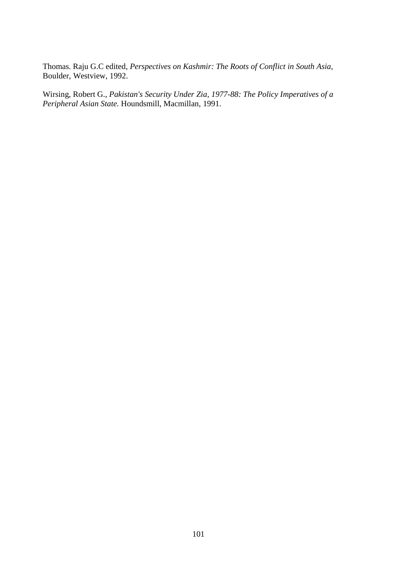Thomas. Raju G.C edited, *Perspectives on Kashmir: The Roots of Conflict in South Asia,* Boulder, Westview, 1992.

Wirsing, Robert G., *Pakistan's Security Under Zia, 1977-88: The Policy Imperatives of a Peripheral Asian State.* Houndsmill, Macmillan, 1991.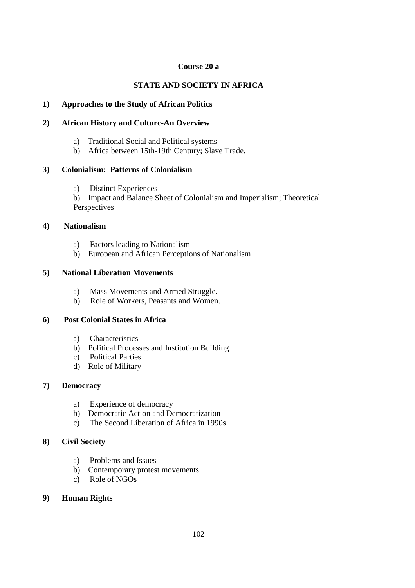### **Course 20 a**

## **STATE AND SOCIETY IN AFRICA**

### **1) Approaches to the Study of African Politics**

### **2) African History and Culturc-An Overview**

- a) Traditional Social and Political systems
- b) Africa between 15th-19th Century; Slave Trade.

## **3) Colonialism: Patterns of Colonialism**

a) Distinct Experiences

b) Impact and Balance Sheet of Colonialism and Imperialism; Theoretical Perspectives

## **4) Nationalism**

- a) Factors leading to Nationalism
- b) European and African Perceptions of Nationalism

## **5) National Liberation Movements**

- a) Mass Movements and Armed Struggle.
- b) Role of Workers, Peasants and Women.

## **6) Post Colonial States in Africa**

- a) Characteristics
- b) Political Processes and Institution Building
- c) Political Parties
- d) Role of Military

### **7) Democracy**

- a) Experience of democracy
- b) Democratic Action and Democratization
- c) The Second Liberation of Africa in 1990s

### **8) Civil Society**

- a) Problems and Issues
- b) Contemporary protest movements
- c) Role of NGOs

### **9) Human Rights**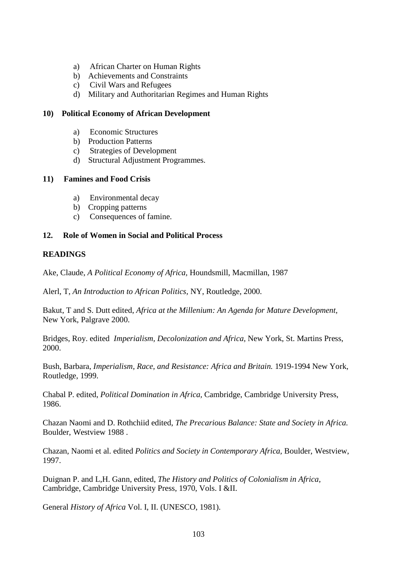- a) African Charter on Human Rights
- b) Achievements and Constraints
- c) Civil Wars and Refugees
- d) Military and Authoritarian Regimes and Human Rights

#### **10) Political Economy of African Development**

- a) Economic Structures
- b) Production Patterns
- c) Strategies of Development
- d) Structural Adjustment Programmes.

#### **11) Famines and Food Crisis**

- a) Environmental decay
- b) Cropping patterns
- c) Consequences of famine.

### **12. Role of Women in Social and Political Process**

#### **READINGS**

Ake, Claude, *A Political Economy of Africa,* Houndsmill, Macmillan, 1987

Alerl, T, *An Introduction to African Politics,* NY, Routledge, 2000.

Bakut, T and S. Dutt edited, *Africa at the Millenium: An Agenda for Mature Development,* New York, Palgrave 2000.

Bridges, Roy. edited *Imperialism, Decolonization and Africa,* New York, St. Martins Press, 2000.

Bush, Barbara, *Imperialism, Race, and Resistance: Africa and Britain.* 1919-1994 New York, Routledge, 1999.

Chabal P. edited, *Political Domination in Africa,* Cambridge, Cambridge University Press, 1986.

Chazan Naomi and D. Rothchiid edited, *The Precarious Balance: State and Society in Africa.* Boulder, Westview 1988 .

Chazan, Naomi et al. edited *Politics and Society in Contemporary Africa,* Boulder, Westview, 1997.

Duignan P. and L,H. Gann, edited, *The History and Politics of Colonialism in Africa,* Cambridge, Cambridge University Press, 1970, Vols. I &II.

General *History of Africa* Vol. I, II. (UNESCO, 1981).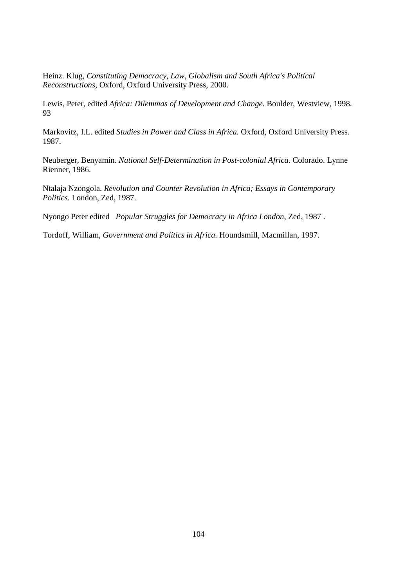Heinz. Klug, *Constituting Democracy, Law, Globalism and South Africa's Political Reconstructions,* Oxford, Oxford University Press, 2000.

Lewis, Peter, edited *Africa: Dilemmas of Development and Change.* Boulder, Westview, 1998. 93

Markovitz, I.L. edited *Studies in Power and Class in Africa.* Oxford, Oxford University Press. 1987.

Neuberger, Benyamin. *National Self-Determination in Post-colonial Africa.* Colorado. Lynne Rienner, 1986.

Ntalaja Nzongola. *Revolution and Counter Revolution in Africa; Essays in Contemporary Politics.* London, Zed, 1987.

Nyongo Peter edited *Popular Struggles for Democracy in Africa London,* Zed, 1987 .

Tordoff, William, *Government and Politics in Africa.* Houndsmill, Macmillan, 1997.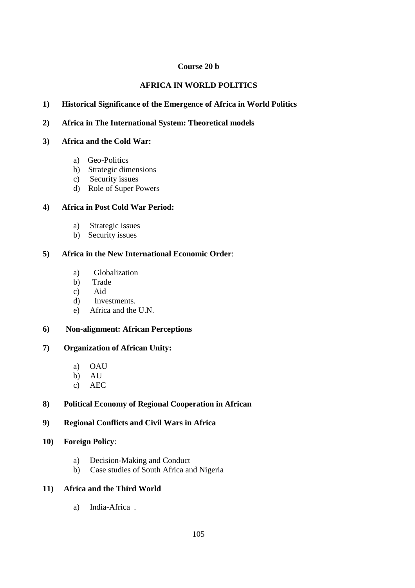## **Course 20 b**

# **AFRICA IN WORLD POLITICS**

# **1) Historical Significance of the Emergence of Africa in World Politics**

### **2) Africa in The International System: Theoretical models**

#### **3) Africa and the Cold War:**

- a) Geo-Politics
- b) Strategic dimensions
- c) Security issues
- d) Role of Super Powers

## **4) Africa in Post Cold War Period:**

- a) Strategic issues
- b) Security issues

## **5) Africa in the New International Economic Order**:

- a) Globalization
- b) Trade
- c) Aid
- d) Investments.
- e) Africa and the U.N.

### **6) Non-alignment: African Perceptions**

### **7) Organization of African Unity:**

- a) OAU
- b) AU
- c) AEC

# **8) Political Economy of Regional Cooperation in African**

# **9) Regional Conflicts and Civil Wars in Africa**

- **10) Foreign Policy**:
	- a) Decision-Making and Conduct
	- b) Case studies of South Africa and Nigeria

## **11) Africa and the Third World**

a) India-Africa .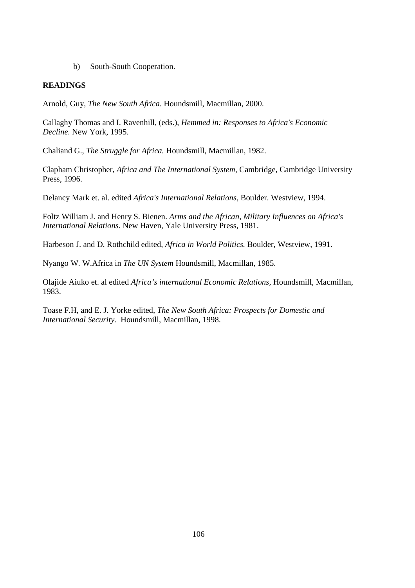b) South-South Cooperation.

### **READINGS**

Arnold, Guy, *The New South Africa*. Houndsmill, Macmillan, 2000.

Callaghy Thomas and I. Ravenhill, (eds.), *Hemmed in: Responses to Africa's Economic Decline.* New York, 1995.

Chaliand G., *The Struggle for Africa.* Houndsmill, Macmillan, 1982.

Clapham Christopher, *Africa and The International System,* Cambridge, Cambridge University Press, 1996.

Delancy Mark et. al. edited *Africa's International Relations,* Boulder. Westview, 1994.

Foltz William J. and Henry S. Bienen. *Arms and the African, Military Influences on Africa's International Relations.* New Haven, Yale University Press, 1981.

Harbeson J. and D. Rothchild edited, *Africa in World Politics.* Boulder, Westview, 1991.

Nyango W. W.Africa in *The UN System* Houndsmill, Macmillan, 1985.

Olajide Aiuko et. al edited *Africa's international Economic Relations,* Houndsmill, Macmillan, 1983.

Toase F.H, and E. J. Yorke edited, *The New South Africa: Prospects for Domestic and International Security.* Houndsmill, Macmillan, 1998.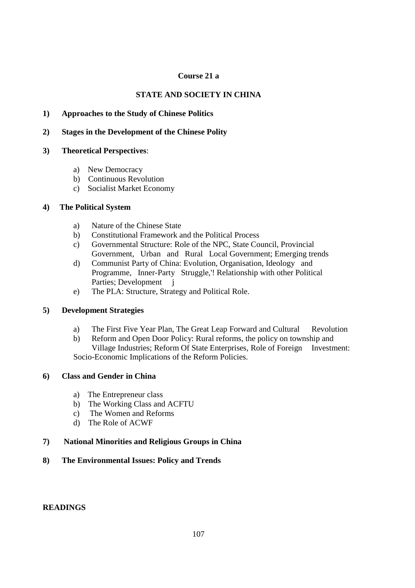# **Course 21 a**

# **STATE AND SOCIETY IN CHINA**

# **1) Approaches to the Study of Chinese Politics**

### **2) Stages in the Development of the Chinese Polity**

### **3) Theoretical Perspectives**:

- a) New Democracy
- b) Continuous Revolution
- c) Socialist Market Economy

### **4) The Political System**

- a) Nature of the Chinese State
- b) Constitutional Framework and the Political Process
- c) Governmental Structure: Role of the NPC, State Council, Provincial Government, Urban and Rural Local Government; Emerging trends
- d) Communist Party of China: Evolution, Organisation, Ideology and Programme, Inner-Party Struggle,'! Relationship with other Political Parties; Development *j*
- e) The PLA: Structure, Strategy and Political Role.

### **5) Development Strategies**

- a) The First Five Year Plan, The Great Leap Forward and Cultural Revolution
- b) Reform and Open Door Policy: Rural reforms, the policy on township and Village Industries; Reform Of State Enterprises, Role of Foreign Investment: Socio-Economic Implications of the Reform Policies.

# **6) Class and Gender in China**

- a) The Entrepreneur class
- b) The Working Class and ACFTU
- c) The Women and Reforms
- d) The Role of ACWF

### **7) National Minorities and Religious Groups in China**

### **8) The Environmental Issues: Policy and Trends**

### **READINGS**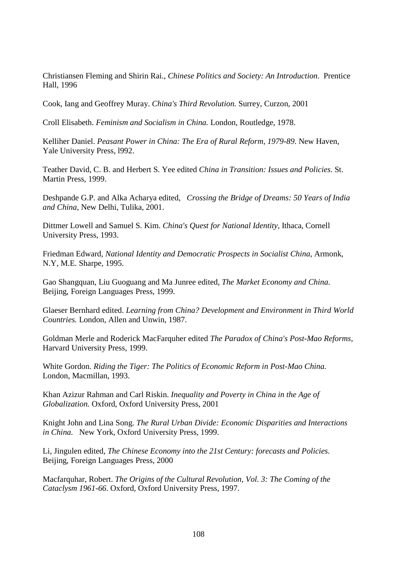Christiansen Fleming and Shirin Rai., *Chinese Politics and Society: An Introduction*. Prentice Hall, 1996

Cook, Iang and Geoffrey Muray. *China's Third Revolution.* Surrey, Curzon, 2001

Croll Elisabeth. *Feminism and Socialism in China.* London, Routledge, 1978.

Kelliher Daniel. *Peasant Power in China: The Era of Rural Reform, 1979-89*. New Haven, Yale University Press, l992.

Teather David, C. B. and Herbert S. Yee edited *China in Transition: Issues and Policies*. St. Martin Press, 1999.

Deshpande G.P. and Alka Acharya edited, *Crossing the Bridge of Dreams: 50 Years of India and China*, New Delhi, Tulika, 2001.

Dittmer Lowell and Samuel S. Kim. *China's Quest for National Identity,* Ithaca, Cornell University Press, 1993.

Friedman Edward, *National Identity and Democratic Prospects in Socialist China*, Armonk, N.Y, M.E. Sharpe, 1995.

Gao Shangquan, Liu Guoguang and Ma Junree edited, *The Market Economy and China.* Beijing, Foreign Languages Press, 1999.

Glaeser Bernhard edited. *Learning from China? Development and Environment in Third World Countries.* London, Allen and Unwin, 1987.

Goldman Merle and Roderick MacFarquher edited *The Paradox of China's Post-Mao Reforms,* Harvard University Press, 1999.

White Gordon. *Riding the Tiger: The Politics of Economic Reform in Post-Mao China.* London, Macmillan, 1993.

Khan Azizur Rahman and Carl Riskin. *Inequality and Poverty in China in the Age of Globalization.* Oxford, Oxford University Press, 2001

Knight John and Lina Song. *The Rural Urban Divide: Economic Disparities and Interactions in China.* New York, Oxford University Press, 1999.

Li, Jingulen edited, *The Chinese Economy into the 21st Century: forecasts and Policies.* Beijing, Foreign Languages Press, 2000

Macfarquhar, Robert. *The Origins of the Cultural Revolution, Vol. 3: The Coming of the Cataclysm 1961-66*. Oxford, Oxford University Press, 1997.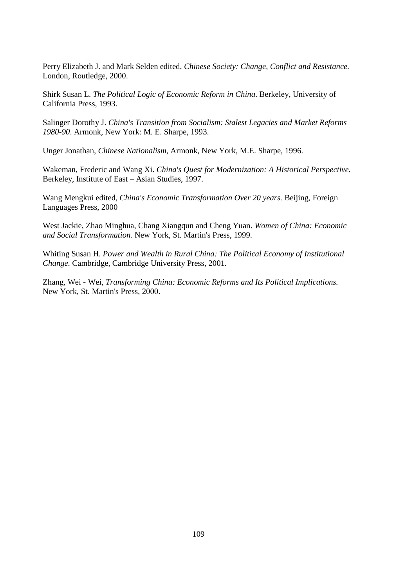Perry Elizabeth J. and Mark Selden edited, *Chinese Society: Change, Conflict and Resistance.* London, Routledge, 2000.

Shirk Susan L. *The Political Logic of Economic Reform in China*. Berkeley, University of California Press, 1993.

Salinger Dorothy J. *China's Transition from Socialism: Stalest Legacies and Market Reforms 1980-90*. Armonk, New York: M. E. Sharpe, 1993.

Unger Jonathan, *Chinese Nationalism*, Armonk, New York, M.E. Sharpe, 1996.

Wakeman, Frederic and Wang Xi. *China's Quest for Modernization: A Historical Perspective.* Berkeley, Institute of East – Asian Studies, 1997.

Wang Mengkui edited, *China's Economic Transformation Over 20 years.* Beijing, Foreign Languages Press, 2000

West Jackie, Zhao Minghua, Chang Xiangqun and Cheng Yuan. *Women of China: Economic and Social Transformation.* New York, St. Martin's Press, 1999.

Whiting Susan H. *Power and Wealth in Rural China: The Political Economy of Institutional Change.* Cambridge, Cambridge University Press, 2001.

Zhang, Wei - Wei, *Transforming China: Economic Reforms and Its Political Implications.* New York, St. Martin's Press, 2000.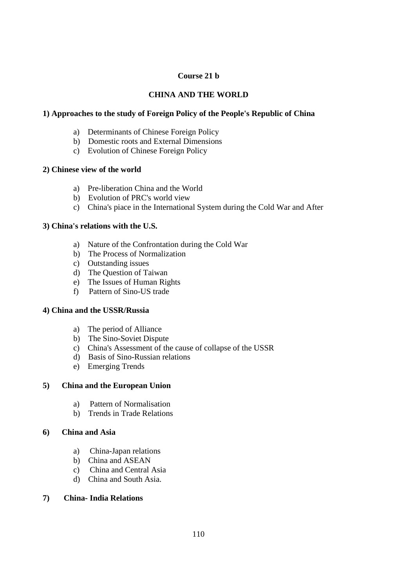# **Course 21 b**

# **CHINA AND THE WORLD**

# **1) Approaches to the study of Foreign Policy of the People's Republic of China**

- a) Determinants of Chinese Foreign Policy
- b) Domestic roots and External Dimensions
- c) Evolution of Chinese Foreign Policy

### **2) Chinese view of the world**

- a) Pre-liberation China and the World
- b) Evolution of PRC's world view
- c) China's piace in the International System during the Cold War and After

### **3) China's relations with the U.S.**

- a) Nature of the Confrontation during the Cold War
- b) The Process of Normalization
- c) Outstanding issues
- d) The Question of Taiwan
- e) The Issues of Human Rights
- f) Pattern of Sino-US trade

### **4) China and the USSR/Russia**

- a) The period of Alliance
- b) The Sino-Soviet Dispute
- c) China's Assessment of the cause of collapse of the USSR
- d) Basis of Sino-Russian relations
- e) Emerging Trends

### **5) China and the European Union**

- a) Pattern of Normalisation
- b) Trends in Trade Relations

# **6) China and Asia**

- a) China-Japan relations
- b) China and ASEAN
- c) China and Central Asia
- d) China and South Asia.

### **7) China- India Relations**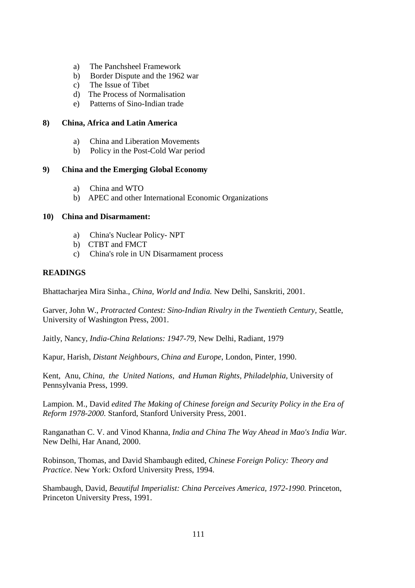- a) The Panchsheel Framework
- b) Border Dispute and the 1962 war
- c) The Issue of Tibet
- d) The Process of Normalisation
- e) Patterns of Sino-Indian trade

#### **8) China, Africa and Latin America**

- a) China and Liberation Movements
- b) Policy in the Post-Cold War period

#### **9) China and the Emerging Global Economy**

- a) China and WTO
- b) APEC and other International Economic Organizations

#### **10) China and Disarmament:**

- a) China's Nuclear Policy- NPT
- b) CTBT and FMCT
- c) China's role in UN Disarmament process

### **READINGS**

Bhattacharjea Mira Sinha., *China, World and India.* New Delhi, Sanskriti, 2001.

Garver, John W., *Protracted Contest: Sino-Indian Rivalry in the Twentieth Century,* Seattle, University of Washington Press, 2001.

Jaitly, Nancy*, India-China Relations: 1947-79,* New Delhi, Radiant, 1979

Kapur, Harish, *Distant Neighbours, China and Europe*, London, Pinter, 1990.

Kent, Anu, *China, the United Nations, and Human Rights, Philadelphia,* University of Pennsylvania Press, 1999.

Lampion. M., David *edited The Making of Chinese foreign and Security Policy in the Era of Reform 1978-2000.* Stanford, Stanford University Press, 2001.

Ranganathan C. V. and Vinod Khanna, *India and China The Way Ahead in Mao's India War.* New Delhi, Har Anand, 2000.

Robinson, Thomas, and David Shambaugh edited, *Chinese Foreign Policy: Theory and Practice*. New York: Oxford University Press, 1994.

Shambaugh, David, *Beautiful Imperialist: China Perceives America, 1972-1990.* Princeton, Princeton University Press, 1991.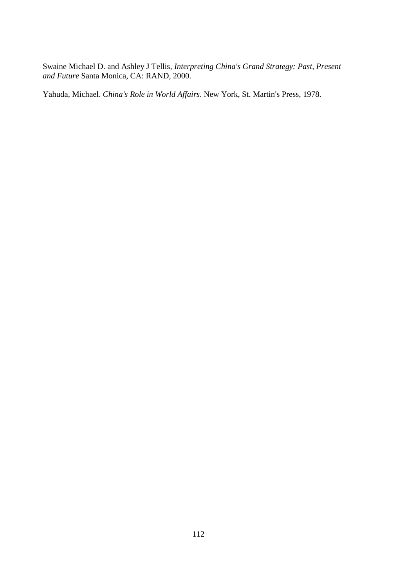Swaine Michael D. and Ashley J Tellis, *Interpreting China's Grand Strategy: Past, Present and Future* Santa Monica, CA: RAND, 2000.

Yahuda, Michael. *China's Role in World Affairs*. New York, St. Martin's Press, 1978.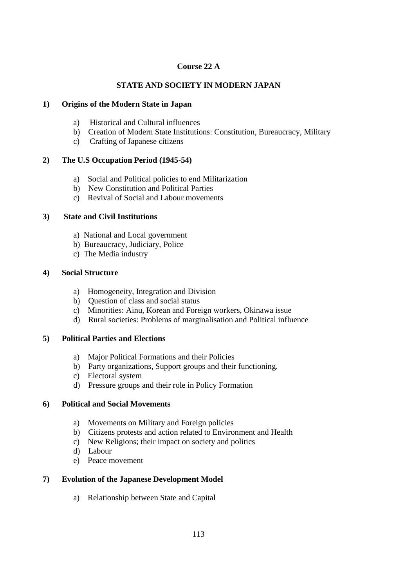# **Course 22 A**

# **STATE AND SOCIETY IN MODERN JAPAN**

### **1) Origins of the Modern State in Japan**

- a) Historical and Cultural influences
- b) Creation of Modern State Institutions: Constitution, Bureaucracy, Military
- c) Crafting of Japanese citizens

# **2) The U.S Occupation Period (1945-54)**

- a) Social and Political policies to end Militarization
- b) New Constitution and Political Parties
- c) Revival of Social and Labour movements

# **3) State and Civil Institutions**

- a) National and Local government
- b) Bureaucracy, Judiciary, Police
- c) The Media industry

# **4) Social Structure**

- a) Homogeneity, Integration and Division
- b) Question of class and social status
- c) Minorities: Ainu, Korean and Foreign workers, Okinawa issue
- d) Rural societies: Problems of marginalisation and Political influence

### **5) Political Parties and Elections**

- a) Major Political Formations and their Policies
- b) Party organizations, Support groups and their functioning.
- c) Electoral system
- d) Pressure groups and their role in Policy Formation

### **6) Political and Social Movements**

- a) Movements on Military and Foreign policies
- b) Citizens protests and action related to Environment and Health
- c) New Religions; their impact on society and politics
- d) Labour
- e) Peace movement

# **7) Evolution of the Japanese Development Model**

a) Relationship between State and Capital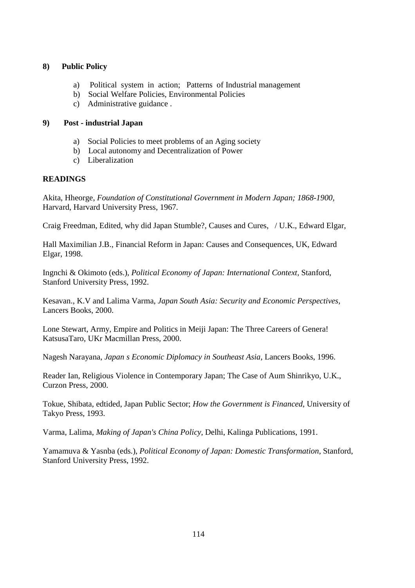### **8) Public Policy**

- a) Political system in action; Patterns of Industrial management
- b) Social Welfare Policies, Environmental Policies
- c) Administrative guidance .

#### **9) Post - industrial Japan**

- a) Social Policies to meet problems of an Aging society
- b) Local autonomy and Decentralization of Power
- c) Liberalization

### **READINGS**

Akita, Hheorge, *Foundation of Constitutional Government in Modern Japan; 1868-1900,* Harvard, Harvard University Press, 1967.

Craig Freedman, Edited, why did Japan Stumble?, Causes and Cures, / U.K., Edward Elgar,

Hall Maximilian J.B., Financial Reform in Japan: Causes and Consequences, UK, Edward Elgar, 1998.

Ingnchi & Okimoto (eds.), *Political Economy of Japan: International Context,* Stanford, Stanford University Press, 1992.

Kesavan., K.V and Lalima Varma, *Japan South Asia: Security and Economic Perspectives,* Lancers Books, 2000.

Lone Stewart, Army, Empire and Politics in Meiji Japan: The Three Careers of Genera! KatsusaTaro, UKr Macmillan Press, 2000.

Nagesh Narayana, *Japan s Economic Diplomacy in Southeast Asia,* Lancers Books, 1996.

Reader Ian, Religious Violence in Contemporary Japan; The Case of Aum Shinrikyo, U.K., Curzon Press, 2000.

Tokue, Shibata, edtided, Japan Public Sector; *How the Government is Financed,* University of Takyo Press, 1993.

Varma, Lalima, *Making of Japan's China Policy,* Delhi, Kalinga Publications, 1991.

Yamamuva & Yasnba (eds.), *Political Economy of Japan: Domestic Transformation,* Stanford, Stanford University Press, 1992.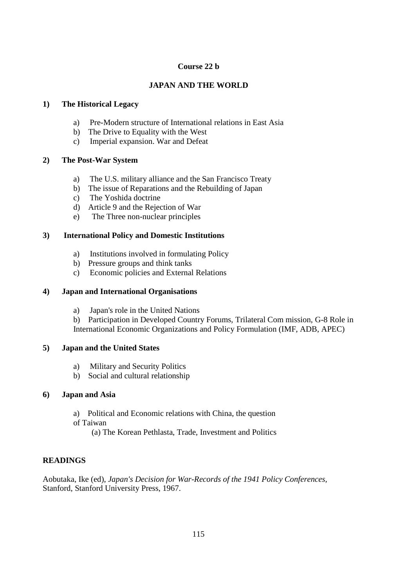# **Course 22 b**

# **JAPAN AND THE WORLD**

### **1) The Historical Legacy**

- a) Pre-Modern structure of International relations in East Asia
- b) The Drive to Equality with the West
- c) Imperial expansion. War and Defeat

### **2) The Post-War System**

- a) The U.S. military alliance and the San Francisco Treaty
- b) The issue of Reparations and the Rebuilding of Japan
- c) The Yoshida doctrine
- d) Article 9 and the Rejection of War
- e) The Three non-nuclear principles

### **3) International Policy and Domestic Institutions**

- a) Institutions involved in formulating Policy
- b) Pressure groups and think tanks
- c) Economic policies and External Relations

### **4) Japan and International Organisations**

a) Japan's role in the United Nations

b) Participation in Developed Country Forums, Trilateral Com mission, G-8 Role in International Economic Organizations and Policy Formulation (IMF, ADB, APEC)

### **5) Japan and the United States**

- a) Military and Security Politics
- b) Social and cultural relationship

### **6) Japan and Asia**

- a) Political and Economic relations with China, the question
- of Taiwan
	- (a) The Korean Pethlasta, Trade, Investment and Politics

# **READINGS**

Aobutaka, Ike (ed), *Japan's Decision for War-Records of the 1941 Policy Conferences,* Stanford, Stanford University Press, 1967.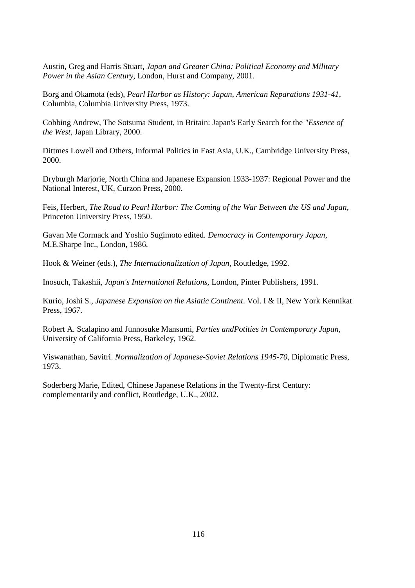Austin, Greg and Harris Stuart, *Japan and Greater China: Political Economy and Military Power in the Asian Century*, London, Hurst and Company, 2001.

Borg and Okamota (eds), *Pearl Harbor as History: Japan, American Reparations 1931-41,* Columbia, Columbia University Press, 1973.

Cobbing Andrew, The Sotsuma Student, in Britain: Japan's Early Search for the *"Essence of the West,* Japan Library, 2000.

Dittmes Lowell and Others, Informal Politics in East Asia, U.K., Cambridge University Press, 2000.

Dryburgh Marjorie, North China and Japanese Expansion 1933-1937: Regional Power and the National Interest, UK, Curzon Press, 2000.

Feis, Herbert, *The Road to Pearl Harbor: The Coming of the War Between the US and Japan,* Princeton University Press, 1950.

Gavan Me Cormack and Yoshio Sugimoto edited. *Democracy in Contemporary Japan,* M.E.Sharpe Inc., London, 1986.

Hook & Weiner (eds.), *The Internationalization of Japan*, Routledge, 1992.

Inosuch, Takashii, *Japan's International Relations,* London, Pinter Publishers, 1991.

Kurio, Joshi S., *Japanese Expansion on the Asiatic Continent*. Vol. I & II, New York Kennikat Press, 1967.

Robert A. Scalapino and Junnosuke Mansumi, *Parties andPotities in Contemporary Japan,* University of California Press, Barkeley, 1962.

Viswanathan, Savitri. *Normalization of Japanese-Soviet Relations 1945-70,* Diplomatic Press, 1973.

Soderberg Marie, Edited, Chinese Japanese Relations in the Twenty-first Century: complementarily and conflict, Routledge, U.K., 2002.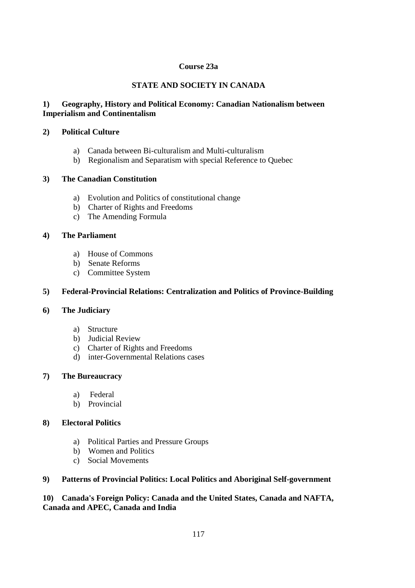# **Course 23a**

# **STATE AND SOCIETY IN CANADA**

# **1) Geography, History and Political Economy: Canadian Nationalism between Imperialism and Continentalism**

### **2) Political Culture**

- a) Canada between Bi-culturalism and Multi-culturalism
- b) Regionalism and Separatism with special Reference to Quebec

# **3) The Canadian Constitution**

- a) Evolution and Politics of constitutional change
- b) Charter of Rights and Freedoms
- c) The Amending Formula

# **4) The Parliament**

- a) House of Commons
- b) Senate Reforms
- c) Committee System

# **5) Federal-Provincial Relations: Centralization and Politics of Province-Building**

### **6) The Judiciary**

- a) Structure
- b) Judicial Review
- c) Charter of Rights and Freedoms
- d) inter-Governmental Relations cases

### **7) The Bureaucracy**

- a) Federal
- b) Provincial

### **8) Electoral Politics**

- a) Political Parties and Pressure Groups
- b) Women and Politics
- c) Social Movements

### **9) Patterns of Provincial Politics: Local Politics and Aboriginal Self-government**

# **10) Canada's Foreign Policy: Canada and the United States, Canada and NAFTA, Canada and APEC, Canada and India**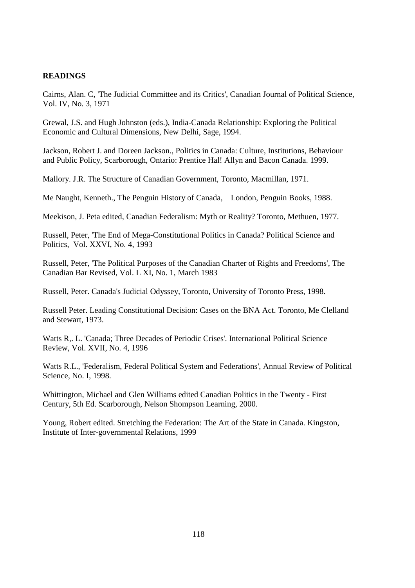### **READINGS**

Cairns, Alan. C, 'The Judicial Committee and its Critics', Canadian Journal of Political Science, Vol. IV, No. 3, 1971

Grewal, J.S. and Hugh Johnston (eds.), India-Canada Relationship: Exploring the Political Economic and Cultural Dimensions, New Delhi, Sage, 1994.

Jackson, Robert J. and Doreen Jackson., Politics in Canada: Culture, Institutions, Behaviour and Public Policy, Scarborough, Ontario: Prentice Hal! Allyn and Bacon Canada. 1999.

Mallory. J.R. The Structure of Canadian Government, Toronto, Macmillan, 1971.

Me Naught, Kenneth., The Penguin History of Canada, London, Penguin Books, 1988.

Meekison, J. Peta edited, Canadian Federalism: Myth or Reality? Toronto, Methuen, 1977.

Russell, Peter, 'The End of Mega-Constitutional Politics in Canada? Political Science and Politics, Vol. XXVI, No. 4, 1993

Russell, Peter, 'The Political Purposes of the Canadian Charter of Rights and Freedoms', The Canadian Bar Revised, Vol. L XI, No. 1, March 1983

Russell, Peter. Canada's Judicial Odyssey, Toronto, University of Toronto Press, 1998.

Russell Peter. Leading Constitutional Decision: Cases on the BNA Act. Toronto, Me Clelland and Stewart, 1973.

Watts R,. L. 'Canada; Three Decades of Periodic Crises'. International Political Science Review, Vol. XVII, No. 4, 1996

Watts R.L., 'Federalism, Federal Political System and Federations', Annual Review of Political Science, No. I, 1998.

Whittington, Michael and Glen Williams edited Canadian Politics in the Twenty - First Century, 5th Ed. Scarborough, Nelson Shompson Learning, 2000.

Young, Robert edited. Stretching the Federation: The Art of the State in Canada. Kingston, Institute of Inter-governmental Relations, 1999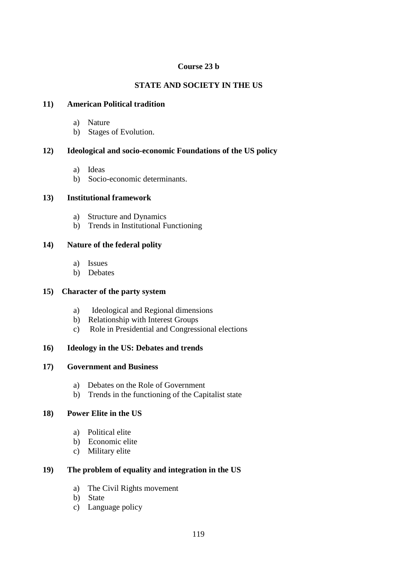### **Course 23 b**

# **STATE AND SOCIETY IN THE US**

# **11) American Political tradition**

- a) Nature
- b) Stages of Evolution.

# **12) Ideological and socio-economic Foundations of the US policy**

- a) Ideas
- b) Socio-economic determinants.

### **13) Institutional framework**

- a) Structure and Dynamics
- b) Trends in Institutional Functioning

# **14) Nature of the federal polity**

- a) Issues
- b) Debates

### **15) Character of the party system**

- a) Ideological and Regional dimensions
- b) Relationship with Interest Groups
- c) Role in Presidential and Congressional elections

### **16) Ideology in the US: Debates and trends**

### **17) Government and Business**

- a) Debates on the Role of Government
- b) Trends in the functioning of the Capitalist state

# **18) Power Elite in the US**

- a) Political elite
- b) Economic elite
- c) Military elite

# **19) The problem of equality and integration in the US**

- a) The Civil Rights movement
- b) State
- c) Language policy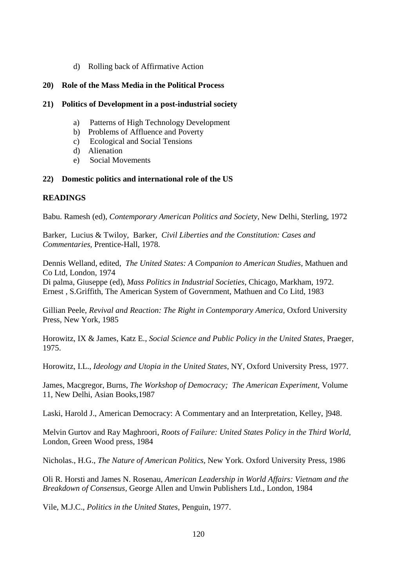d) Rolling back of Affirmative Action

### **20) Role of the Mass Media in the Political Process**

#### **21) Politics of Development in a post-industrial society**

- a) Patterns of High Technology Development
- b) Problems of Affluence and Poverty
- c) Ecological and Social Tensions
- d) Alienation
- e) Social Movements

### **22) Domestic politics and international role of the US**

# **READINGS**

Babu. Ramesh (ed), *Contemporary American Politics and Society,* New Delhi, Sterling, 1972

Barker, Lucius & Twiloy, Barker, *Civil Liberties and the Constitution: Cases and Commentaries,* Prentice-Hall, 1978.

Dennis Welland, edited, *The United States: A Companion to American Studies,* Mathuen and Co Ltd, London, 1974

Di palma, Giuseppe (ed), *Mass Politics in Industrial Societies,* Chicago, Markham, 1972. Ernest , S.Griffith, The American System of Government, Mathuen and Co Litd, 1983

Gillian Peele, *Revival and Reaction: The Right in Contemporary America,* Oxford University Press, New York, 1985

Horowitz, IX & James, Katz E., *Social Science and Public Policy in the United States,* Praeger, 1975.

Horowitz, I.L., *Ideology and Utopia in the United States,* NY, Oxford University Press, 1977.

James, Macgregor, Burns, *The Workshop of Democracy; The American Experiment,* Volume 11, New Delhi, Asian Books,1987

Laski, Harold J., American Democracy: A Commentary and an Interpretation, Kelley, ]948.

Melvin Gurtov and Ray Maghroori, *Roots of Failure: United States Policy in the Third World,* London, Green Wood press, 1984

Nicholas., H.G., *The Nature of American Politics,* New York. Oxford University Press, 1986

Oli R. Horsti and James N. Rosenau, *American Leadership in World Affairs: Vietnam and the Breakdown of Consensus,* George Allen and Unwin Publishers Ltd., London, 1984

Vile, M.J.C., *Politics in the United States*, Penguin, 1977.